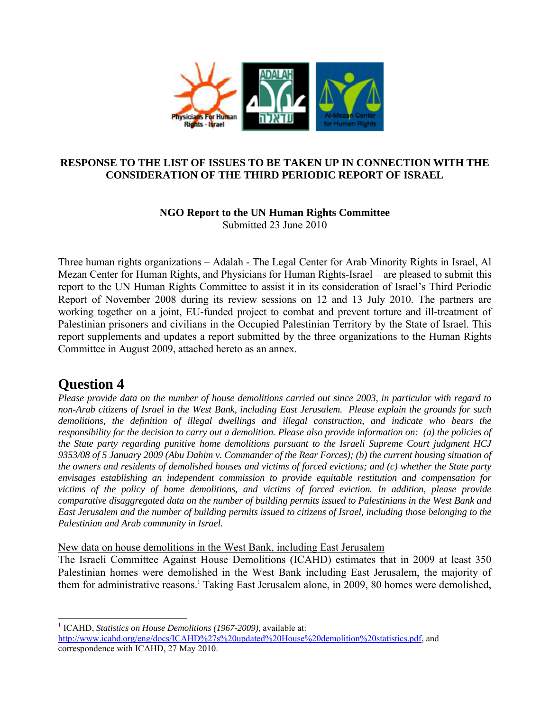

# **RESPONSE TO THE LIST OF ISSUES TO BE TAKEN UP IN CONNECTION WITH THE CONSIDERATION OF THE THIRD PERIODIC REPORT OF ISRAEL**

# **NGO Report to the UN Human Rights Committee**

Submitted 23 June 2010

Three human rights organizations – Adalah - The Legal Center for Arab Minority Rights in Israel, Al Mezan Center for Human Rights, and Physicians for Human Rights-Israel – are pleased to submit this report to the UN Human Rights Committee to assist it in its consideration of Israel's Third Periodic Report of November 2008 during its review sessions on 12 and 13 July 2010. The partners are working together on a joint, EU-funded project to combat and prevent torture and ill-treatment of Palestinian prisoners and civilians in the Occupied Palestinian Territory by the State of Israel. This report supplements and updates a report submitted by the three organizations to the Human Rights Committee in August 2009, attached hereto as an annex.

# **Question 4**

*Please provide data on the number of house demolitions carried out since 2003, in particular with regard to non-Arab citizens of Israel in the West Bank, including East Jerusalem. Please explain the grounds for such demolitions, the definition of illegal dwellings and illegal construction, and indicate who bears the responsibility for the decision to carry out a demolition. Please also provide information on: (a) the policies of the State party regarding punitive home demolitions pursuant to the Israeli Supreme Court judgment HCJ 9353/08 of 5 January 2009 (Abu Dahim v. Commander of the Rear Forces); (b) the current housing situation of the owners and residents of demolished houses and victims of forced evictions; and (c) whether the State party envisages establishing an independent commission to provide equitable restitution and compensation for victims of the policy of home demolitions, and victims of forced eviction. In addition, please provide comparative disaggregated data on the number of building permits issued to Palestinians in the West Bank and East Jerusalem and the number of building permits issued to citizens of Israel, including those belonging to the Palestinian and Arab community in Israel.*

New data on house demolitions in the West Bank, including East Jerusalem

The Israeli Committee Against House Demolitions (ICAHD) estimates that in 2009 at least 350 Palestinian homes were demolished in the West Bank including East Jerusalem, the majority of them for administrative reasons.<sup>1</sup> Taking East Jerusalem alone, in 2009, 80 homes were demolished,

l <sup>1</sup> ICAHD, *Statistics on House Demolitions* (1967-2009), available at:

http://www.icahd.org/eng/docs/ICAHD%27s%20updated%20House%20demolition%20statistics.pdf, and correspondence with ICAHD, 27 May 2010.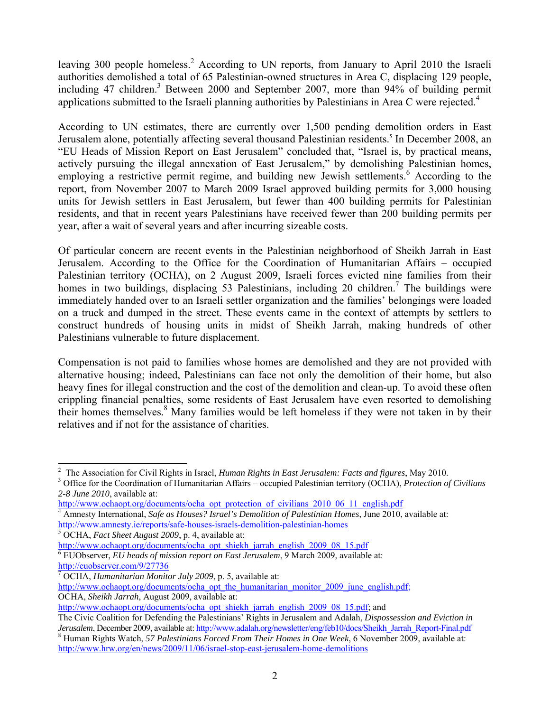leaving 300 people homeless.<sup>2</sup> According to UN reports, from January to April 2010 the Israeli authorities demolished a total of 65 Palestinian-owned structures in Area C, displacing 129 people, including 47 children.<sup>3</sup> Between 2000 and September 2007, more than 94% of building permit applications submitted to the Israeli planning authorities by Palestinians in Area C were rejected.<sup>4</sup>

According to UN estimates, there are currently over 1,500 pending demolition orders in East Jerusalem alone, potentially affecting several thousand Palestinian residents.<sup>5</sup> In December 2008, an "EU Heads of Mission Report on East Jerusalem" concluded that, "Israel is, by practical means, actively pursuing the illegal annexation of East Jerusalem," by demolishing Palestinian homes, employing a restrictive permit regime, and building new Jewish settlements.<sup>6</sup> According to the report, from November 2007 to March 2009 Israel approved building permits for 3,000 housing units for Jewish settlers in East Jerusalem, but fewer than 400 building permits for Palestinian residents, and that in recent years Palestinians have received fewer than 200 building permits per year, after a wait of several years and after incurring sizeable costs.

Of particular concern are recent events in the Palestinian neighborhood of Sheikh Jarrah in East Jerusalem. According to the Office for the Coordination of Humanitarian Affairs – occupied Palestinian territory (OCHA), on 2 August 2009, Israeli forces evicted nine families from their homes in two buildings, displacing 53 Palestinians, including 20 children.<sup>7</sup> The buildings were immediately handed over to an Israeli settler organization and the families' belongings were loaded on a truck and dumped in the street. These events came in the context of attempts by settlers to construct hundreds of housing units in midst of Sheikh Jarrah, making hundreds of other Palestinians vulnerable to future displacement.

Compensation is not paid to families whose homes are demolished and they are not provided with alternative housing; indeed, Palestinians can face not only the demolition of their home, but also heavy fines for illegal construction and the cost of the demolition and clean-up. To avoid these often crippling financial penalties, some residents of East Jerusalem have even resorted to demolishing their homes themselves.<sup>8</sup> Many families would be left homeless if they were not taken in by their relatives and if not for the assistance of charities.

l 2 The Association for Civil Rights in Israel, *Human Rights in East Jerusalem: Facts and figures*, May 2010. 3

Office for the Coordination of Humanitarian Affairs – occupied Palestinian territory (OCHA), *Protection of Civilians 2-8 June 2010*, available at:

http://www.ochaopt.org/documents/ocha\_opt\_protection\_of\_civilians\_2010\_06\_11\_english.pdf

Amnesty International, *Safe as Houses? Israel's Demolition of Palestinian Homes*, June 2010, available at: http://www.amnesty.ie/reports/safe-houses-israels-demolition-palestinian-homes 5

OCHA, *Fact Sheet August 2009*, p. 4, available at:

http://www.ochaopt.org/documents/ocha\_opt\_shiekh\_jarrah\_english\_2009\_08\_15.pdf

<sup>6</sup> EUObserver, *EU heads of mission report on East Jerusalem*, 9 March 2009, available at:

http://euobserver.com/9/27736

OCHA, *Humanitarian Monitor July 2009*, p. 5, available at:

http://www.ochaopt.org/documents/ocha\_opt\_the\_humanitarian\_monitor\_2009\_june\_english.pdf; OCHA, *Sheikh Jarrah*, August 2009, available at:

http://www.ochaopt.org/documents/ocha\_opt\_shiekh\_jarrah\_english\_2009\_08\_15.pdf; and

The Civic Coalition for Defending the Palestinians' Rights in Jerusalem and Adalah, *Dispossession and Eviction in Jerusalem*, December 2009, available at: http://www.adalah.org/newsletter/eng/feb10/docs/Sheikh\_Jarrah\_Report-Final.pdf <sup>8</sup>

Human Rights Watch, *57 Palestinians Forced From Their Homes in One Week*, 6 November 2009, available at: http://www.hrw.org/en/news/2009/11/06/israel-stop-east-jerusalem-home-demolitions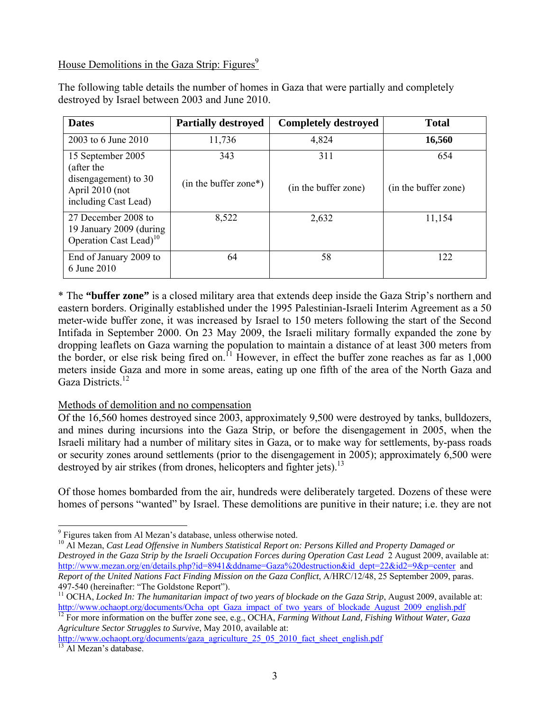# House Demolitions in the Gaza Strip: Figures<sup>9</sup>

| <b>Dates</b>                                                                                       | <b>Partially destroyed</b>     | <b>Completely destroyed</b> | <b>Total</b>                |
|----------------------------------------------------------------------------------------------------|--------------------------------|-----------------------------|-----------------------------|
| 2003 to 6 June 2010                                                                                | 11,736                         | 4,824                       | 16,560                      |
| 15 September 2005<br>(after the<br>disengagement) to 30<br>April 2010 (not<br>including Cast Lead) | 343<br>$(in the buffer zone*)$ | 311<br>(in the buffer zone) | 654<br>(in the buffer zone) |
| 27 December 2008 to<br>19 January 2009 (during<br>Operation Cast Lead) <sup>10</sup>               | 8,522                          | 2,632                       | 11,154                      |
| End of January 2009 to<br>6 June 2010                                                              | 64                             | 58                          | 122                         |

The following table details the number of homes in Gaza that were partially and completely destroyed by Israel between 2003 and June 2010.

\* The **"buffer zone"** is a closed military area that extends deep inside the Gaza Strip's northern and eastern borders. Originally established under the 1995 Palestinian-Israeli Interim Agreement as a 50 meter-wide buffer zone, it was increased by Israel to 150 meters following the start of the Second Intifada in September 2000. On 23 May 2009, the Israeli military formally expanded the zone by dropping leaflets on Gaza warning the population to maintain a distance of at least 300 meters from the border, or else risk being fired on.<sup>11</sup> However, in effect the buffer zone reaches as far as  $1,000$ meters inside Gaza and more in some areas, eating up one fifth of the area of the North Gaza and Gaza Districts.<sup>12</sup>

## Methods of demolition and no compensation

l

Of the 16,560 homes destroyed since 2003, approximately 9,500 were destroyed by tanks, bulldozers, and mines during incursions into the Gaza Strip, or before the disengagement in 2005, when the Israeli military had a number of military sites in Gaza, or to make way for settlements, by-pass roads or security zones around settlements (prior to the disengagement in 2005); approximately 6,500 were destroyed by air strikes (from drones, helicopters and fighter jets).<sup>13</sup>

Of those homes bombarded from the air, hundreds were deliberately targeted. Dozens of these were homes of persons "wanted" by Israel. These demolitions are punitive in their nature; i.e. they are not

<sup>12</sup> For more information on the buffer zone see, e.g., OCHA, *Farming Without Land, Fishing Without Water, Gaza Agriculture Sector Struggles to Survive*, May 2010, available at:

<sup>&</sup>lt;sup>9</sup> Figures taken from Al Mezan's database, unless otherwise noted.

<sup>&</sup>lt;sup>10</sup> Al Mezan, *Cast Lead Offensive in Numbers Statistical Report on: Persons Killed and Property Damaged or Destroyed in the Gaza Strip by the Israeli Occupation Forces during Operation Cast Lead* 2 August 2009, available at: http://www.mezan.org/en/details.php?id=8941&ddname=Gaza%20destruction&id\_dept=22&id2=9&p=center and *Report of the United Nations Fact Finding Mission on the Gaza Conflict*, A/HRC/12/48, 25 September 2009, paras. 497-540 (hereinafter: "The Goldstone Report").

<sup>&</sup>lt;sup>11</sup> OCHA, *Locked In: The humanitarian impact of two years of blockade on the Gaza Strip*, August 2009, available at:  $\frac{http://www.ochaopt.org/documents/Ocha opt Gasa impact of two years of blockade August 2009 English.pdf$ 

http://www.ochaopt.org/documents/gaza\_agriculture\_25\_05\_2010\_fact\_sheet\_english.pdf <sup>13</sup> Al Mezan's database.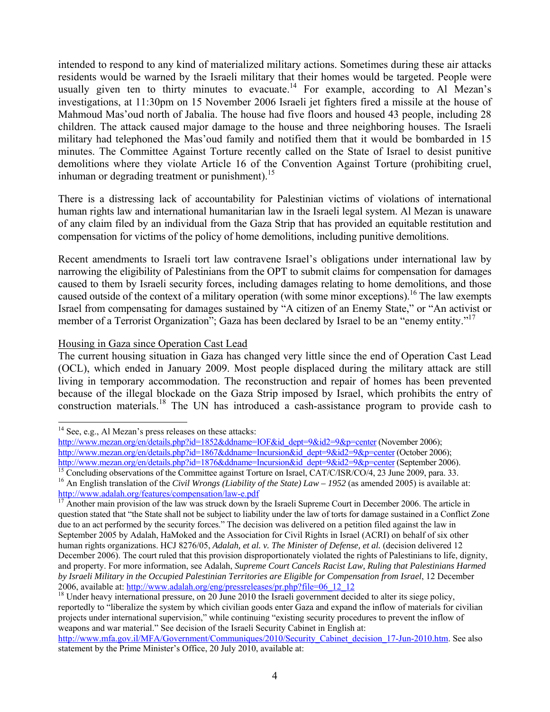intended to respond to any kind of materialized military actions. Sometimes during these air attacks residents would be warned by the Israeli military that their homes would be targeted. People were usually given ten to thirty minutes to evacuate.<sup>14</sup> For example, according to Al Mezan's investigations, at 11:30pm on 15 November 2006 Israeli jet fighters fired a missile at the house of Mahmoud Mas'oud north of Jabalia. The house had five floors and housed 43 people, including 28 children. The attack caused major damage to the house and three neighboring houses. The Israeli military had telephoned the Mas'oud family and notified them that it would be bombarded in 15 minutes. The Committee Against Torture recently called on the State of Israel to desist punitive demolitions where they violate Article 16 of the Convention Against Torture (prohibiting cruel, inhuman or degrading treatment or punishment).<sup>15</sup>

There is a distressing lack of accountability for Palestinian victims of violations of international human rights law and international humanitarian law in the Israeli legal system. Al Mezan is unaware of any claim filed by an individual from the Gaza Strip that has provided an equitable restitution and compensation for victims of the policy of home demolitions, including punitive demolitions.

Recent amendments to Israeli tort law contravene Israel's obligations under international law by narrowing the eligibility of Palestinians from the OPT to submit claims for compensation for damages caused to them by Israeli security forces, including damages relating to home demolitions, and those caused outside of the context of a military operation (with some minor exceptions).<sup>16</sup> The law exempts Israel from compensating for damages sustained by "A citizen of an Enemy State," or "An activist or member of a Terrorist Organization"; Gaza has been declared by Israel to be an "enemy entity."<sup>17</sup>

# Housing in Gaza since Operation Cast Lead

The current housing situation in Gaza has changed very little since the end of Operation Cast Lead (OCL), which ended in January 2009. Most people displaced during the military attack are still living in temporary accommodation. The reconstruction and repair of homes has been prevented because of the illegal blockade on the Gaza Strip imposed by Israel, which prohibits the entry of construction materials.<sup>18</sup> The UN has introduced a cash-assistance program to provide cash to

 $14$  See, e.g., Al Mezan's press releases on these attacks:

http://www.mezan.org/en/details.php?id=1852&ddname=IOF&id\_dept=9&id2=9&p=center (November 2006); http://www.mezan.org/en/details.php?id=1867&ddname=Incursion&id\_dept=9&id2=9&p=center (October 2006); http://www.mezan.org/en/details.php?id=1876&ddname=Incursion&id\_dept=9&id2=9&p=center (September 2006). <sup>15</sup> Concluding observations of the Committee against Torture on Israel, CAT/C/ISR/CO/4, 23 June 2009, para. 33.

<sup>&</sup>lt;sup>16</sup> An English translation of the *Civil Wrongs (Liability of the State) Law – 1952* (as amended 2005) is available at: http://www.adalah.org/features/compensation/law-e.pdf<br><sup>17</sup> Another main provision of the law was struck down by the Israeli Supreme Court in December 2006. The article in

question stated that "the State shall not be subject to liability under the law of torts for damage sustained in a Conflict Zone due to an act performed by the security forces." The decision was delivered on a petition filed against the law in September 2005 by Adalah, HaMoked and the Association for Civil Rights in Israel (ACRI) on behalf of six other human rights organizations. HCJ 8276/05, *Adalah, et al. v. The Minister of Defense, et al.* (decision delivered 12 December 2006). The court ruled that this provision disproportionately violated the rights of Palestinians to life, dignity, and property. For more information, see Adalah, *Supreme Court Cancels Racist Law, Ruling that Palestinians Harmed by Israeli Military in the Occupied Palestinian Territories are Eligible for Compensation from Israel*, 12 December 2006, available at:  $\frac{http://www.addlah.org/eng/press releases/pr.php?file=06_12_12}{\frac{18}{20}}$  Under heavy international pressure, on 20 June 2010 the Israeli government decided to alter its siege policy,

reportedly to "liberalize the system by which civilian goods enter Gaza and expand the inflow of materials for civilian projects under international supervision," while continuing "existing security procedures to prevent the inflow of weapons and war material." See decision of the Israeli Security Cabinet in English at:

http://www.mfa.gov.il/MFA/Government/Communiques/2010/Security\_Cabinet\_decision\_17-Jun-2010.htm. See also statement by the Prime Minister's Office, 20 July 2010, available at: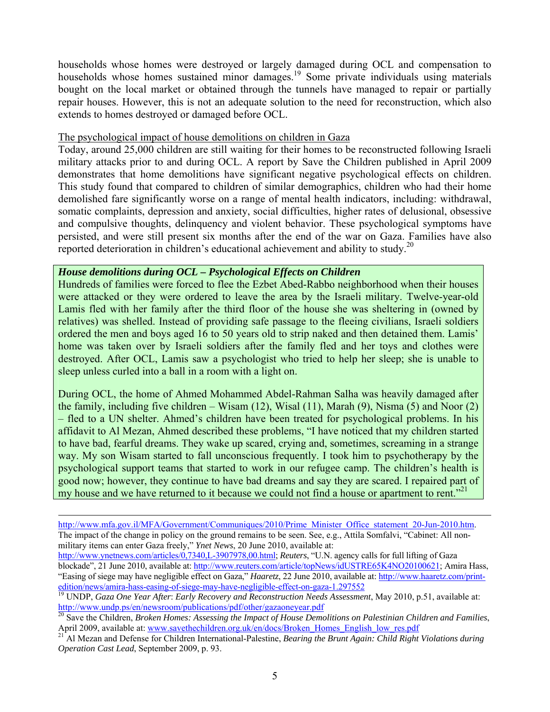households whose homes were destroyed or largely damaged during OCL and compensation to households whose homes sustained minor damages.<sup>19</sup> Some private individuals using materials bought on the local market or obtained through the tunnels have managed to repair or partially repair houses. However, this is not an adequate solution to the need for reconstruction, which also extends to homes destroyed or damaged before OCL.

#### The psychological impact of house demolitions on children in Gaza

Today, around 25,000 children are still waiting for their homes to be reconstructed following Israeli military attacks prior to and during OCL. A report by Save the Children published in April 2009 demonstrates that home demolitions have significant negative psychological effects on children. This study found that compared to children of similar demographics, children who had their home demolished fare significantly worse on a range of mental health indicators, including: withdrawal, somatic complaints, depression and anxiety, social difficulties, higher rates of delusional, obsessive and compulsive thoughts, delinquency and violent behavior. These psychological symptoms have persisted, and were still present six months after the end of the war on Gaza. Families have also reported deterioration in children's educational achievement and ability to study.<sup>20</sup>

## *House demolitions during OCL – Psychological Effects on Children*

-

Hundreds of families were forced to flee the Ezbet Abed-Rabbo neighborhood when their houses were attacked or they were ordered to leave the area by the Israeli military. Twelve-year-old Lamis fled with her family after the third floor of the house she was sheltering in (owned by relatives) was shelled. Instead of providing safe passage to the fleeing civilians, Israeli soldiers ordered the men and boys aged 16 to 50 years old to strip naked and then detained them. Lamis' home was taken over by Israeli soldiers after the family fled and her toys and clothes were destroyed. After OCL, Lamis saw a psychologist who tried to help her sleep; she is unable to sleep unless curled into a ball in a room with a light on.

During OCL, the home of Ahmed Mohammed Abdel-Rahman Salha was heavily damaged after the family, including five children – Wisam (12), Wisal (11), Marah (9), Nisma (5) and Noor (2) – fled to a UN shelter. Ahmed's children have been treated for psychological problems. In his affidavit to Al Mezan, Ahmed described these problems, "I have noticed that my children started to have bad, fearful dreams. They wake up scared, crying and, sometimes, screaming in a strange way. My son Wisam started to fall unconscious frequently. I took him to psychotherapy by the psychological support teams that started to work in our refugee camp. The children's health is good now; however, they continue to have bad dreams and say they are scared. I repaired part of my house and we have returned to it because we could not find a house or apartment to rent."<sup>21</sup>

http://www.mfa.gov.il/MFA/Government/Communiques/2010/Prime\_Minister\_Office\_statement\_20-Jun-2010.htm. The impact of the change in policy on the ground remains to be seen. See, e.g., Attila Somfalvi, "Cabinet: All nonmilitary items can enter Gaza freely," *Ynet News*, 20 June 2010, available at:

http://www.ynetnews.com/articles/0,7340,L-3907978,00.html; *Reuters*, "U.N. agency calls for full lifting of Gaza blockade", 21 June 2010, available at: http://www.reuters.com/article/topNews/idUSTRE65K4NO20100621; Amira Hass, "Easing of siege may have negligible effect on Gaza," *Haaretz*, 22 June 2010, available at: http://www.haaretz.com/printedition/news/amira-hass-easing-of-siege-may-have-negligible-effect-on-gaza-1.297552<br><sup>19</sup> UNDP, *Gaza One Year After: Early Recovery and Reconstruction Needs Assessment*, May 2010, p.51, available at:

http://www.undp.ps/en/newsroom/publications/pdf/other/gazaoneyear.pdf<br><sup>20</sup> Save the Children, *Broken Homes: Assessing the Impact of House Demolitions on Palestinian Children and Families,*<br>April 2009, available at: <u>www.s</u>

Al Mezan and Defense for Children International-Palestine, *Bearing the Brunt Again: Child Right Violations during Operation Cast Lead*, September 2009, p. 93.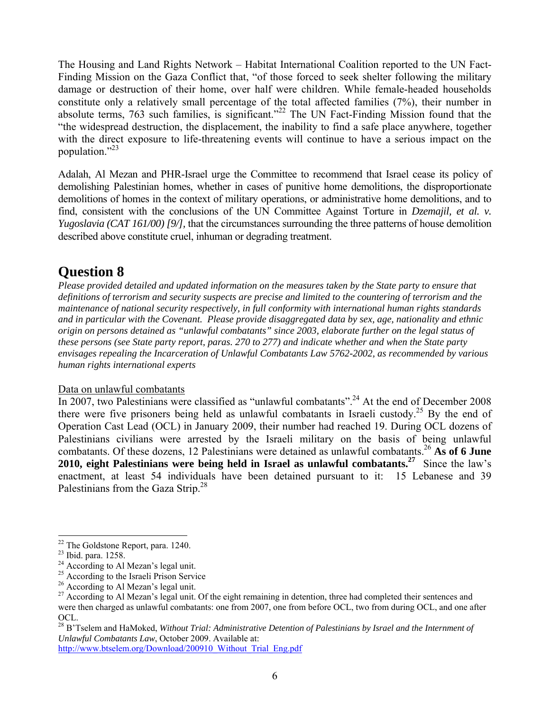The Housing and Land Rights Network – Habitat International Coalition reported to the UN Fact-Finding Mission on the Gaza Conflict that, "of those forced to seek shelter following the military damage or destruction of their home, over half were children. While female-headed households constitute only a relatively small percentage of the total affected families (7%), their number in absolute terms, 763 such families, is significant."<sup>22</sup> The UN Fact-Finding Mission found that the "the widespread destruction, the displacement, the inability to find a safe place anywhere, together with the direct exposure to life-threatening events will continue to have a serious impact on the population." $^{23}$ 

Adalah, Al Mezan and PHR-Israel urge the Committee to recommend that Israel cease its policy of demolishing Palestinian homes, whether in cases of punitive home demolitions, the disproportionate demolitions of homes in the context of military operations, or administrative home demolitions, and to find, consistent with the conclusions of the UN Committee Against Torture in *Dzemajil, et al. v. Yugoslavia (CAT 161/00) [9/],* that the circumstances surrounding the three patterns of house demolition described above constitute cruel, inhuman or degrading treatment.

# **Question 8**

*Please provided detailed and updated information on the measures taken by the State party to ensure that definitions of terrorism and security suspects are precise and limited to the countering of terrorism and the maintenance of national security respectively, in full conformity with international human rights standards and in particular with the Covenant. Please provide disaggregated data by sex, age, nationality and ethnic origin on persons detained as "unlawful combatants" since 2003, elaborate further on the legal status of these persons (see State party report, paras. 270 to 277) and indicate whether and when the State party envisages repealing the Incarceration of Unlawful Combatants Law 5762-2002, as recommended by various human rights international experts*

# Data on unlawful combatants

In 2007, two Palestinians were classified as "unlawful combatants".<sup>24</sup> At the end of December 2008 there were five prisoners being held as unlawful combatants in Israeli custody.<sup>25</sup> By the end of Operation Cast Lead (OCL) in January 2009, their number had reached 19. During OCL dozens of Palestinians civilians were arrested by the Israeli military on the basis of being unlawful combatants. Of these dozens, 12 Palestinians were detained as unlawful combatants.26 **As of 6 June**  2010, eight Palestinians were being held in Israel as unlawful combatants.<sup>27</sup> Since the law's enactment, at least 54 individuals have been detained pursuant to it: 15 Lebanese and 39 Palestinians from the Gaza Strip.<sup>28</sup>

l  $22$  The Goldstone Report, para. 1240.

<sup>23</sup> Ibid. para. 1258.

 $24$  According to Al Mezan's legal unit.

<sup>&</sup>lt;sup>25</sup> According to the Israeli Prison Service

<sup>&</sup>lt;sup>26</sup> According to Al Mezan's legal unit.

<sup>&</sup>lt;sup>27</sup> According to Al Mezan's legal unit. Of the eight remaining in detention, three had completed their sentences and were then charged as unlawful combatants: one from 2007, one from before OCL, two from during OCL, and one after OCL.

<sup>28</sup> B'Tselem and HaMoked, *Without Trial: Administrative Detention of Palestinians by Israel and the Internment of Unlawful Combatants Law*, October 2009. Available at:

http://www.btselem.org/Download/200910\_Without\_Trial\_Eng.pdf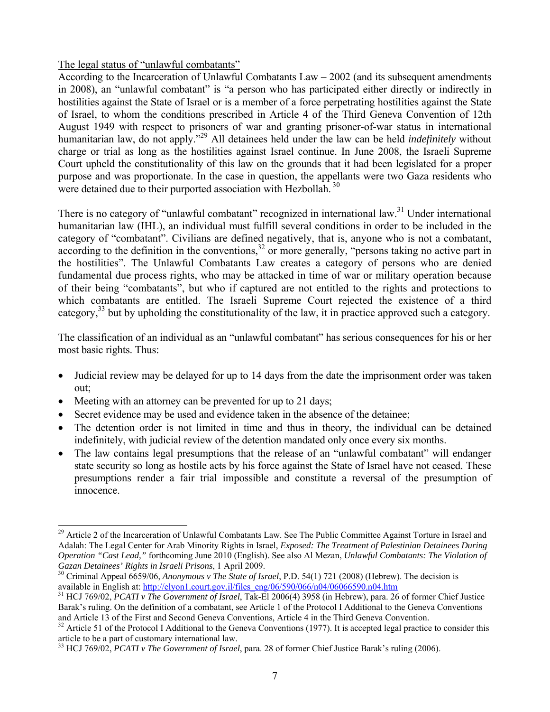# The legal status of "unlawful combatants"

According to the Incarceration of Unlawful Combatants Law – 2002 (and its subsequent amendments in 2008), an "unlawful combatant" is "a person who has participated either directly or indirectly in hostilities against the State of Israel or is a member of a force perpetrating hostilities against the State of Israel, to whom the conditions prescribed in Article 4 of the Third Geneva Convention of 12th August 1949 with respect to prisoners of war and granting prisoner-of-war status in international humanitarian law, do not apply."29 All detainees held under the law can be held *indefinitely* without charge or trial as long as the hostilities against Israel continue. In June 2008, the Israeli Supreme Court upheld the constitutionality of this law on the grounds that it had been legislated for a proper purpose and was proportionate. In the case in question, the appellants were two Gaza residents who were detained due to their purported association with Hezbollah.<sup>30</sup>

There is no category of "unlawful combatant" recognized in international law.<sup>31</sup> Under international humanitarian law (IHL), an individual must fulfill several conditions in order to be included in the category of "combatant". Civilians are defined negatively, that is, anyone who is not a combatant, according to the definition in the conventions,<sup>32</sup> or more generally, "persons taking no active part in the hostilities". The Unlawful Combatants Law creates a category of persons who are denied fundamental due process rights, who may be attacked in time of war or military operation because of their being "combatants", but who if captured are not entitled to the rights and protections to which combatants are entitled. The Israeli Supreme Court rejected the existence of a third category,  $33$  but by upholding the constitutionality of the law, it in practice approved such a category.

The classification of an individual as an "unlawful combatant" has serious consequences for his or her most basic rights. Thus:

- Judicial review may be delayed for up to 14 days from the date the imprisonment order was taken out;
- Meeting with an attorney can be prevented for up to 21 days;

- Secret evidence may be used and evidence taken in the absence of the detainee;
- The detention order is not limited in time and thus in theory, the individual can be detained indefinitely, with judicial review of the detention mandated only once every six months.
- The law contains legal presumptions that the release of an "unlawful combatant" will endanger state security so long as hostile acts by his force against the State of Israel have not ceased. These presumptions render a fair trial impossible and constitute a reversal of the presumption of innocence.

<sup>&</sup>lt;sup>29</sup> Article 2 of the Incarceration of Unlawful Combatants Law. See The Public Committee Against Torture in Israel and Adalah: The Legal Center for Arab Minority Rights in Israel, *Exposed: The Treatment of Palestinian Detainees During Operation "Cast Lead,"* forthcoming June 2010 (English). See also Al Mezan, *Unlawful Combatants: The Violation of* 

*Gazan Detainees' Rights in Israeli Prisons*, 1 April 2009.<br><sup>30</sup> Criminal Appeal 6659/06, *Anonymous v The State of Israel*, P.D. 54(1) 721 (2008) (Hebrew). The decision is available in English at: http://elyon1.court.gov.

<sup>&</sup>lt;sup>31</sup> HCJ 769/02, *PCATI v The Government of Israel*, Tak-El 2006(4) 3958 (in Hebrew), para. 26 of former Chief Justice Barak's ruling. On the definition of a combatant, see Article 1 of the Protocol I Additional to the Geneva Conventions and Article 13 of the First and Second Geneva Conventions, Article 4 in the Third Geneva Convention.<br><sup>32</sup> Article 51 of the Protocol I Additional to the Geneva Conventions (1977). It is accepted legal practice to consider

article to be a part of customary international law.

<sup>33</sup> HCJ 769/02, *PCATI v The Government of Israel*, para. 28 of former Chief Justice Barak's ruling (2006).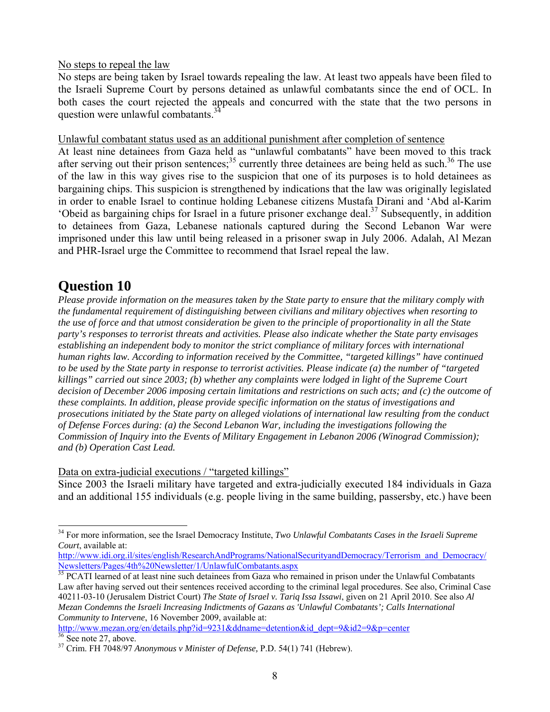No steps to repeal the law

No steps are being taken by Israel towards repealing the law. At least two appeals have been filed to the Israeli Supreme Court by persons detained as unlawful combatants since the end of OCL. In both cases the court rejected the appeals and concurred with the state that the two persons in question were unlawful combatants.<sup>3</sup>

Unlawful combatant status used as an additional punishment after completion of sentence

At least nine detainees from Gaza held as "unlawful combatants" have been moved to this track after serving out their prison sentences;<sup>35</sup> currently three detainees are being held as such.<sup>36</sup> The use of the law in this way gives rise to the suspicion that one of its purposes is to hold detainees as bargaining chips. This suspicion is strengthened by indications that the law was originally legislated in order to enable Israel to continue holding Lebanese citizens Mustafa Dirani and 'Abd al-Karim 'Obeid as bargaining chips for Israel in a future prisoner exchange deal.37 Subsequently, in addition to detainees from Gaza, Lebanese nationals captured during the Second Lebanon War were imprisoned under this law until being released in a prisoner swap in July 2006. Adalah, Al Mezan and PHR-Israel urge the Committee to recommend that Israel repeal the law.

# **Question 10**

l

*Please provide information on the measures taken by the State party to ensure that the military comply with the fundamental requirement of distinguishing between civilians and military objectives when resorting to the use of force and that utmost consideration be given to the principle of proportionality in all the State party's responses to terrorist threats and activities. Please also indicate whether the State party envisages establishing an independent body to monitor the strict compliance of military forces with international human rights law. According to information received by the Committee, "targeted killings" have continued to be used by the State party in response to terrorist activities. Please indicate (a) the number of "targeted killings" carried out since 2003; (b) whether any complaints were lodged in light of the Supreme Court*  decision of December 2006 imposing certain limitations and restrictions on such acts; and (c) the outcome of *these complaints. In addition, please provide specific information on the status of investigations and prosecutions initiated by the State party on alleged violations of international law resulting from the conduct of Defense Forces during: (a) the Second Lebanon War, including the investigations following the Commission of Inquiry into the Events of Military Engagement in Lebanon 2006 (Winograd Commission); and (b) Operation Cast Lead.*

# Data on extra-judicial executions / "targeted killings"

Since 2003 the Israeli military have targeted and extra-judicially executed 184 individuals in Gaza and an additional 155 individuals (e.g. people living in the same building, passersby, etc.) have been

http://www.idi.org.il/sites/english/ResearchAndPrograms/NationalSecurityandDemocracy/Terrorism\_and\_Democracy/ Newsletters/Pages/4th%20Newsletter/1/UnlawfulCombatants.aspx<br><sup>35</sup> PCATI learned of at least nine such detainees from Gaza who remained in prison under the Unlawful Combatants

Law after having served out their sentences received according to the criminal legal procedures. See also, Criminal Case 40211-03-10 (Jerusalem District Court) *The State of Israel v. Tariq Issa Issawi*, given on 21 April 2010. See also *Al Mezan Condemns the Israeli Increasing Indictments of Gazans as 'Unlawful Combatants'; Calls International Community to Intervene*, 16 November 2009, available at:

http://www.mezan.org/en/details.php?id=9231&ddname=detention&id\_dept=9&id2=9&p=center  $36$  See note 27, above.

<sup>34</sup> For more information, see the Israel Democracy Institute, *Two Unlawful Combatants Cases in the Israeli Supreme Court*, available at:

<sup>37</sup> Crim. FH 7048/97 *Anonymous v Minister of Defense,* P.D. 54(1) 741 (Hebrew).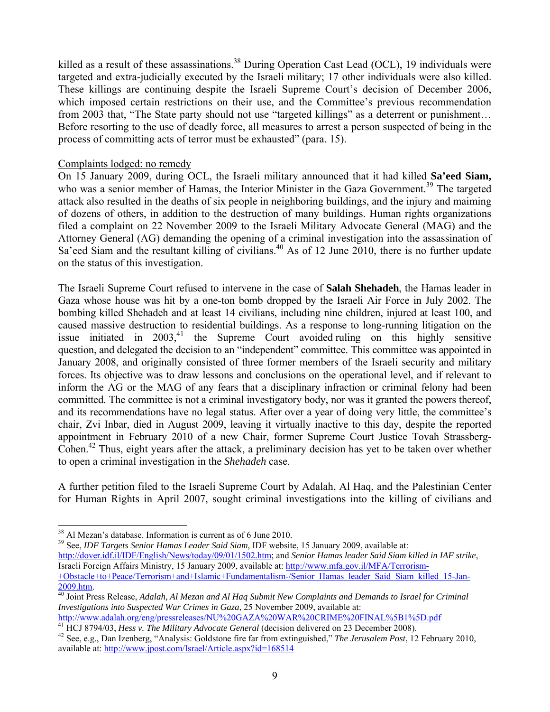killed as a result of these assassinations.<sup>38</sup> During Operation Cast Lead (OCL), 19 individuals were targeted and extra-judicially executed by the Israeli military; 17 other individuals were also killed. These killings are continuing despite the Israeli Supreme Court's decision of December 2006, which imposed certain restrictions on their use, and the Committee's previous recommendation from 2003 that, "The State party should not use "targeted killings" as a deterrent or punishment... Before resorting to the use of deadly force, all measures to arrest a person suspected of being in the process of committing acts of terror must be exhausted" (para. 15).

# Complaints lodged: no remedy

On 15 January 2009, during OCL, the Israeli military announced that it had killed **Sa'eed Siam,** who was a senior member of Hamas, the Interior Minister in the Gaza Government.<sup>39</sup> The targeted attack also resulted in the deaths of six people in neighboring buildings, and the injury and maiming of dozens of others, in addition to the destruction of many buildings. Human rights organizations filed a complaint on 22 November 2009 to the Israeli Military Advocate General (MAG) and the Attorney General (AG) demanding the opening of a criminal investigation into the assassination of Sa'eed Siam and the resultant killing of civilians.<sup>40</sup> As of 12 June 2010, there is no further update on the status of this investigation.

The Israeli Supreme Court refused to intervene in the case of **Salah Shehadeh**, the Hamas leader in Gaza whose house was hit by a one-ton bomb dropped by the Israeli Air Force in July 2002. The bombing killed Shehadeh and at least 14 civilians, including nine children, injured at least 100, and caused massive destruction to residential buildings. As a response to long-running litigation on the issue initiated in  $2003$ ,<sup>41</sup> the Supreme Court avoided ruling on this highly sensitive question, and delegated the decision to an "independent" committee. This committee was appointed in January 2008, and originally consisted of three former members of the Israeli security and military forces. Its objective was to draw lessons and conclusions on the operational level, and if relevant to inform the AG or the MAG of any fears that a disciplinary infraction or criminal felony had been committed. The committee is not a criminal investigatory body, nor was it granted the powers thereof, and its recommendations have no legal status. After over a year of doing very little, the committee's chair, Zvi Inbar, died in August 2009, leaving it virtually inactive to this day, despite the reported appointment in February 2010 of a new Chair, former Supreme Court Justice Tovah Strassberg-Cohen.42 Thus, eight years after the attack, a preliminary decision has yet to be taken over whether to open a criminal investigation in the *Shehadeh* case.

A further petition filed to the Israeli Supreme Court by Adalah, Al Haq, and the Palestinian Center for Human Rights in April 2007, sought criminal investigations into the killing of civilians and

l

39 See, *IDF Targets Senior Hamas Leader Said Siam*, IDF website, 15 January 2009, available at: http://dover.idf.il/IDF/English/News/today/09/01/1502.htm; and *Senior Hamas leader Said Siam killed in IAF strike*, Israeli Foreign Affairs Ministry, 15 January 2009, available at: http://www.mfa.gov.il/MFA/Terrorism-+Obstacle+to+Peace/Terrorism+and+Islamic+Fundamentalism-/Senior\_Hamas\_leader\_Said\_Siam\_killed\_15-Jan-

<sup>41</sup> HCJ 8794/03, *Hess v. The Military Advocate General* (decision delivered on 23 December 2008).<br><sup>42</sup> See, e.g., Dan Izenberg, "Analysis: Goldstone fire far from extinguished," *The Jerusalem Post*, 12 February 2010,

<sup>&</sup>lt;sup>38</sup> Al Mezan's database. Information is current as of 6 June 2010.

<sup>2009.</sup>htm. 40 Joint Press Release, *Adalah, Al Mezan and Al Haq Submit New Complaints and Demands to Israel for Criminal Investigations into Suspected War Crimes in Gaza*, 25 November 2009, available at:

available at: http://www.jpost.com/Israel/Article.aspx?id=168514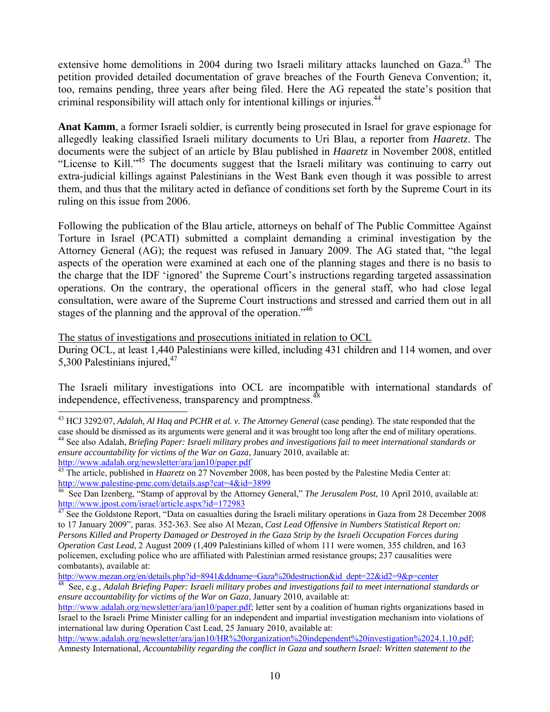extensive home demolitions in 2004 during two Israeli military attacks launched on Gaza.<sup>43</sup> The petition provided detailed documentation of grave breaches of the Fourth Geneva Convention; it, too, remains pending, three years after being filed. Here the AG repeated the state's position that criminal responsibility will attach only for intentional killings or injuries.<sup>44</sup>

**Anat Kamm**, a former Israeli soldier, is currently being prosecuted in Israel for grave espionage for allegedly leaking classified Israeli military documents to Uri Blau, a reporter from *Haaretz*. The documents were the subject of an article by Blau published in *Haaretz* in November 2008, entitled "License to Kill."45 The documents suggest that the Israeli military was continuing to carry out extra-judicial killings against Palestinians in the West Bank even though it was possible to arrest them, and thus that the military acted in defiance of conditions set forth by the Supreme Court in its ruling on this issue from 2006.

Following the publication of the Blau article, attorneys on behalf of The Public Committee Against Torture in Israel (PCATI) submitted a complaint demanding a criminal investigation by the Attorney General (AG); the request was refused in January 2009. The AG stated that, "the legal aspects of the operation were examined at each one of the planning stages and there is no basis to the charge that the IDF 'ignored' the Supreme Court's instructions regarding targeted assassination operations. On the contrary, the operational officers in the general staff, who had close legal consultation, were aware of the Supreme Court instructions and stressed and carried them out in all stages of the planning and the approval of the operation.<sup>146</sup>

The status of investigations and prosecutions initiated in relation to OCL

l

During OCL, at least 1,440 Palestinians were killed, including 431 children and 114 women, and over 5,300 Palestinians injured, $47$ 

The Israeli military investigations into OCL are incompatible with international standards of independence, effectiveness, transparency and promptness.<sup>4</sup>

<sup>43</sup> HCJ 3292/07, *Adalah, Al Haq and PCHR et al. v. The Attorney General* (case pending). The state responded that the case should be dismissed as its arguments were general and it was brought too long after the end of military operations.<br><sup>44</sup> See also Adalah, *Briefing Paper: Israeli military probes and investigations fail to meet intern* 

*ensure accountability for victims of the War on Gaza*, January 2010, available at:

http://www.adalah.org/newsletter/ara/jan10/paper.pdf<br><sup>45</sup> The article, published in *Haaretz* on 27 November 2008, has been posted by the Palestine Media Center at:<br>http://www.palestine-pmc.com/details.asp?cat=4&id=3899

<sup>&</sup>lt;sup>46</sup> See Dan Izenberg, "Stamp of approval by the Attorney General," *The Jerusalem Post*, 10 April 2010, available at:<br>http://www.jpost.com/israel/article.aspx?id=172983

 $h<sup>47</sup>$  See the Goldstone Report, "Data on casualties during the Israeli military operations in Gaza from 28 December 2008 to 17 January 2009", paras. 352-363. See also Al Mezan, *Cast Lead Offensive in Numbers Statistical Report on: Persons Killed and Property Damaged or Destroyed in the Gaza Strip by the Israeli Occupation Forces during Operation Cast Lead*, 2 August 2009 (1,409 Palestinians killed of whom 111 were women, 355 children, and 163 policemen, excluding police who are affiliated with Palestinian armed resistance groups; 237 causalities were combatants), available at:<br>http://www.mezan.org/en/details.php?id=8941&ddname=Gaza%20destruction&id\_dept=22&id2=9&p=center

<sup>&</sup>lt;sup>48</sup> See, e.g., *Adalah Briefing Paper: Israeli military probes and investigations fail to meet international standards or ensure accountability for victims of the War on Gaza*, January 2010, available at:

http://www.adalah.org/newsletter/ara/jan10/paper.pdf; letter sent by a coalition of human rights organizations based in Israel to the Israeli Prime Minister calling for an independent and impartial investigation mechanism into violations of international law during Operation Cast Lead, 25 January 2010, available at:

http://www.adalah.org/newsletter/ara/jan10/HR%20organization%20independent%20investigation%2024.1.10.pdf; Amnesty International, *Accountability regarding the conflict in Gaza and southern Israel: Written statement to the*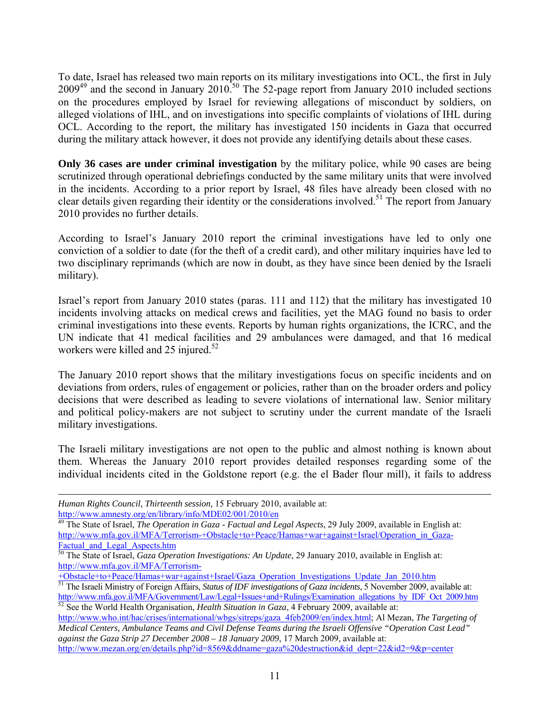To date, Israel has released two main reports on its military investigations into OCL, the first in July  $2009^{49}$  and the second in January 2010.<sup>50</sup> The 52-page report from January 2010 included sections on the procedures employed by Israel for reviewing allegations of misconduct by soldiers, on alleged violations of IHL, and on investigations into specific complaints of violations of IHL during OCL. According to the report, the military has investigated 150 incidents in Gaza that occurred during the military attack however, it does not provide any identifying details about these cases.

**Only 36 cases are under criminal investigation** by the military police, while 90 cases are being scrutinized through operational debriefings conducted by the same military units that were involved in the incidents. According to a prior report by Israel, 48 files have already been closed with no clear details given regarding their identity or the considerations involved.<sup>51</sup> The report from January 2010 provides no further details.

According to Israel's January 2010 report the criminal investigations have led to only one conviction of a soldier to date (for the theft of a credit card), and other military inquiries have led to two disciplinary reprimands (which are now in doubt, as they have since been denied by the Israeli military).

Israel's report from January 2010 states (paras. 111 and 112) that the military has investigated 10 incidents involving attacks on medical crews and facilities, yet the MAG found no basis to order criminal investigations into these events. Reports by human rights organizations, the ICRC, and the UN indicate that 41 medical facilities and 29 ambulances were damaged, and that 16 medical workers were killed and 25 injured. $52$ 

The January 2010 report shows that the military investigations focus on specific incidents and on deviations from orders, rules of engagement or policies, rather than on the broader orders and policy decisions that were described as leading to severe violations of international law. Senior military and political policy-makers are not subject to scrutiny under the current mandate of the Israeli military investigations.

The Israeli military investigations are not open to the public and almost nothing is known about them. Whereas the January 2010 report provides detailed responses regarding some of the individual incidents cited in the Goldstone report (e.g. the el Bader flour mill), it fails to address

-

*Human Rights Council, Thirteenth session,* 15 February 2010, available at:<br>http://www.amnesty.org/en/library/info/MDE02/001/2010/en

<sup>&</sup>lt;sup>49</sup> The State of Israel, *The Operation in Gaza - Factual and Legal Aspects*, 29 July 2009, available in English at: http://www.mfa.gov.il/MFA/Terrorism-+Obstacle+to+Peace/Hamas+war+against+Israel/Operation\_in\_Gaza-<br>Factual and Legal Aspects.htm

<sup>&</sup>lt;sup>50</sup> The State of Israel, *Gaza Operation Investigations: An Update*, 29 January 2010, available in English at: http://www.mfa.gov.il/MFA/Terrorism-

<sup>+</sup>Obstacle+to+Peace/Hamas+war+against+Israel/Gaza\_Operation\_Investigations\_Update\_Jan\_2010.htm 51 The Israeli Ministry of Foreign Affairs, *Status of IDF investigations of Gaza incidents*, 5 November 2009, available at: http://www.mfa.gov.il/MFA/Government/Law/Legal+Issues+and+Rulings/Examination\_allegations\_by\_IDF\_Oct\_2009.htm <sup>52</sup> See the World Health Organisation, *Health Situation in Gaza*, 4 February 2009, available at:

http://www.who.int/hac/crises/international/wbgs/sitreps/gaza\_4feb2009/en/index.html; Al Mezan, *The Targeting of Medical Centers, Ambulance Teams and Civil Defense Teams during the Israeli Offensive "Operation Cast Lead" against the Gaza Strip 27 December 2008 – 18 January 2009*, 17 March 2009, available at: http://www.mezan.org/en/details.php?id=8569&ddname=gaza%20destruction&id\_dept=22&id2=9&p=center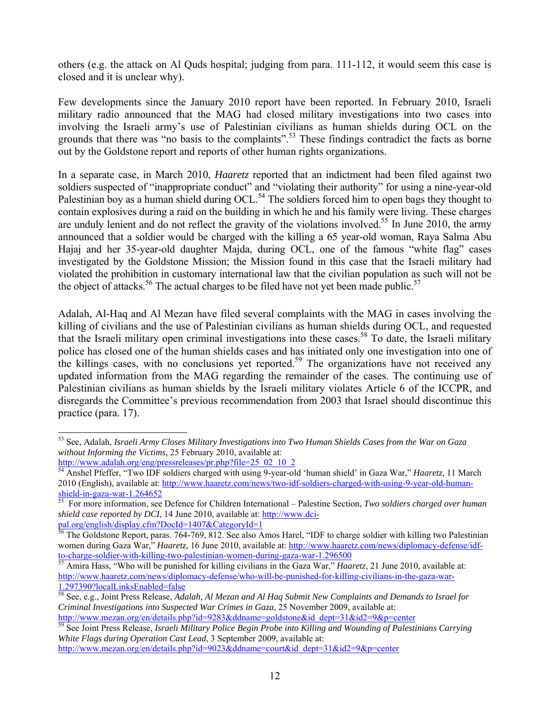others (e.g. the attack on Al Quds hospital; judging from para. 111-112, it would seem this case is closed and it is unclear why).

Few developments since the January 2010 report have been reported. In February 2010, Israeli military radio announced that the MAG had closed military investigations into two cases into involving the Israeli army's use of Palestinian civilians as human shields during OCL on the grounds that there was "no basis to the complaints".<sup>53</sup> These findings contradict the facts as borne out by the Goldstone report and reports of other human rights organizations.

In a separate case, in March 2010, *Haaretz* reported that an indictment had been filed against two soldiers suspected of "inappropriate conduct" and "violating their authority" for using a nine-year-old Palestinian boy as a human shield during OCL.<sup>54</sup> The soldiers forced him to open bags they thought to contain explosives during a raid on the building in which he and his family were living. These charges are unduly lenient and do not reflect the gravity of the violations involved.<sup>55</sup> In June 2010, the army announced that a soldier would be charged with the killing a 65 year-old woman, Raya Salma Abu Hajaj and her 35-year-old daughter Majda, during OCL, one of the famous "white flag" cases investigated by the Goldstone Mission; the Mission found in this case that the Israeli military had violated the prohibition in customary international law that the civilian population as such will not be the object of attacks.<sup>56</sup> The actual charges to be filed have not yet been made public.<sup>57</sup>

Adalah, Al-Haq and Al Mezan have filed several complaints with the MAG in cases involving the killing of civilians and the use of Palestinian civilians as human shields during OCL, and requested that the Israeli military open criminal investigations into these cases.<sup>58</sup> To date, the Israeli military police has closed one of the human shields cases and has initiated only one investigation into one of the killings cases, with no conclusions yet reported.<sup>59</sup> The organizations have not received any updated information from the MAG regarding the remainder of the cases. The continuing use of Palestinian civilians as human shields by the Israeli military violates Article 6 of the ICCPR, and disregards the Committee's previous recommendation from 2003 that Israel should discontinue this practice (para. 17).

l 53 See, Adalah, *Israeli Army Closes Military Investigations into Two Human Shields Cases from the War on Gaza without Informing the Victims*, 25 February 2010, available at:

http://www.adalah.org/eng/pressreleases/pr.php?file=25\_02\_10\_2 54 Anshel Pfeffer, "Two IDF soldiers charged with using 9-year-old 'human shield' in Gaza War," *Haaretz*, 11 March 2010 (English), available at: http://www.haaretz.com/news/two-idf-soldiers-charged-with-using-9-year-old-human-<br>shield-in-gaza-war-1.264652<br>55 For more information asserts.

For more information, see Defence for Children International – Palestine Section, *Two soldiers charged over human shield case reported by DCI*, 14 June 2010, available at: http://www.dci-

pal.org/english/display.cfm?DocId=1407&CategoryId=1<br><sup>56</sup> The Goldstone Report, paras. 764-769, 812. See also Amos Harel, "IDF to charge soldier with killing two Palestinian women during Gaza War," *Haaretz*, 16 June 2010, available at: http://www.haaretz.com/news/diplomacy-defense/idfto-charge-soldier-with-killing-two-palestinian-women-during-gaza-war-1.296500<br><sup>57</sup> Amira Hass, "Who will be punished for killing civilians in the Gaza War," *Haaretz*, 21 June 2010, available at:

http://www.haaretz.com/news/diplomacy-defense/who-will-be-punished-for-killing-civilians-in-the-gaza-war-1.297390?localLinksEnabled=false

<sup>58</sup> See, e.g., Joint Press Release, *Adalah, Al Mezan and Al Haq Submit New Complaints and Demands to Israel for Criminal Investigations into Suspected War Crimes in Gaza*, 25 November 2009, available at:

http://www.mezan.org/en/details.php?id=9283&ddname=goldstone&id\_dept=31&id2=9&p=center<br><sup>59</sup> See Joint Press Release, *Israeli Military Police Begin Probe into Killing and Wounding of Palestinians Carrying White Flags during Operation Cast Lead*, 3 September 2009, available at:

http://www.mezan.org/en/details.php?id=9023&ddname=court&id\_dept=31&id2=9&p=center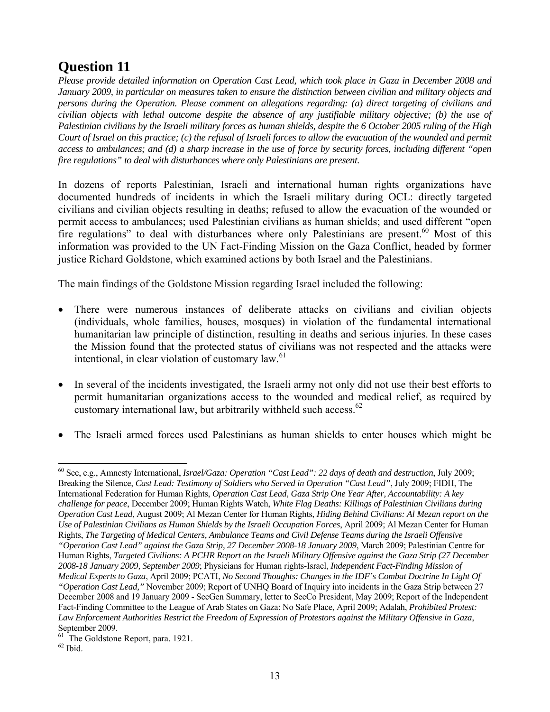# **Question 11**

*Please provide detailed information on Operation Cast Lead, which took place in Gaza in December 2008 and January 2009, in particular on measures taken to ensure the distinction between civilian and military objects and persons during the Operation. Please comment on allegations regarding: (a) direct targeting of civilians and civilian objects with lethal outcome despite the absence of any justifiable military objective; (b) the use of Palestinian civilians by the Israeli military forces as human shields, despite the 6 October 2005 ruling of the High Court of Israel on this practice; (c) the refusal of Israeli forces to allow the evacuation of the wounded and permit access to ambulances; and (d) a sharp increase in the use of force by security forces, including different "open fire regulations" to deal with disturbances where only Palestinians are present.*

In dozens of reports Palestinian, Israeli and international human rights organizations have documented hundreds of incidents in which the Israeli military during OCL: directly targeted civilians and civilian objects resulting in deaths; refused to allow the evacuation of the wounded or permit access to ambulances; used Palestinian civilians as human shields; and used different "open fire regulations" to deal with disturbances where only Palestinians are present.<sup>60</sup> Most of this information was provided to the UN Fact-Finding Mission on the Gaza Conflict, headed by former justice Richard Goldstone, which examined actions by both Israel and the Palestinians.

The main findings of the Goldstone Mission regarding Israel included the following:

- There were numerous instances of deliberate attacks on civilians and civilian objects (individuals, whole families, houses, mosques) in violation of the fundamental international humanitarian law principle of distinction, resulting in deaths and serious injuries. In these cases the Mission found that the protected status of civilians was not respected and the attacks were intentional, in clear violation of customary law.<sup>61</sup>
- In several of the incidents investigated, the Israeli army not only did not use their best efforts to permit humanitarian organizations access to the wounded and medical relief, as required by customary international law, but arbitrarily withheld such access.<sup>62</sup>
- The Israeli armed forces used Palestinians as human shields to enter houses which might be

<sup>60</sup> See, e.g., Amnesty International, *Israel/Gaza: Operation "Cast Lead": 22 days of death and destruction*, July 2009; Breaking the Silence, *Cast Lead: Testimony of Soldiers who Served in Operation "Cast Lead"*, July 2009; FIDH, The International Federation for Human Rights, *Operation Cast Lead, Gaza Strip One Year After, Accountability: A key challenge for peace*, December 2009; Human Rights Watch, *White Flag Deaths: Killings of Palestinian Civilians during Operation Cast Lead*, August 2009; Al Mezan Center for Human Rights, *Hiding Behind Civilians: Al Mezan report on the Use of Palestinian Civilians as Human Shields by the Israeli Occupation Forces*, April 2009; Al Mezan Center for Human Rights, *The Targeting of Medical Centers, Ambulance Teams and Civil Defense Teams during the Israeli Offensive "Operation Cast Lead" against the Gaza Strip, 27 December 2008-18 January 2009*, March 2009; Palestinian Centre for Human Rights, *Targeted Civilians: A PCHR Report on the Israeli Military Offensive against the Gaza Strip (27 December 2008-18 January 2009, September 2009*; Physicians for Human rights-Israel, *Independent Fact-Finding Mission of Medical Experts to Gaza*, April 2009; PCATI, *No Second Thoughts: Changes in the IDF's Combat Doctrine In Light Of "Operation Cast Lead,"* November 2009; Report of UNHQ Board of Inquiry into incidents in the Gaza Strip between 27 December 2008 and 19 January 2009 - SecGen Summary, letter to SecCo President, May 2009; Report of the Independent Fact-Finding Committee to the League of Arab States on Gaza: No Safe Place, April 2009; Adalah, *Prohibited Protest: Law Enforcement Authorities Restrict the Freedom of Expression of Protestors against the Military Offensive in Gaza*, September 2009.

 $61$  The Goldstone Report, para. 1921.

 $62$  Ibid.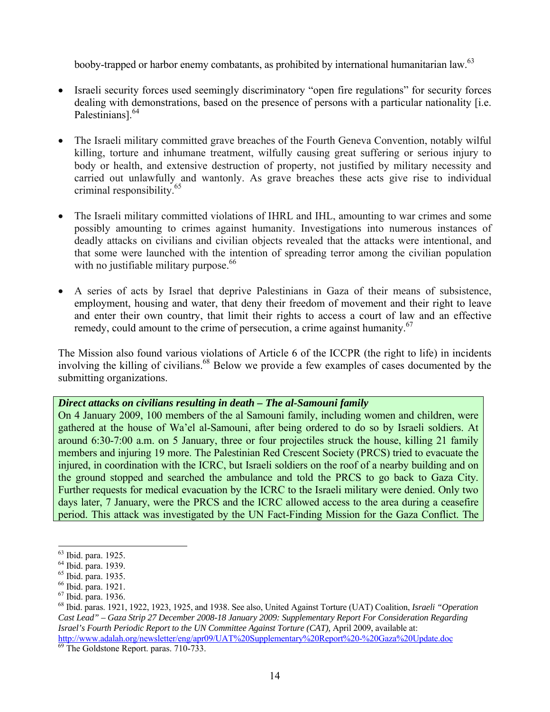booby-trapped or harbor enemy combatants, as prohibited by international humanitarian law.<sup>63</sup>

- Israeli security forces used seemingly discriminatory "open fire regulations" for security forces dealing with demonstrations, based on the presence of persons with a particular nationality [i.e. Palestinians<sup>1.64</sup>
- The Israeli military committed grave breaches of the Fourth Geneva Convention, notably wilful killing, torture and inhumane treatment, wilfully causing great suffering or serious injury to body or health, and extensive destruction of property, not justified by military necessity and carried out unlawfully and wantonly. As grave breaches these acts give rise to individual criminal responsibility.65
- The Israeli military committed violations of IHRL and IHL, amounting to war crimes and some possibly amounting to crimes against humanity. Investigations into numerous instances of deadly attacks on civilians and civilian objects revealed that the attacks were intentional, and that some were launched with the intention of spreading terror among the civilian population with no justifiable military purpose. $66$
- A series of acts by Israel that deprive Palestinians in Gaza of their means of subsistence, employment, housing and water, that deny their freedom of movement and their right to leave and enter their own country, that limit their rights to access a court of law and an effective remedy, could amount to the crime of persecution, a crime against humanity.<sup>67</sup>

The Mission also found various violations of Article 6 of the ICCPR (the right to life) in incidents involving the killing of civilians.<sup>68</sup> Below we provide a few examples of cases documented by the submitting organizations.

## *Direct attacks on civilians resulting in death – The al-Samouni family*

On 4 January 2009, 100 members of the al Samouni family, including women and children, were gathered at the house of Wa'el al-Samouni, after being ordered to do so by Israeli soldiers. At around 6:30-7:00 a.m. on 5 January, three or four projectiles struck the house, killing 21 family members and injuring 19 more. The Palestinian Red Crescent Society (PRCS) tried to evacuate the injured, in coordination with the ICRC, but Israeli soldiers on the roof of a nearby building and on the ground stopped and searched the ambulance and told the PRCS to go back to Gaza City. Further requests for medical evacuation by the ICRC to the Israeli military were denied. Only two days later, 7 January, were the PRCS and the ICRC allowed access to the area during a ceasefire period. This attack was investigated by the UN Fact-Finding Mission for the Gaza Conflict. The

<sup>&</sup>lt;sup>63</sup> Ibid. para. 1925.

<sup>64</sup> Ibid. para. 1939.

<sup>65</sup> Ibid. para. 1935.

<sup>66</sup> Ibid. para. 1921.

<sup>67</sup> Ibid. para. 1936.

<sup>68</sup> Ibid. paras. 1921, 1922, 1923, 1925, and 1938. See also, United Against Torture (UAT) Coalition, *Israeli "Operation Cast Lead" – Gaza Strip 27 December 2008-18 January 2009: Supplementary Report For Consideration Regarding Israel's Fourth Periodic Report to the UN Committee Against Torture (CAT),* April 2009, available at: http://www.adalah.org/newsletter/eng/apr09/UAT%20Supplementary%20Report%20-%20Gaza%20Update.doc 69 The Goldstone Report. paras. 710-733.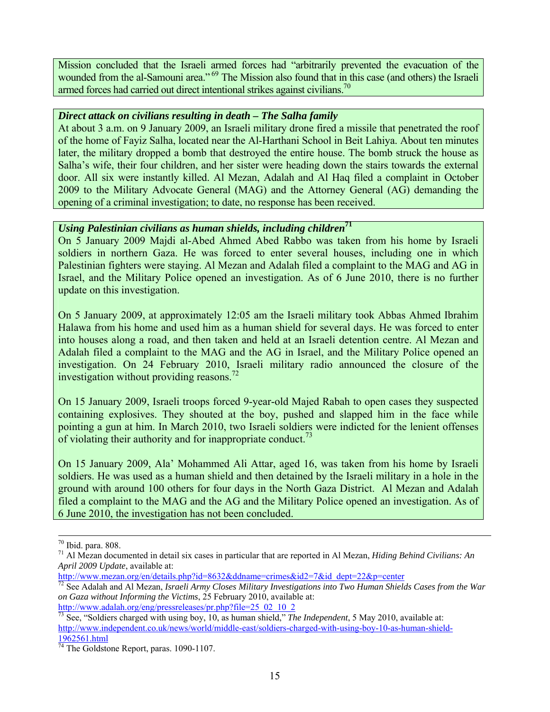Mission concluded that the Israeli armed forces had "arbitrarily prevented the evacuation of the wounded from the al-Samouni area."<sup>69</sup> The Mission also found that in this case (and others) the Israeli armed forces had carried out direct intentional strikes against civilians.<sup>70</sup>

# *Direct attack on civilians resulting in death – The Salha family*

At about 3 a.m. on 9 January 2009, an Israeli military drone fired a missile that penetrated the roof of the home of Fayiz Salha, located near the Al-Harthani School in Beit Lahiya. About ten minutes later, the military dropped a bomb that destroyed the entire house. The bomb struck the house as Salha's wife, their four children, and her sister were heading down the stairs towards the external door. All six were instantly killed. Al Mezan, Adalah and Al Haq filed a complaint in October 2009 to the Military Advocate General (MAG) and the Attorney General (AG) demanding the opening of a criminal investigation; to date, no response has been received.

# *Using Palestinian civilians as human shields, including children***71**

On 5 January 2009 Majdi al-Abed Ahmed Abed Rabbo was taken from his home by Israeli soldiers in northern Gaza. He was forced to enter several houses, including one in which Palestinian fighters were staying. Al Mezan and Adalah filed a complaint to the MAG and AG in Israel, and the Military Police opened an investigation. As of 6 June 2010, there is no further update on this investigation.

On 5 January 2009, at approximately 12:05 am the Israeli military took Abbas Ahmed Ibrahim Halawa from his home and used him as a human shield for several days. He was forced to enter into houses along a road, and then taken and held at an Israeli detention centre. Al Mezan and Adalah filed a complaint to the MAG and the AG in Israel, and the Military Police opened an investigation. On 24 February 2010, Israeli military radio announced the closure of the investigation without providing reasons.<sup>72</sup>

On 15 January 2009, Israeli troops forced 9-year-old Majed Rabah to open cases they suspected containing explosives. They shouted at the boy, pushed and slapped him in the face while pointing a gun at him. In March 2010, two Israeli soldiers were indicted for the lenient offenses of violating their authority and for inappropriate conduct.<sup>73</sup>

On 15 January 2009, Ala' Mohammed Ali Attar, aged 16, was taken from his home by Israeli soldiers. He was used as a human shield and then detained by the Israeli military in a hole in the ground with around 100 others for four days in the North Gaza District. Al Mezan and Adalah filed a complaint to the MAG and the AG and the Military Police opened an investigation. As of 6 June 2010, the investigation has not been concluded.

 <sup>70</sup> Ibid. para. 808.

<sup>71</sup> Al Mezan documented in detail six cases in particular that are reported in Al Mezan, *Hiding Behind Civilians: An April 2009 Update*, available at:<br>http://www.mezan.org/en/details.php?id=8632&ddname=crimes&id2=7&id\_dept=22&p=center

<sup>&</sup>lt;sup>72</sup> See Adalah and Al Mezan, *Israeli Army Closes Military Investigations into Two Human Shields Cases from the War on Gaza without Informing the Victims*, 25 February 2010, available at:<br>http://www.adalah.org/eng/pressreleases/pr.php?file=25 02 10 2

<sup>&</sup>lt;sup>73</sup> See, "Soldiers charged with using boy, 10, as human shield," *The Independent*, 5 May 2010, available at: http://www.independent.co.uk/news/world/middle-east/soldiers-charged-with-using-boy-10-as-human-shield-1962561.html

 $\frac{74}{74}$  The Goldstone Report, paras. 1090-1107.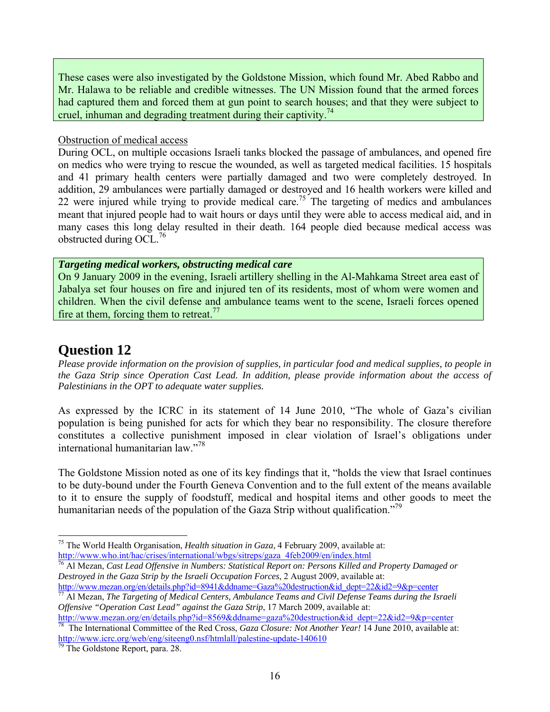These cases were also investigated by the Goldstone Mission, which found Mr. Abed Rabbo and Mr. Halawa to be reliable and credible witnesses. The UN Mission found that the armed forces had captured them and forced them at gun point to search houses; and that they were subject to cruel, inhuman and degrading treatment during their captivity.<sup>74</sup>

#### Obstruction of medical access

During OCL, on multiple occasions Israeli tanks blocked the passage of ambulances, and opened fire on medics who were trying to rescue the wounded, as well as targeted medical facilities. 15 hospitals and 41 primary health centers were partially damaged and two were completely destroyed. In addition, 29 ambulances were partially damaged or destroyed and 16 health workers were killed and 22 were injured while trying to provide medical care.<sup>75</sup> The targeting of medics and ambulances meant that injured people had to wait hours or days until they were able to access medical aid, and in many cases this long delay resulted in their death. 164 people died because medical access was obstructed during OCL.<sup>76</sup>

#### *Targeting medical workers, obstructing medical care*

On 9 January 2009 in the evening, Israeli artillery shelling in the Al-Mahkama Street area east of Jabalya set four houses on fire and injured ten of its residents, most of whom were women and children. When the civil defense and ambulance teams went to the scene, Israeli forces opened fire at them, forcing them to retreat.<sup>77</sup>

# **Question 12**

l

*Please provide information on the provision of supplies, in particular food and medical supplies, to people in the Gaza Strip since Operation Cast Lead. In addition, please provide information about the access of Palestinians in the OPT to adequate water supplies.*

As expressed by the ICRC in its statement of 14 June 2010, "The whole of Gaza's civilian population is being punished for acts for which they bear no responsibility. The closure therefore constitutes a collective punishment imposed in clear violation of Israel's obligations under international humanitarian law."78

The Goldstone Mission noted as one of its key findings that it, "holds the view that Israel continues to be duty-bound under the Fourth Geneva Convention and to the full extent of the means available to it to ensure the supply of foodstuff, medical and hospital items and other goods to meet the humanitarian needs of the population of the Gaza Strip without qualification."<sup>79</sup>

*Offensive "Operation Cast Lead" against the Gaza Strip*, 17 March 2009, available at:

<sup>75</sup> The World Health Organisation, *Health situation in Gaza*, 4 February 2009, available at: http://www.who.int/hac/crises/international/wbgs/sitreps/gaza\_4feb2009/en/index.html<br><sup>76</sup> Al Mezan, *Cast Lead Offensive in Numbers: Statistical Report on: Persons Killed and Property Damaged or* 

*Destroyed in the Gaza Strip by the Israeli Occupation Forces*, 2 August 2009, available at:<br>http://www.mezan.org/en/details.php?id=8941&ddname=Gaza%20destruction&id\_dept=22&id2=9&p=center

<sup>&</sup>lt;sup>77</sup> Al Mezan, The Targeting of Medical Centers, Ambulance Teams and Civil Defense Teams during the Israeli

http://www.mezan.org/en/details.php?id=8569&ddname=gaza%20destruction&id\_dept=22&id2=9&p=center 78 The International Committee of the Red Cross, *Gaza Closure: Not Another Year!* 14 June 2010, available at: http://www.icrc.org/web/eng/siteeng0.nsf/htmlall/palestine-update-140610<br><sup>79</sup> The Goldstone Report, para. 28.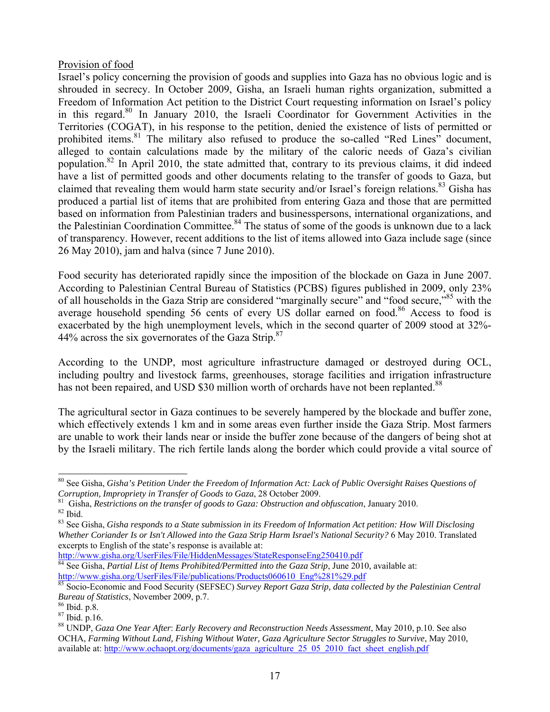# Provision of food

Israel's policy concerning the provision of goods and supplies into Gaza has no obvious logic and is shrouded in secrecy. In October 2009, Gisha, an Israeli human rights organization, submitted a Freedom of Information Act petition to the District Court requesting information on Israel's policy in this regard.80 In January 2010, the Israeli Coordinator for Government Activities in the Territories (COGAT), in his response to the petition, denied the existence of lists of permitted or prohibited items.<sup>81</sup> The military also refused to produce the so-called "Red Lines" document, alleged to contain calculations made by the military of the caloric needs of Gaza's civilian population.<sup>82</sup> In April 2010, the state admitted that, contrary to its previous claims, it did indeed have a list of permitted goods and other documents relating to the transfer of goods to Gaza, but claimed that revealing them would harm state security and/or Israel's foreign relations.<sup>83</sup> Gisha has produced a partial list of items that are prohibited from entering Gaza and those that are permitted based on information from Palestinian traders and businesspersons, international organizations, and the Palestinian Coordination Committee.<sup>84</sup> The status of some of the goods is unknown due to a lack of transparency. However, recent additions to the list of items allowed into Gaza include sage (since 26 May 2010), jam and halva (since 7 June 2010).

Food security has deteriorated rapidly since the imposition of the blockade on Gaza in June 2007. According to Palestinian Central Bureau of Statistics (PCBS) figures published in 2009, only 23% of all households in the Gaza Strip are considered "marginally secure" and "food secure,"<sup>85</sup> with the average household spending 56 cents of every US dollar earned on food.<sup>86</sup> Access to food is exacerbated by the high unemployment levels, which in the second quarter of 2009 stood at 32%- 44% across the six governorates of the Gaza Strip. $87$ 

According to the UNDP, most agriculture infrastructure damaged or destroyed during OCL, including poultry and livestock farms, greenhouses, storage facilities and irrigation infrastructure has not been repaired, and USD \$30 million worth of orchards have not been replanted.<sup>88</sup>

The agricultural sector in Gaza continues to be severely hampered by the blockade and buffer zone, which effectively extends 1 km and in some areas even further inside the Gaza Strip. Most farmers are unable to work their lands near or inside the buffer zone because of the dangers of being shot at by the Israeli military. The rich fertile lands along the border which could provide a vital source of

<sup>80</sup> See Gisha, *Gisha's Petition Under the Freedom of Information Act: Lack of Public Oversight Raises Questions of* 

*Corruption, Impropriety in Transfer of Goods to Gaza,* 28 October 2009.<br><sup>81</sup> Gisha, *Restrictions on the transfer of goods to Gaza: Obstruction and obfuscation, January 2010.*<br><sup>82</sup> Ibid.

<sup>83</sup> See Gisha, *Gisha responds to a State submission in its Freedom of Information Act petition: How Will Disclosing Whether Coriander Is or Isn't Allowed into the Gaza Strip Harm Israel's National Security?* 6 May 2010. Translated excerpts to English of the state's response is available at:<br>http://www.gisha.org/UserFiles/File/HiddenMessages/StateResponseEng250410.pdf

http://www.gisha.org/UserFiles/File/publications/Products060610 Eng%281%29.pdf 84:<br>http://www.gisha.org/UserFiles/File/publications/Products060610 Eng%281%29.pdf

<sup>&</sup>lt;sup>85</sup> Socio-Economic and Food Security (SEFSEC) *Survey Report Gaza Strip, data collected by the Palestinian Central Bureau of Statistics*, November 2009, p.7. <sup>86</sup> Ibid. p.8.

 $87$  Ibid. p. 16.

<sup>88</sup> UNDP, *Gaza One Year After*: *Early Recovery and Reconstruction Needs Assessment*, May 2010, p.10. See also OCHA, *Farming Without Land, Fishing Without Water, Gaza Agriculture Sector Struggles to Survive*, May 2010, available at: http://www.ochaopt.org/documents/gaza\_agriculture\_25\_05\_2010\_fact\_sheet\_english.pdf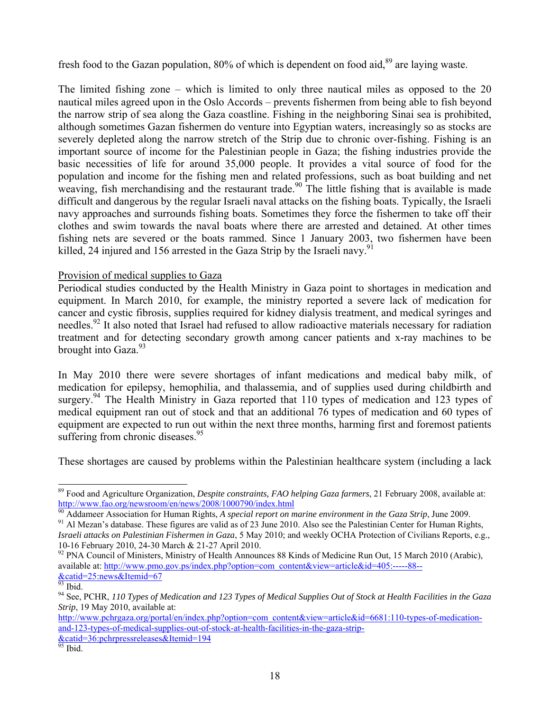fresh food to the Gazan population,  $80\%$  of which is dependent on food aid,  $89$  are laying waste.

The limited fishing zone – which is limited to only three nautical miles as opposed to the 20 nautical miles agreed upon in the Oslo Accords – prevents fishermen from being able to fish beyond the narrow strip of sea along the Gaza coastline. Fishing in the neighboring Sinai sea is prohibited, although sometimes Gazan fishermen do venture into Egyptian waters, increasingly so as stocks are severely depleted along the narrow stretch of the Strip due to chronic over-fishing. Fishing is an important source of income for the Palestinian people in Gaza; the fishing industries provide the basic necessities of life for around 35,000 people. It provides a vital source of food for the population and income for the fishing men and related professions, such as boat building and net weaving, fish merchandising and the restaurant trade.<sup>90</sup> The little fishing that is available is made difficult and dangerous by the regular Israeli naval attacks on the fishing boats. Typically, the Israeli navy approaches and surrounds fishing boats. Sometimes they force the fishermen to take off their clothes and swim towards the naval boats where there are arrested and detained. At other times fishing nets are severed or the boats rammed. Since 1 January 2003, two fishermen have been killed, 24 injured and 156 arrested in the Gaza Strip by the Israeli navy.<sup>91</sup>

# Provision of medical supplies to Gaza

Periodical studies conducted by the Health Ministry in Gaza point to shortages in medication and equipment. In March 2010, for example, the ministry reported a severe lack of medication for cancer and cystic fibrosis, supplies required for kidney dialysis treatment, and medical syringes and needles.<sup>92</sup> It also noted that Israel had refused to allow radioactive materials necessary for radiation treatment and for detecting secondary growth among cancer patients and x-ray machines to be brought into Gaza.<sup>93</sup>

In May 2010 there were severe shortages of infant medications and medical baby milk, of medication for epilepsy, hemophilia, and thalassemia, and of supplies used during childbirth and surgery.<sup>94</sup> The Health Ministry in Gaza reported that 110 types of medication and 123 types of medical equipment ran out of stock and that an additional 76 types of medication and 60 types of equipment are expected to run out within the next three months, harming first and foremost patients suffering from chronic diseases.<sup>95</sup>

These shortages are caused by problems within the Palestinian healthcare system (including a lack

<sup>89</sup> Food and Agriculture Organization, *Despite constraints, FAO helping Gaza farmers*, 21 February 2008, available at: http://www.fao.org/newsroom/en/news/2008/1000790/index.html<br><sup>90</sup> Addameer Association for Human Rights, *A special report on marine environment in the Gaza Strip*, June 2009.<br><sup>91</sup> Al Mezan's database. These figures are val

*Israeli attacks on Palestinian Fishermen in Gaza*, 5 May 2010; and weekly OCHA Protection of Civilians Reports, e.g., 10-16 February 2010, 24-30 March & 21-27 April 2010.

<sup>&</sup>lt;sup>92</sup> PNA Council of Ministers, Ministry of Health Announces 88 Kinds of Medicine Run Out, 15 March 2010 (Arabic), available at: http://www.pmo.gov.ps/index.php?option=com\_content&view=article&id=405:-----88-- &catid=25:news&Itemid=67

<sup>93</sup> Ibid.

<sup>94</sup> See, PCHR, *110 Types of Medication and 123 Types of Medical Supplies Out of Stock at Health Facilities in the Gaza Strip*, 19 May 2010, available at:

http://www.pchrgaza.org/portal/en/index.php?option=com\_content&view=article&id=6681:110-types-of-medicationand-123-types-of-medical-supplies-out-of-stock-at-health-facilities-in-the-gaza-strip- &catid=36:pchrpressreleases&Itemid=194 95 Ibid.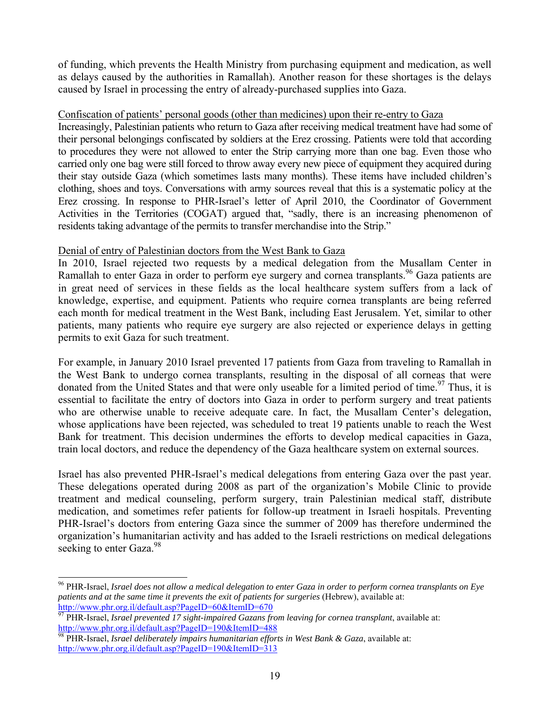of funding, which prevents the Health Ministry from purchasing equipment and medication, as well as delays caused by the authorities in Ramallah). Another reason for these shortages is the delays caused by Israel in processing the entry of already-purchased supplies into Gaza.

## Confiscation of patients' personal goods (other than medicines) upon their re-entry to Gaza

Increasingly, Palestinian patients who return to Gaza after receiving medical treatment have had some of their personal belongings confiscated by soldiers at the Erez crossing. Patients were told that according to procedures they were not allowed to enter the Strip carrying more than one bag. Even those who carried only one bag were still forced to throw away every new piece of equipment they acquired during their stay outside Gaza (which sometimes lasts many months). These items have included children's clothing, shoes and toys. Conversations with army sources reveal that this is a systematic policy at the Erez crossing. In response to PHR-Israel's letter of April 2010, the Coordinator of Government Activities in the Territories (COGAT) argued that, "sadly, there is an increasing phenomenon of residents taking advantage of the permits to transfer merchandise into the Strip."

# Denial of entry of Palestinian doctors from the West Bank to Gaza

In 2010, Israel rejected two requests by a medical delegation from the Musallam Center in Ramallah to enter Gaza in order to perform eye surgery and cornea transplants.<sup>96</sup> Gaza patients are in great need of services in these fields as the local healthcare system suffers from a lack of knowledge, expertise, and equipment. Patients who require cornea transplants are being referred each month for medical treatment in the West Bank, including East Jerusalem. Yet, similar to other patients, many patients who require eye surgery are also rejected or experience delays in getting permits to exit Gaza for such treatment.

For example, in January 2010 Israel prevented 17 patients from Gaza from traveling to Ramallah in the West Bank to undergo cornea transplants, resulting in the disposal of all corneas that were donated from the United States and that were only useable for a limited period of time.<sup>97</sup> Thus, it is essential to facilitate the entry of doctors into Gaza in order to perform surgery and treat patients who are otherwise unable to receive adequate care. In fact, the Musallam Center's delegation, whose applications have been rejected, was scheduled to treat 19 patients unable to reach the West Bank for treatment. This decision undermines the efforts to develop medical capacities in Gaza, train local doctors, and reduce the dependency of the Gaza healthcare system on external sources.

Israel has also prevented PHR-Israel's medical delegations from entering Gaza over the past year. These delegations operated during 2008 as part of the organization's Mobile Clinic to provide treatment and medical counseling, perform surgery, train Palestinian medical staff, distribute medication, and sometimes refer patients for follow-up treatment in Israeli hospitals. Preventing PHR-Israel's doctors from entering Gaza since the summer of 2009 has therefore undermined the organization's humanitarian activity and has added to the Israeli restrictions on medical delegations seeking to enter Gaza.<sup>98</sup>

<sup>96</sup> PHR-Israel, *Israel does not allow a medical delegation to enter Gaza in order to perform cornea transplants on Eye patients and at the same time it prevents the exit of patients for surgeries* (Hebrew), available at:<br>http://www.phr.org.il/default.asp?PageID=60&ItemID=670

<sup>&</sup>lt;sup>97</sup> PHR-Israel, *Israel prevented 17 sight-impaired Gazans from leaving for cornea transplant*, available at:<br>http://www.phr.org.il/default.asp?PageID=190&ItemID=488

PHR-Israel, *Israel deliberately impairs humanitarian efforts in West Bank & Gaza*, available at: http://www.phr.org.il/default.asp?PageID=190&ItemID=313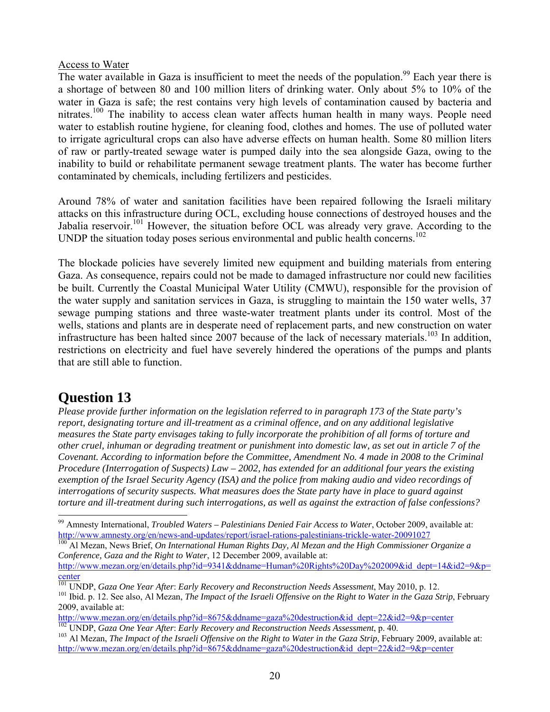# Access to Water

The water available in Gaza is insufficient to meet the needs of the population.<sup>99</sup> Each year there is a shortage of between 80 and 100 million liters of drinking water. Only about 5% to 10% of the water in Gaza is safe; the rest contains very high levels of contamination caused by bacteria and nitrates.100 The inability to access clean water affects human health in many ways. People need water to establish routine hygiene, for cleaning food, clothes and homes. The use of polluted water to irrigate agricultural crops can also have adverse effects on human health. Some 80 million liters of raw or partly-treated sewage water is pumped daily into the sea alongside Gaza, owing to the inability to build or rehabilitate permanent sewage treatment plants. The water has become further contaminated by chemicals, including fertilizers and pesticides.

Around 78% of water and sanitation facilities have been repaired following the Israeli military attacks on this infrastructure during OCL, excluding house connections of destroyed houses and the Jabalia reservoir.<sup>101</sup> However, the situation before OCL was already very grave. According to the UNDP the situation today poses serious environmental and public health concerns.<sup>102</sup>

The blockade policies have severely limited new equipment and building materials from entering Gaza. As consequence, repairs could not be made to damaged infrastructure nor could new facilities be built. Currently the Coastal Municipal Water Utility (CMWU), responsible for the provision of the water supply and sanitation services in Gaza, is struggling to maintain the 150 water wells, 37 sewage pumping stations and three waste-water treatment plants under its control. Most of the wells, stations and plants are in desperate need of replacement parts, and new construction on water infrastructure has been halted since 2007 because of the lack of necessary materials.<sup>103</sup> In addition, restrictions on electricity and fuel have severely hindered the operations of the pumps and plants that are still able to function.

# **Question 13**

*Please provide further information on the legislation referred to in paragraph 173 of the State party's report, designating torture and ill-treatment as a criminal offence, and on any additional legislative measures the State party envisages taking to fully incorporate the prohibition of all forms of torture and other cruel, inhuman or degrading treatment or punishment into domestic law, as set out in article 7 of the Covenant. According to information before the Committee, Amendment No. 4 made in 2008 to the Criminal Procedure (Interrogation of Suspects) Law – 2002, has extended for an additional four years the existing exemption of the Israel Security Agency (ISA) and the police from making audio and video recordings of interrogations of security suspects. What measures does the State party have in place to guard against torture and ill-treatment during such interrogations, as well as against the extraction of false confessions?* 

*Conference, Gaza and the Right to Water*, 12 December 2009, available at:

<sup>99</sup> Amnesty International, *Troubled Waters – Palestinians Denied Fair Access to Water*, October 2009, available at: http://www.amnesty.org/en/news-and-updates/report/israel-rations-palestinians-trickle-water-20091027<br><sup>100</sup> Al Mezan, News Brief, *On International Human Rights Day, Al Mezan and the High Commissioner Organize a* 

http://www.mezan.org/en/details.php?id=9341&ddname=Human%20Rights%20Day%202009&id\_dept=14&id2=9&p=

**Conternal Content Content Content** on Pear After: Early Recovery and Reconstruction Needs Assessment, May 2010, p. 12.<br><sup>101</sup> UNDP, Gaza One Year After: Early Recovery and Reconstruction Needs Assessment, May 2010, p. 12.

<sup>2009,</sup> available at:<br>http://www.mezan.org/en/details.php?id=8675&ddname=gaza%20destruction&id\_dept=22&id2=9&p=center

 $^{102}$  UNDP, Gaza One Year After: Early Recovery and Reconstruction Needs Assessment, p. 40.<br> $^{103}$  Al Mezan, *The Impact of the Israeli Offensive on the Right to Water in the Gaza Strip*, February 2009, available at: http://www.mezan.org/en/details.php?id=8675&ddname=gaza%20destruction&id\_dept=22&id2=9&p=center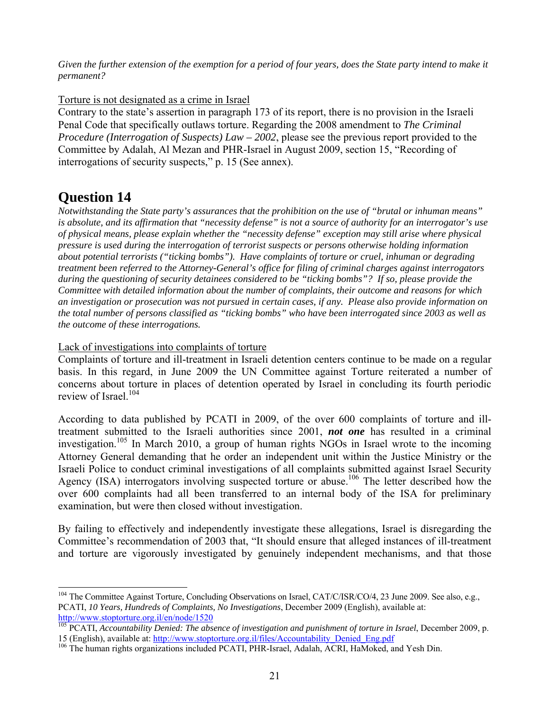*Given the further extension of the exemption for a period of four years, does the State party intend to make it permanent?*

Torture is not designated as a crime in Israel

Contrary to the state's assertion in paragraph 173 of its report, there is no provision in the Israeli Penal Code that specifically outlaws torture. Regarding the 2008 amendment to *The Criminal Procedure (Interrogation of Suspects) Law – 2002*, please see the previous report provided to the Committee by Adalah, Al Mezan and PHR-Israel in August 2009, section 15, "Recording of interrogations of security suspects," p. 15 (See annex).

# **Question 14**

l

*Notwithstanding the State party's assurances that the prohibition on the use of "brutal or inhuman means" is absolute, and its affirmation that "necessity defense" is not a source of authority for an interrogator's use of physical means, please explain whether the "necessity defense" exception may still arise where physical pressure is used during the interrogation of terrorist suspects or persons otherwise holding information about potential terrorists ("ticking bombs"). Have complaints of torture or cruel, inhuman or degrading treatment been referred to the Attorney-General's office for filing of criminal charges against interrogators during the questioning of security detainees considered to be "ticking bombs"? If so, please provide the Committee with detailed information about the number of complaints, their outcome and reasons for which an investigation or prosecution was not pursued in certain cases, if any. Please also provide information on the total number of persons classified as "ticking bombs" who have been interrogated since 2003 as well as the outcome of these interrogations.*

Lack of investigations into complaints of torture

Complaints of torture and ill-treatment in Israeli detention centers continue to be made on a regular basis. In this regard, in June 2009 the UN Committee against Torture reiterated a number of concerns about torture in places of detention operated by Israel in concluding its fourth periodic review of Israel.<sup>104</sup>

According to data published by PCATI in 2009, of the over 600 complaints of torture and illtreatment submitted to the Israeli authorities since 2001, *not one* has resulted in a criminal investigation.<sup>105</sup> In March 2010, a group of human rights NGOs in Israel wrote to the incoming Attorney General demanding that he order an independent unit within the Justice Ministry or the Israeli Police to conduct criminal investigations of all complaints submitted against Israel Security Agency (ISA) interrogators involving suspected torture or abuse.<sup>106</sup> The letter described how the over 600 complaints had all been transferred to an internal body of the ISA for preliminary examination, but were then closed without investigation.

By failing to effectively and independently investigate these allegations, Israel is disregarding the Committee's recommendation of 2003 that, "It should ensure that alleged instances of ill-treatment and torture are vigorously investigated by genuinely independent mechanisms, and that those

<sup>&</sup>lt;sup>104</sup> The Committee Against Torture, Concluding Observations on Israel, CAT/C/ISR/CO/4, 23 June 2009. See also, e.g., PCATI, *10 Years, Hundreds of Complaints, No Investigations*, December 2009 (English), available at: http://www.stoptorture.org.il/en/node/1520

<sup>&</sup>lt;sup>105</sup> PCATI, *Accountability Denied: The absence of investigation and punishment of torture in Israel*, December 2009, p.<br>15 (English), available at: http://www.stoptorture.org.il/files/Accountability Denied Eng.pdf

<sup>&</sup>lt;sup>106</sup> The human rights organizations included PCATI, PHR-Israel, Adalah, ACRI, HaMoked, and Yesh Din.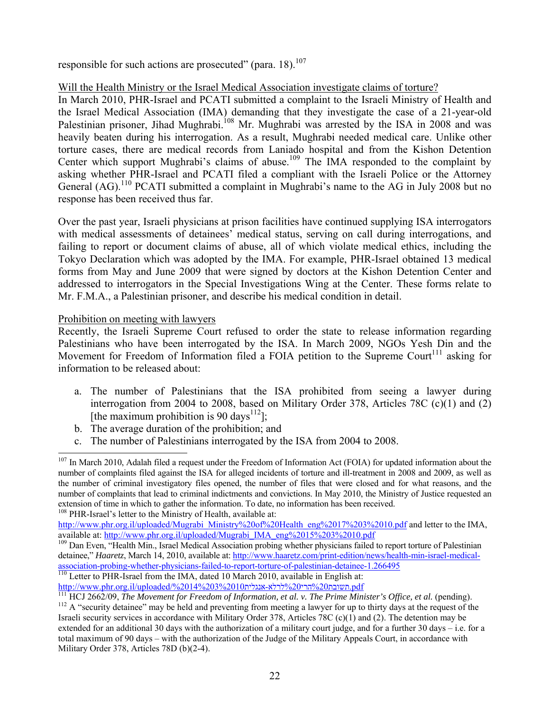responsible for such actions are prosecuted" (para. 18).<sup>107</sup>

# Will the Health Ministry or the Israel Medical Association investigate claims of torture?

In March 2010, PHR-Israel and PCATI submitted a complaint to the Israeli Ministry of Health and the Israel Medical Association (IMA) demanding that they investigate the case of a 21-year-old Palestinian prisoner, Jihad Mughrabi.<sup>108</sup> Mr. Mughrabi was arrested by the ISA in 2008 and was heavily beaten during his interrogation. As a result, Mughrabi needed medical care. Unlike other torture cases, there are medical records from Laniado hospital and from the Kishon Detention Center which support Mughrabi's claims of abuse.<sup>109</sup> The IMA responded to the complaint by asking whether PHR-Israel and PCATI filed a compliant with the Israeli Police or the Attorney General  $(AG)$ .<sup>110</sup> PCATI submitted a complaint in Mughrabi's name to the AG in July 2008 but no response has been received thus far.

Over the past year, Israeli physicians at prison facilities have continued supplying ISA interrogators with medical assessments of detainees' medical status, serving on call during interrogations, and failing to report or document claims of abuse, all of which violate medical ethics, including the Tokyo Declaration which was adopted by the IMA. For example, PHR-Israel obtained 13 medical forms from May and June 2009 that were signed by doctors at the Kishon Detention Center and addressed to interrogators in the Special Investigations Wing at the Center. These forms relate to Mr. F.M.A., a Palestinian prisoner, and describe his medical condition in detail.

## Prohibition on meeting with lawyers

l

Recently, the Israeli Supreme Court refused to order the state to release information regarding Palestinians who have been interrogated by the ISA. In March 2009, NGOs Yesh Din and the Movement for Freedom of Information filed a FOIA petition to the Supreme Court<sup>111</sup> asking for information to be released about:

- a. The number of Palestinians that the ISA prohibited from seeing a lawyer during interrogation from 2004 to 2008, based on Military Order 378, Articles 78C (c)(1) and (2) [the maximum prohibition is 90 days<sup>112</sup>];
- b. The average duration of the prohibition; and
- c. The number of Palestinians interrogated by the ISA from 2004 to 2008.

 $107$  In March 2010, Adalah filed a request under the Freedom of Information Act (FOIA) for updated information about the number of complaints filed against the ISA for alleged incidents of torture and ill-treatment in 2008 and 2009, as well as the number of criminal investigatory files opened, the number of files that were closed and for what reasons, and the number of complaints that lead to criminal indictments and convictions. In May 2010, the Ministry of Justice requested an extension of time in which to gather the information. To date, no information has been received. <sup>108</sup> PHR-Israel's letter to the Ministry of Health, available at:

http://www.phr.org.il/uploaded/Mugrabi\_Ministry%20of%20Health\_eng%2017%203%2010.pdf and letter to the IMA, available at: http://www.phr.org.il/uploaded/Mugrabi\_IMA\_eng%2015%203%2010.pdf

<sup>&</sup>lt;sup>109</sup> Dan Even, "Health Min., Israel Medical Association probing whether physicians failed to report torture of Palestinian detainee," *Haaretz*, March 14, 2010, available at: http://www.haaretz.com/print-edition/news/health-min-israel-medicalassociation-probing-whether-physicians-failed-to-report-torture-of-palestinian-detainee-1.266495<br><sup>110</sup> Letter to PHR-Israel from the IMA, dated 10 March 2010, available in English at:<br>מחשבת 2010, משובת 2020, לרלא-אנגלית 2

<sup>&</sup>lt;sup>111</sup> HCJ 2662/09, *The Movement for Freedom of Information, et al. v. The Prime Minister's Office, et al. (pending).*<br><sup>112</sup> A "security detainee" may be held and preventing from meeting a lawyer for up to thirty days at Israeli security services in accordance with Military Order 378, Articles 78C (c)(1) and (2). The detention may be extended for an additional 30 days with the authorization of a military court judge, and for a further 30 days – i.e. for a total maximum of 90 days – with the authorization of the Judge of the Military Appeals Court, in accordance with Military Order 378, Articles 78D (b)(2-4).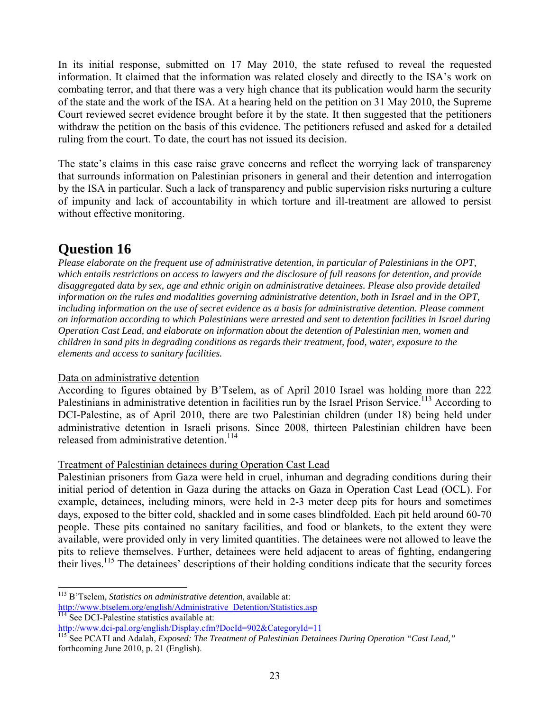In its initial response, submitted on 17 May 2010, the state refused to reveal the requested information. It claimed that the information was related closely and directly to the ISA's work on combating terror, and that there was a very high chance that its publication would harm the security of the state and the work of the ISA. At a hearing held on the petition on 31 May 2010, the Supreme Court reviewed secret evidence brought before it by the state. It then suggested that the petitioners withdraw the petition on the basis of this evidence. The petitioners refused and asked for a detailed ruling from the court. To date, the court has not issued its decision.

The state's claims in this case raise grave concerns and reflect the worrying lack of transparency that surrounds information on Palestinian prisoners in general and their detention and interrogation by the ISA in particular. Such a lack of transparency and public supervision risks nurturing a culture of impunity and lack of accountability in which torture and ill-treatment are allowed to persist without effective monitoring.

# **Question 16**

l

*Please elaborate on the frequent use of administrative detention, in particular of Palestinians in the OPT, which entails restrictions on access to lawyers and the disclosure of full reasons for detention, and provide disaggregated data by sex, age and ethnic origin on administrative detainees. Please also provide detailed information on the rules and modalities governing administrative detention, both in Israel and in the OPT, including information on the use of secret evidence as a basis for administrative detention. Please comment on information according to which Palestinians were arrested and sent to detention facilities in Israel during Operation Cast Lead, and elaborate on information about the detention of Palestinian men, women and children in sand pits in degrading conditions as regards their treatment, food, water, exposure to the elements and access to sanitary facilities.*

# Data on administrative detention

According to figures obtained by B'Tselem, as of April 2010 Israel was holding more than 222 Palestinians in administrative detention in facilities run by the Israel Prison Service.<sup>113</sup> According to DCI-Palestine, as of April 2010, there are two Palestinian children (under 18) being held under administrative detention in Israeli prisons. Since 2008, thirteen Palestinian children have been released from administrative detention.<sup>114</sup>

# Treatment of Palestinian detainees during Operation Cast Lead

Palestinian prisoners from Gaza were held in cruel, inhuman and degrading conditions during their initial period of detention in Gaza during the attacks on Gaza in Operation Cast Lead (OCL). For example, detainees, including minors, were held in 2-3 meter deep pits for hours and sometimes days, exposed to the bitter cold, shackled and in some cases blindfolded. Each pit held around 60-70 people. These pits contained no sanitary facilities, and food or blankets, to the extent they were available, were provided only in very limited quantities. The detainees were not allowed to leave the pits to relieve themselves. Further, detainees were held adjacent to areas of fighting, endangering their lives.<sup>115</sup> The detainees' descriptions of their holding conditions indicate that the security forces

<sup>113</sup> B'Tselem, *Statistics on administrative detention*, available at:

http://www.btselem.org/english/Administrative\_Detention/Statistics.asp<br><sup>114</sup> See DCI-Palestine statistics available at:<br>
http://www.dci-pal.org/english/Display.cfm?DocId=902&CategoryId=11

<sup>&</sup>lt;sup>115</sup> See PCATI and Adalah, *Exposed: The Treatment of Palestinian Detainees During Operation "Cast Lead,"* forthcoming June 2010, p. 21 (English).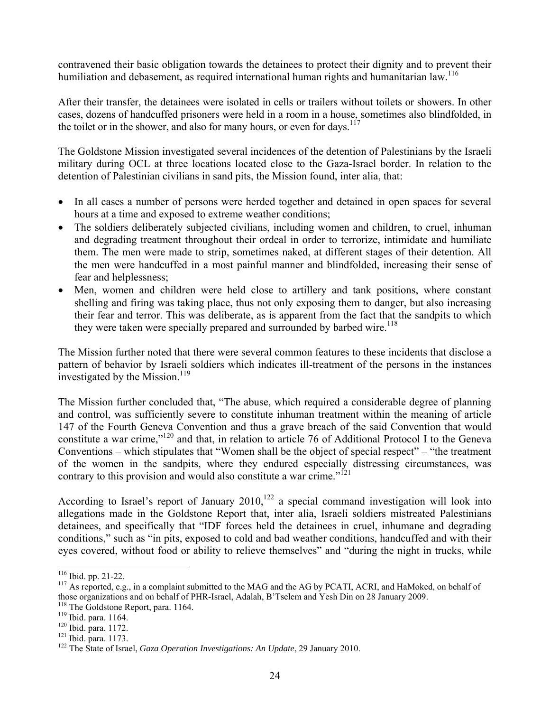contravened their basic obligation towards the detainees to protect their dignity and to prevent their humiliation and debasement, as required international human rights and humanitarian law.<sup>116</sup>

After their transfer, the detainees were isolated in cells or trailers without toilets or showers. In other cases, dozens of handcuffed prisoners were held in a room in a house, sometimes also blindfolded, in the toilet or in the shower, and also for many hours, or even for days.<sup>117</sup>

The Goldstone Mission investigated several incidences of the detention of Palestinians by the Israeli military during OCL at three locations located close to the Gaza-Israel border. In relation to the detention of Palestinian civilians in sand pits, the Mission found, inter alia, that:

- In all cases a number of persons were herded together and detained in open spaces for several hours at a time and exposed to extreme weather conditions;
- The soldiers deliberately subjected civilians, including women and children, to cruel, inhuman and degrading treatment throughout their ordeal in order to terrorize, intimidate and humiliate them. The men were made to strip, sometimes naked, at different stages of their detention. All the men were handcuffed in a most painful manner and blindfolded, increasing their sense of fear and helplessness;
- Men, women and children were held close to artillery and tank positions, where constant shelling and firing was taking place, thus not only exposing them to danger, but also increasing their fear and terror. This was deliberate, as is apparent from the fact that the sandpits to which they were taken were specially prepared and surrounded by barbed wire.<sup>118</sup>

The Mission further noted that there were several common features to these incidents that disclose a pattern of behavior by Israeli soldiers which indicates ill-treatment of the persons in the instances investigated by the Mission.<sup>119</sup>

The Mission further concluded that, "The abuse, which required a considerable degree of planning and control, was sufficiently severe to constitute inhuman treatment within the meaning of article 147 of the Fourth Geneva Convention and thus a grave breach of the said Convention that would constitute a war crime,"120 and that, in relation to article 76 of Additional Protocol I to the Geneva Conventions – which stipulates that "Women shall be the object of special respect" – "the treatment of the women in the sandpits, where they endured especially distressing circumstances, was contrary to this provision and would also constitute a war crime."<sup>121</sup>

According to Israel's report of January  $2010$ ,<sup>122</sup> a special command investigation will look into allegations made in the Goldstone Report that, inter alia, Israeli soldiers mistreated Palestinians detainees, and specifically that "IDF forces held the detainees in cruel, inhumane and degrading conditions," such as "in pits, exposed to cold and bad weather conditions, handcuffed and with their eyes covered, without food or ability to relieve themselves" and "during the night in trucks, while

<sup>&</sup>lt;sup>116</sup> Ibid. pp. 21-22.

 $117$  As reported, e.g., in a complaint submitted to the MAG and the AG by PCATI, ACRI, and HaMoked, on behalf of those organizations and on behalf of PHR-Israel, Adalah, B'Tselem and Yesh Din on 28 January 2009.<br><sup>118</sup> The Goldstone Report, para. 1164.

<sup>119</sup> Thid. para. 1164. 119<br><sup>120</sup> Ibid. para. 1172.<br><sup>121</sup> Ibid. para. 1173. 122 The State of Israel, *Gaza Operation Investigations: An Update*, 29 January 2010.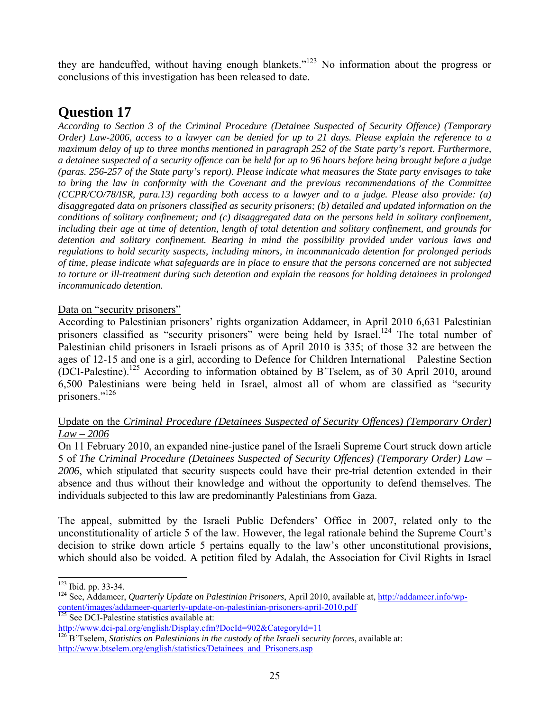they are handcuffed, without having enough blankets."123 No information about the progress or conclusions of this investigation has been released to date.

# **Question 17**

*According to Section 3 of the Criminal Procedure (Detainee Suspected of Security Offence) (Temporary Order) Law-2006, access to a lawyer can be denied for up to 21 days. Please explain the reference to a maximum delay of up to three months mentioned in paragraph 252 of the State party's report. Furthermore, a detainee suspected of a security offence can be held for up to 96 hours before being brought before a judge (paras. 256-257 of the State party's report). Please indicate what measures the State party envisages to take to bring the law in conformity with the Covenant and the previous recommendations of the Committee (CCPR/CO/78/ISR, para.13) regarding both access to a lawyer and to a judge. Please also provide: (a) disaggregated data on prisoners classified as security prisoners; (b) detailed and updated information on the conditions of solitary confinement; and (c) disaggregated data on the persons held in solitary confinement, including their age at time of detention, length of total detention and solitary confinement, and grounds for detention and solitary confinement. Bearing in mind the possibility provided under various laws and regulations to hold security suspects, including minors, in incommunicado detention for prolonged periods of time, please indicate what safeguards are in place to ensure that the persons concerned are not subjected to torture or ill-treatment during such detention and explain the reasons for holding detainees in prolonged incommunicado detention.* 

# Data on "security prisoners"

According to Palestinian prisoners' rights organization Addameer, in April 2010 6,631 Palestinian prisoners classified as "security prisoners" were being held by Israel.<sup>124</sup> The total number of Palestinian child prisoners in Israeli prisons as of April 2010 is 335; of those 32 are between the ages of 12-15 and one is a girl, according to Defence for Children International – Palestine Section (DCI-Palestine).125 According to information obtained by B'Tselem, as of 30 April 2010, around 6,500 Palestinians were being held in Israel, almost all of whom are classified as "security prisoners."126

# Update on the *Criminal Procedure (Detainees Suspected of Security Offences) (Temporary Order) Law – 2006*

On 11 February 2010, an expanded nine-justice panel of the Israeli Supreme Court struck down article 5 of *The Criminal Procedure (Detainees Suspected of Security Offences) (Temporary Order) Law – 2006*, which stipulated that security suspects could have their pre-trial detention extended in their absence and thus without their knowledge and without the opportunity to defend themselves. The individuals subjected to this law are predominantly Palestinians from Gaza.

The appeal, submitted by the Israeli Public Defenders' Office in 2007, related only to the unconstitutionality of article 5 of the law. However, the legal rationale behind the Supreme Court's decision to strike down article 5 pertains equally to the law's other unconstitutional provisions, which should also be voided. A petition filed by Adalah, the Association for Civil Rights in Israel

<sup>&</sup>lt;sup>123</sup> Ibid. pp. 33-34.

<sup>&</sup>lt;sup>124</sup> See, Addameer, *Quarterly Update on Palestinian Prisoners*, April 2010, available at, http://addameer.info/wpcontent/images/addameer-quarterly-update-on-palestinian-prisoners-april-2010.pdf<br>
<sup>125</sup> See DCI-Palestine statistics available at:<br>
<u>http://www.dci-pal.org/english/Display.cfm?DocId=902&CategoryId=11</u>

 $\frac{126}{B}$ 'Tselem, *Statistics on Palestinians in the custody of the Israeli security forces*, available at: http://www.btselem.org/english/statistics/Detainees\_and\_Prisoners.asp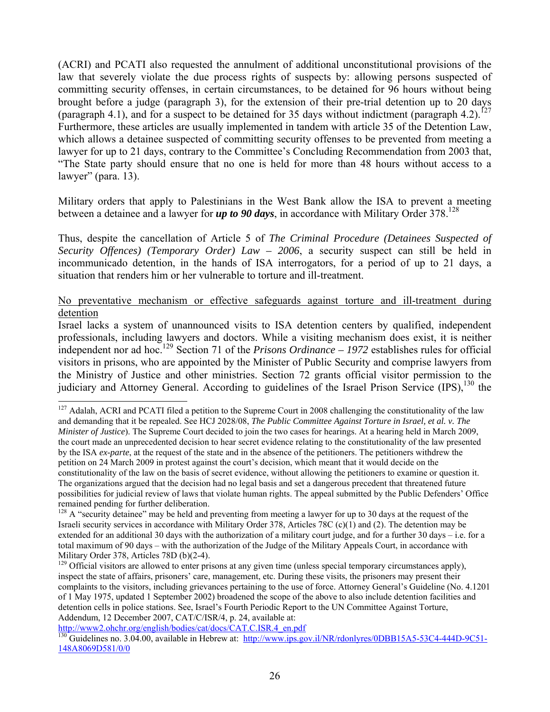(ACRI) and PCATI also requested the annulment of additional unconstitutional provisions of the law that severely violate the due process rights of suspects by: allowing persons suspected of committing security offenses, in certain circumstances, to be detained for 96 hours without being brought before a judge (paragraph 3), for the extension of their pre-trial detention up to 20 days (paragraph 4.1), and for a suspect to be detained for 35 days without indictment (paragraph 4.2).<sup>127</sup> Furthermore, these articles are usually implemented in tandem with article 35 of the Detention Law, which allows a detainee suspected of committing security offenses to be prevented from meeting a lawyer for up to 21 days, contrary to the Committee's Concluding Recommendation from 2003 that, "The State party should ensure that no one is held for more than 48 hours without access to a lawyer" (para. 13).

Military orders that apply to Palestinians in the West Bank allow the ISA to prevent a meeting between a detainee and a lawyer for  $up$  to 90 days, in accordance with Military Order  $378$ <sup>128</sup>

Thus, despite the cancellation of Article 5 of *The Criminal Procedure (Detainees Suspected of Security Offences) (Temporary Order) Law – 2006*, a security suspect can still be held in incommunicado detention, in the hands of ISA interrogators, for a period of up to 21 days, a situation that renders him or her vulnerable to torture and ill-treatment.

# No preventative mechanism or effective safeguards against torture and ill-treatment during detention

Israel lacks a system of unannounced visits to ISA detention centers by qualified, independent professionals, including lawyers and doctors. While a visiting mechanism does exist, it is neither independent nor ad hoc.129 Section 71 of the *Prisons Ordinance – 1972* establishes rules for official visitors in prisons, who are appointed by the Minister of Public Security and comprise lawyers from the Ministry of Justice and other ministries. Section 72 grants official visitor permission to the judiciary and Attorney General. According to guidelines of the Israel Prison Service (IPS).<sup>130</sup> the

 $127$  Adalah, ACRI and PCATI filed a petition to the Supreme Court in 2008 challenging the constitutionality of the law and demanding that it be repealed. See HCJ 2028/08, *The Public Committee Against Torture in Israel, et al. v. The Minister of Justice*). The Supreme Court decided to join the two cases for hearings. At a hearing held in March 2009, the court made an unprecedented decision to hear secret evidence relating to the constitutionality of the law presented by the ISA *ex-parte*, at the request of the state and in the absence of the petitioners. The petitioners withdrew the petition on 24 March 2009 in protest against the court's decision, which meant that it would decide on the constitutionality of the law on the basis of secret evidence, without allowing the petitioners to examine or question it. The organizations argued that the decision had no legal basis and set a dangerous precedent that threatened future possibilities for judicial review of laws that violate human rights. The appeal submitted by the Public Defenders' Office remained pending for further deliberation.

 $128$  A "security detainee" may be held and preventing from meeting a lawyer for up to 30 days at the request of the Israeli security services in accordance with Military Order 378, Articles 78C (c)(1) and (2). The detention may be extended for an additional 30 days with the authorization of a military court judge, and for a further 30 days – i.e. for a total maximum of 90 days – with the authorization of the Judge of the Military Appeals Court, in accordance with Military Order 378, Articles 78D (b)(2-4).

<sup>&</sup>lt;sup>129</sup> Official visitors are allowed to enter prisons at any given time (unless special temporary circumstances apply), inspect the state of affairs, prisoners' care, management, etc. During these visits, the prisoners may present their complaints to the visitors, including grievances pertaining to the use of force. Attorney General's Guideline (No. 4.1201 of 1 May 1975, updated 1 September 2002) broadened the scope of the above to also include detention facilities and detention cells in police stations. See, Israel's Fourth Periodic Report to the UN Committee Against Torture, Addendum, 12 December 2007, CAT/C/ISR/4, p. 24, available at:<br>http://www2.ohchr.org/english/bodies/cat/docs/CAT.C.ISR.4 en.pdf

 $\frac{130}{130}$  Guidelines no. 3.04.00, available in Hebrew at: http://www.ips.gov.il/NR/rdonlyres/0DBB15A5-53C4-444D-9C51-148A8069D581/0/0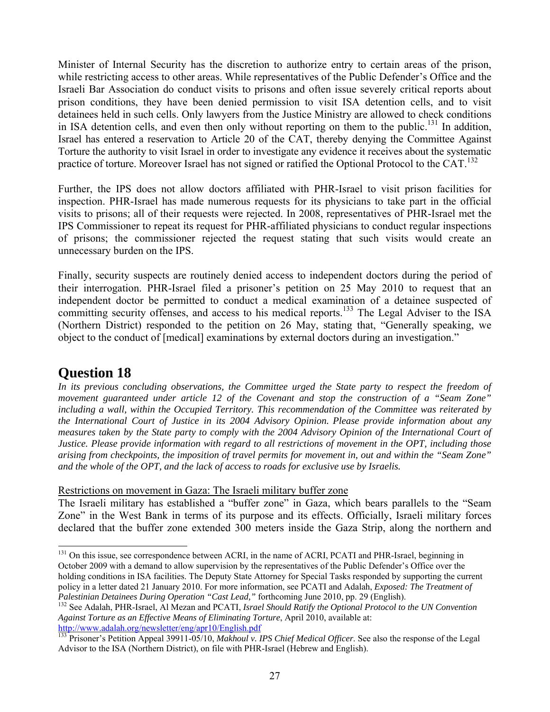Minister of Internal Security has the discretion to authorize entry to certain areas of the prison, while restricting access to other areas. While representatives of the Public Defender's Office and the Israeli Bar Association do conduct visits to prisons and often issue severely critical reports about prison conditions, they have been denied permission to visit ISA detention cells, and to visit detainees held in such cells. Only lawyers from the Justice Ministry are allowed to check conditions in ISA detention cells, and even then only without reporting on them to the public.<sup>131</sup> In addition, Israel has entered a reservation to Article 20 of the CAT, thereby denying the Committee Against Torture the authority to visit Israel in order to investigate any evidence it receives about the systematic practice of torture. Moreover Israel has not signed or ratified the Optional Protocol to the CAT.<sup>132</sup>

Further, the IPS does not allow doctors affiliated with PHR-Israel to visit prison facilities for inspection. PHR-Israel has made numerous requests for its physicians to take part in the official visits to prisons; all of their requests were rejected. In 2008, representatives of PHR-Israel met the IPS Commissioner to repeat its request for PHR-affiliated physicians to conduct regular inspections of prisons; the commissioner rejected the request stating that such visits would create an unnecessary burden on the IPS.

Finally, security suspects are routinely denied access to independent doctors during the period of their interrogation. PHR-Israel filed a prisoner's petition on 25 May 2010 to request that an independent doctor be permitted to conduct a medical examination of a detainee suspected of committing security offenses, and access to his medical reports.<sup>133</sup> The Legal Adviser to the ISA (Northern District) responded to the petition on 26 May, stating that, "Generally speaking, we object to the conduct of [medical] examinations by external doctors during an investigation."

# **Question 18**

In its previous concluding observations, the Committee urged the State party to respect the freedom of *movement guaranteed under article 12 of the Covenant and stop the construction of a "Seam Zone" including a wall, within the Occupied Territory. This recommendation of the Committee was reiterated by the International Court of Justice in its 2004 Advisory Opinion. Please provide information about any measures taken by the State party to comply with the 2004 Advisory Opinion of the International Court of Justice. Please provide information with regard to all restrictions of movement in the OPT, including those arising from checkpoints, the imposition of travel permits for movement in, out and within the "Seam Zone" and the whole of the OPT, and the lack of access to roads for exclusive use by Israelis.*

Restrictions on movement in Gaza: The Israeli military buffer zone

The Israeli military has established a "buffer zone" in Gaza, which bears parallels to the "Seam Zone" in the West Bank in terms of its purpose and its effects. Officially, Israeli military forces declared that the buffer zone extended 300 meters inside the Gaza Strip, along the northern and

l <sup>131</sup> On this issue, see correspondence between ACRI, in the name of ACRI, PCATI and PHR-Israel, beginning in October 2009 with a demand to allow supervision by the representatives of the Public Defender's Office over the holding conditions in ISA facilities. The Deputy State Attorney for Special Tasks responded by supporting the current policy in a letter dated 21 January 2010. For more information, see PCATI and Adalah, *Exposed: The Treatment of Palestinian Detainees During Operation "Cast Lead,"* forthcoming June 2010, pp. 29 (English).

<sup>&</sup>lt;sup>132</sup> See Adalah, PHR-Israel, Al Mezan and PCATI, *Israel Should Ratify the Optional Protocol to the UN Convention Against Torture as an Effective Means of Eliminating Torture*, April 2010, available at:<br>http://www.adalah.org/newsletter/eng/apr10/English.pdf

<sup>&</sup>lt;sup>133</sup> Prisoner's Petition Appeal 39911-05/10, *Makhoul v. IPS Chief Medical Officer*. See also the response of the Legal Advisor to the ISA (Northern District), on file with PHR-Israel (Hebrew and English).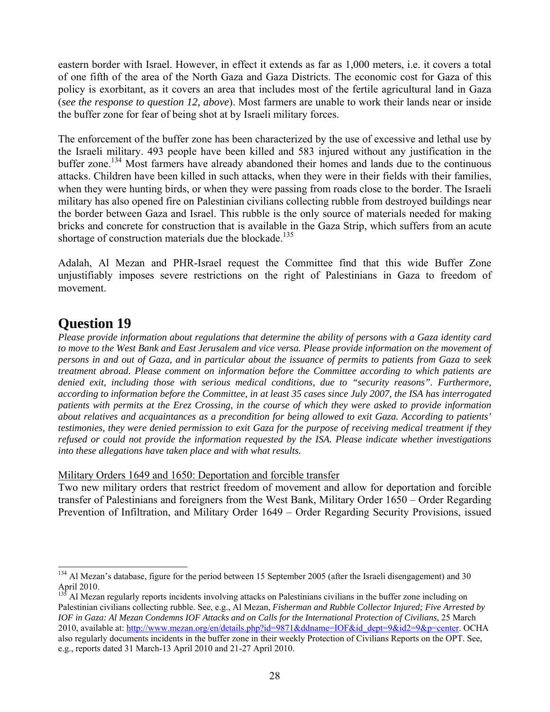eastern border with Israel. However, in effect it extends as far as 1,000 meters, i.e. it covers a total of one fifth of the area of the North Gaza and Gaza Districts. The economic cost for Gaza of this policy is exorbitant, as it covers an area that includes most of the fertile agricultural land in Gaza (*see the response to question 12, above*). Most farmers are unable to work their lands near or inside the buffer zone for fear of being shot at by Israeli military forces.

The enforcement of the buffer zone has been characterized by the use of excessive and lethal use by the Israeli military. 493 people have been killed and 583 injured without any justification in the buffer zone.<sup>134</sup> Most farmers have already abandoned their homes and lands due to the continuous attacks. Children have been killed in such attacks, when they were in their fields with their families, when they were hunting birds, or when they were passing from roads close to the border. The Israeli military has also opened fire on Palestinian civilians collecting rubble from destroyed buildings near the border between Gaza and Israel. This rubble is the only source of materials needed for making bricks and concrete for construction that is available in the Gaza Strip, which suffers from an acute shortage of construction materials due the blockade.<sup>135</sup>

Adalah, Al Mezan and PHR-Israel request the Committee find that this wide Buffer Zone unjustifiably imposes severe restrictions on the right of Palestinians in Gaza to freedom of movement.

# **Question 19**

*Please provide information about regulations that determine the ability of persons with a Gaza identity card to move to the West Bank and East Jerusalem and vice versa. Please provide information on the movement of persons in and out of Gaza, and in particular about the issuance of permits to patients from Gaza to seek treatment abroad. Please comment on information before the Committee according to which patients are denied exit, including those with serious medical conditions, due to "security reasons". Furthermore, according to information before the Committee, in at least 35 cases since July 2007, the ISA has interrogated patients with permits at the Erez Crossing, in the course of which they were asked to provide information about relatives and acquaintances as a precondition for being allowed to exit Gaza. According to patients' testimonies, they were denied permission to exit Gaza for the purpose of receiving medical treatment if they refused or could not provide the information requested by the ISA. Please indicate whether investigations into these allegations have taken place and with what results.*

Military Orders 1649 and 1650: Deportation and forcible transfer

Two new military orders that restrict freedom of movement and allow for deportation and forcible transfer of Palestinians and foreigners from the West Bank, Military Order 1650 – Order Regarding Prevention of Infiltration, and Military Order 1649 – Order Regarding Security Provisions, issued

l <sup>134</sup> Al Mezan's database, figure for the period between 15 September 2005 (after the Israeli disengagement) and 30 April 2010.

<sup>&</sup>lt;sup>135</sup> Al Mezan regularly reports incidents involving attacks on Palestinians civilians in the buffer zone including on Palestinian civilians collecting rubble. See, e.g., Al Mezan, *Fisherman and Rubble Collector Injured; Five Arrested by IOF in Gaza: Al Mezan Condemns IOF Attacks and on Calls for the International Protection of Civilians*, 25 March 2010, available at: http://www.mezan.org/en/details.php?id=9871&ddname=IOF&id\_dept=9&id2=9&p=center. OCHA also regularly documents incidents in the buffer zone in their weekly Protection of Civilians Reports on the OPT. See, e.g., reports dated 31 March-13 April 2010 and 21-27 April 2010.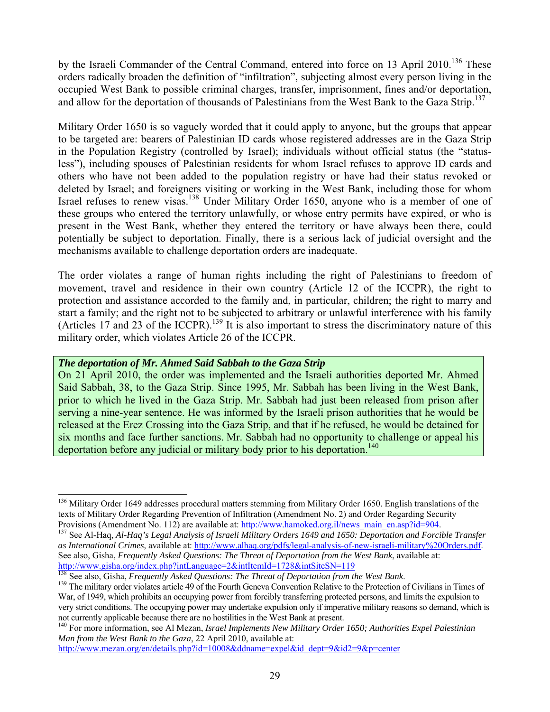by the Israeli Commander of the Central Command, entered into force on 13 April 2010.<sup>136</sup> These orders radically broaden the definition of "infiltration", subjecting almost every person living in the occupied West Bank to possible criminal charges, transfer, imprisonment, fines and/or deportation, and allow for the deportation of thousands of Palestinians from the West Bank to the Gaza Strip.<sup>137</sup>

Military Order 1650 is so vaguely worded that it could apply to anyone, but the groups that appear to be targeted are: bearers of Palestinian ID cards whose registered addresses are in the Gaza Strip in the Population Registry (controlled by Israel); individuals without official status (the "statusless"), including spouses of Palestinian residents for whom Israel refuses to approve ID cards and others who have not been added to the population registry or have had their status revoked or deleted by Israel; and foreigners visiting or working in the West Bank, including those for whom Israel refuses to renew visas.<sup>138</sup> Under Military Order 1650, anyone who is a member of one of these groups who entered the territory unlawfully, or whose entry permits have expired, or who is present in the West Bank, whether they entered the territory or have always been there, could potentially be subject to deportation. Finally, there is a serious lack of judicial oversight and the mechanisms available to challenge deportation orders are inadequate.

The order violates a range of human rights including the right of Palestinians to freedom of movement, travel and residence in their own country (Article 12 of the ICCPR), the right to protection and assistance accorded to the family and, in particular, children; the right to marry and start a family; and the right not to be subjected to arbitrary or unlawful interference with his family (Articles 17 and 23 of the ICCPR).<sup>139</sup> It is also important to stress the discriminatory nature of this military order, which violates Article 26 of the ICCPR.

## *The deportation of Mr. Ahmed Said Sabbah to the Gaza Strip*

l

On 21 April 2010, the order was implemented and the Israeli authorities deported Mr. Ahmed Said Sabbah, 38, to the Gaza Strip. Since 1995, Mr. Sabbah has been living in the West Bank, prior to which he lived in the Gaza Strip. Mr. Sabbah had just been released from prison after serving a nine-year sentence. He was informed by the Israeli prison authorities that he would be released at the Erez Crossing into the Gaza Strip, and that if he refused, he would be detained for six months and face further sanctions. Mr. Sabbah had no opportunity to challenge or appeal his deportation before any judicial or military body prior to his deportation.<sup>140</sup>

<sup>&</sup>lt;sup>136</sup> Military Order 1649 addresses procedural matters stemming from Military Order 1650. English translations of the texts of Military Order Regarding Prevention of Infiltration (Amendment No. 2) and Order Regarding Security

Provisions (Amendment No. 112) are available at: http://www.hamoked.org.il/news\_main\_en.asp?id=904. <sup>137</sup> See Al-Haq, *Al-Haq's Legal Analysis of Israeli Military Orders 1649 and 1650: Deportation and Forcible Transfer and as International Crimes*, available at: http://www.alhaq.org/pdfs/legal-analysis-of-new-israeli-military%20Orders.pdf. See also, Gisha, *Frequently Asked Questions: The Threat of Deportation from the West Bank*, available at: http://www.gisha.org/index.php?intLanguage=2&intItemId=1728&intSiteSN=119<br><sup>138</sup> See also, Gisha, *Frequently Asked Questions: The Threat of Deportation from the West Bank*.<br><sup>139</sup> The military order violates article 49 of t

War, of 1949, which prohibits an occupying power from forcibly transferring protected persons, and limits the expulsion to very strict conditions. The occupying power may undertake expulsion only if imperative military reasons so demand, which is not currently applicable because there are no hostilities in the West Bank at present.

<sup>140</sup> For more information, see Al Mezan, *Israel Implements New Military Order 1650; Authorities Expel Palestinian Man from the West Bank to the Gaza*, 22 April 2010, available at:

http://www.mezan.org/en/details.php?id=10008&ddname=expel&id\_dept=9&id2=9&p=center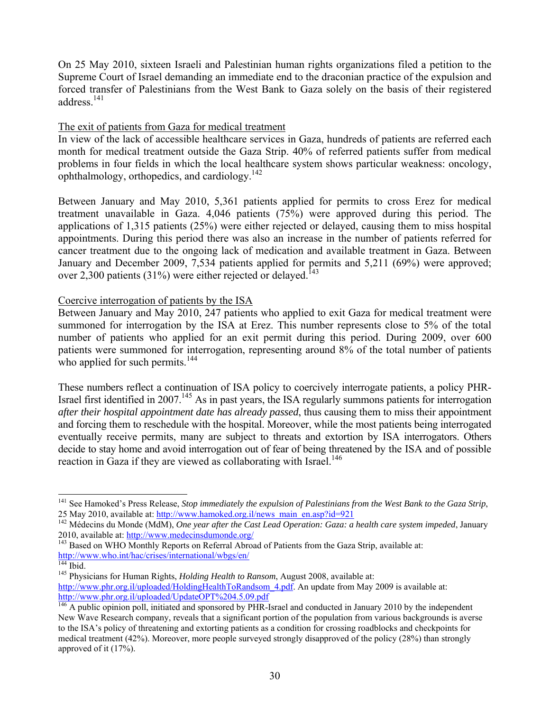On 25 May 2010, sixteen Israeli and Palestinian human rights organizations filed a petition to the Supreme Court of Israel demanding an immediate end to the draconian practice of the expulsion and forced transfer of Palestinians from the West Bank to Gaza solely on the basis of their registered address.<sup>141</sup>

# The exit of patients from Gaza for medical treatment

In view of the lack of accessible healthcare services in Gaza, hundreds of patients are referred each month for medical treatment outside the Gaza Strip. 40% of referred patients suffer from medical problems in four fields in which the local healthcare system shows particular weakness: oncology, ophthalmology, orthopedics, and cardiology.<sup>142</sup>

Between January and May 2010, 5,361 patients applied for permits to cross Erez for medical treatment unavailable in Gaza. 4,046 patients (75%) were approved during this period. The applications of 1,315 patients (25%) were either rejected or delayed, causing them to miss hospital appointments. During this period there was also an increase in the number of patients referred for cancer treatment due to the ongoing lack of medication and available treatment in Gaza. Between January and December 2009, 7,534 patients applied for permits and 5,211 (69%) were approved; over 2,300 patients (31%) were either rejected or delayed.<sup>143</sup>

## Coercive interrogation of patients by the ISA

Between January and May 2010, 247 patients who applied to exit Gaza for medical treatment were summoned for interrogation by the ISA at Erez. This number represents close to 5% of the total number of patients who applied for an exit permit during this period. During 2009, over 600 patients were summoned for interrogation, representing around 8% of the total number of patients who applied for such permits.<sup>144</sup>

These numbers reflect a continuation of ISA policy to coercively interrogate patients, a policy PHR-Israel first identified in 2007.<sup>145</sup> As in past years, the ISA regularly summons patients for interrogation *after their hospital appointment date has already passed*, thus causing them to miss their appointment and forcing them to reschedule with the hospital. Moreover, while the most patients being interrogated eventually receive permits, many are subject to threats and extortion by ISA interrogators. Others decide to stay home and avoid interrogation out of fear of being threatened by the ISA and of possible reaction in Gaza if they are viewed as collaborating with Israel.<sup>146</sup>

<sup>&</sup>lt;sup>141</sup> See Hamoked's Press Release, *Stop immediately the expulsion of Palestinians from the West Bank to the Gaza Strip*,

<sup>25</sup> May 2010, available at: <u>http://www.hamoked.org.il/news\_main\_en.asp?id=921</u><br><sup>142</sup> Médecins du Monde (MdM), *One year after the Cast Lead Operation: Gaza: a health care system impeded*, January<br>2010, available at: http:/

<sup>&</sup>lt;sup>2010</sup>, available at: **http://www.medecinsdumonde.org/** 143 Based on WHO Monthly Reports on Referral Abroad of Patients from the Gaza Strip, available at: http://www.who.int/hac/crises/international/wbgs/en/<br><sup>144</sup> Ibid. <sup>145</sup> Physicians for Human Rights, *Holding Health to Ransom*, August 2008, available at:

http://www.phr.org.il/uploaded/HoldingHealthToRandsom\_4.pdf. An update from May 2009 is available at:<br>http://www.phr.org.il/uploaded/UpdateOPT%204.5.09.pdf

 $^{146}$  A public opinion poll, initiated and sponsored by PHR-Israel and conducted in January 2010 by the independent New Wave Research company, reveals that a significant portion of the population from various backgrounds is averse to the ISA's policy of threatening and extorting patients as a condition for crossing roadblocks and checkpoints for medical treatment (42%). Moreover, more people surveyed strongly disapproved of the policy (28%) than strongly approved of it (17%).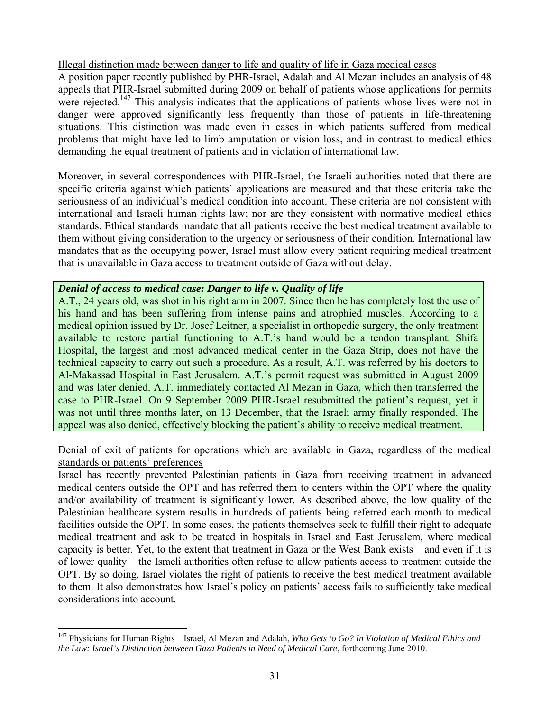# Illegal distinction made between danger to life and quality of life in Gaza medical cases

A position paper recently published by PHR-Israel, Adalah and Al Mezan includes an analysis of 48 appeals that PHR-Israel submitted during 2009 on behalf of patients whose applications for permits were rejected.<sup>147</sup> This analysis indicates that the applications of patients whose lives were not in danger were approved significantly less frequently than those of patients in life-threatening situations. This distinction was made even in cases in which patients suffered from medical problems that might have led to limb amputation or vision loss, and in contrast to medical ethics demanding the equal treatment of patients and in violation of international law.

Moreover, in several correspondences with PHR-Israel, the Israeli authorities noted that there are specific criteria against which patients' applications are measured and that these criteria take the seriousness of an individual's medical condition into account. These criteria are not consistent with international and Israeli human rights law; nor are they consistent with normative medical ethics standards. Ethical standards mandate that all patients receive the best medical treatment available to them without giving consideration to the urgency or seriousness of their condition. International law mandates that as the occupying power, Israel must allow every patient requiring medical treatment that is unavailable in Gaza access to treatment outside of Gaza without delay.

# *Denial of access to medical case: Danger to life v. Quality of life*

l

A.T., 24 years old, was shot in his right arm in 2007. Since then he has completely lost the use of his hand and has been suffering from intense pains and atrophied muscles. According to a medical opinion issued by Dr. Josef Leitner, a specialist in orthopedic surgery, the only treatment available to restore partial functioning to A.T.'s hand would be a tendon transplant. Shifa Hospital, the largest and most advanced medical center in the Gaza Strip, does not have the technical capacity to carry out such a procedure. As a result, A.T. was referred by his doctors to Al-Makassad Hospital in East Jerusalem. A.T.'s permit request was submitted in August 2009 and was later denied. A.T. immediately contacted Al Mezan in Gaza, which then transferred the case to PHR-Israel. On 9 September 2009 PHR-Israel resubmitted the patient's request, yet it was not until three months later, on 13 December, that the Israeli army finally responded. The appeal was also denied, effectively blocking the patient's ability to receive medical treatment.

# Denial of exit of patients for operations which are available in Gaza, regardless of the medical standards or patients' preferences

Israel has recently prevented Palestinian patients in Gaza from receiving treatment in advanced medical centers outside the OPT and has referred them to centers within the OPT where the quality and/or availability of treatment is significantly lower. As described above, the low quality of the Palestinian healthcare system results in hundreds of patients being referred each month to medical facilities outside the OPT. In some cases, the patients themselves seek to fulfill their right to adequate medical treatment and ask to be treated in hospitals in Israel and East Jerusalem, where medical capacity is better. Yet, to the extent that treatment in Gaza or the West Bank exists – and even if it is of lower quality – the Israeli authorities often refuse to allow patients access to treatment outside the OPT. By so doing, Israel violates the right of patients to receive the best medical treatment available to them. It also demonstrates how Israel's policy on patients' access fails to sufficiently take medical considerations into account.

<sup>147</sup> Physicians for Human Rights – Israel, Al Mezan and Adalah, *Who Gets to Go? In Violation of Medical Ethics and the Law: Israel's Distinction between Gaza Patients in Need of Medical Care*, forthcoming June 2010.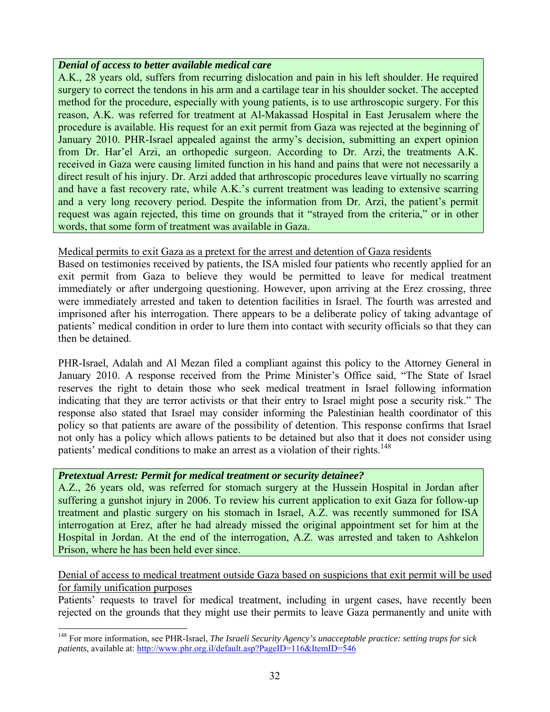# *Denial of access to better available medical care*

A.K., 28 years old, suffers from recurring dislocation and pain in his left shoulder. He required surgery to correct the tendons in his arm and a cartilage tear in his shoulder socket. The accepted method for the procedure, especially with young patients, is to use arthroscopic surgery. For this reason, A.K. was referred for treatment at Al-Makassad Hospital in East Jerusalem where the procedure is available. His request for an exit permit from Gaza was rejected at the beginning of January 2010. PHR-Israel appealed against the army's decision, submitting an expert opinion from Dr. Har'el Arzi, an orthopedic surgeon. According to Dr. Arzi, the treatments A.K. received in Gaza were causing limited function in his hand and pains that were not necessarily a direct result of his injury. Dr. Arzi added that arthroscopic procedures leave virtually no scarring and have a fast recovery rate, while A.K.'s current treatment was leading to extensive scarring and a very long recovery period. Despite the information from Dr. Arzi, the patient's permit request was again rejected, this time on grounds that it "strayed from the criteria," or in other words, that some form of treatment was available in Gaza.

# Medical permits to exit Gaza as a pretext for the arrest and detention of Gaza residents

Based on testimonies received by patients, the ISA misled four patients who recently applied for an exit permit from Gaza to believe they would be permitted to leave for medical treatment immediately or after undergoing questioning. However, upon arriving at the Erez crossing, three were immediately arrested and taken to detention facilities in Israel. The fourth was arrested and imprisoned after his interrogation. There appears to be a deliberate policy of taking advantage of patients' medical condition in order to lure them into contact with security officials so that they can then be detained.

PHR-Israel, Adalah and Al Mezan filed a compliant against this policy to the Attorney General in January 2010. A response received from the Prime Minister's Office said, "The State of Israel reserves the right to detain those who seek medical treatment in Israel following information indicating that they are terror activists or that their entry to Israel might pose a security risk." The response also stated that Israel may consider informing the Palestinian health coordinator of this policy so that patients are aware of the possibility of detention. This response confirms that Israel not only has a policy which allows patients to be detained but also that it does not consider using patients' medical conditions to make an arrest as a violation of their rights.<sup>148</sup>

# *Pretextual Arrest: Permit for medical treatment or security detainee?*

l

A.Z., 26 years old, was referred for stomach surgery at the Hussein Hospital in Jordan after suffering a gunshot injury in 2006. To review his current application to exit Gaza for follow-up treatment and plastic surgery on his stomach in Israel, A.Z. was recently summoned for ISA interrogation at Erez, after he had already missed the original appointment set for him at the Hospital in Jordan. At the end of the interrogation, A.Z. was arrested and taken to Ashkelon Prison, where he has been held ever since.

# Denial of access to medical treatment outside Gaza based on suspicions that exit permit will be used for family unification purposes

Patients' requests to travel for medical treatment, including in urgent cases, have recently been rejected on the grounds that they might use their permits to leave Gaza permanently and unite with

<sup>148</sup> For more information, see PHR-Israel, *The Israeli Security Agency's unacceptable practice: setting traps for sick patients*, available at: http://www.phr.org.il/default.asp?PageID=116&ItemID=546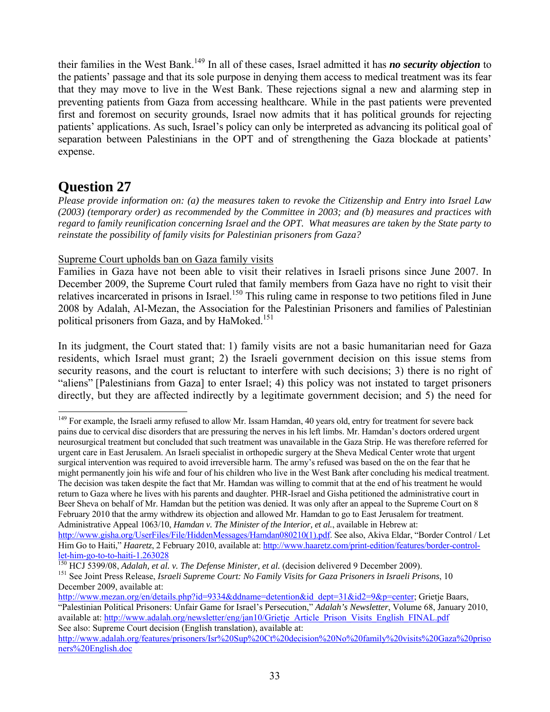their families in the West Bank.149 In all of these cases, Israel admitted it has *no security objection* to the patients' passage and that its sole purpose in denying them access to medical treatment was its fear that they may move to live in the West Bank. These rejections signal a new and alarming step in preventing patients from Gaza from accessing healthcare. While in the past patients were prevented first and foremost on security grounds, Israel now admits that it has political grounds for rejecting patients' applications. As such, Israel's policy can only be interpreted as advancing its political goal of separation between Palestinians in the OPT and of strengthening the Gaza blockade at patients' expense.

# **Question 27**

*Please provide information on: (a) the measures taken to revoke the Citizenship and Entry into Israel Law (2003) (temporary order) as recommended by the Committee in 2003; and (b) measures and practices with regard to family reunification concerning Israel and the OPT. What measures are taken by the State party to reinstate the possibility of family visits for Palestinian prisoners from Gaza?*

# Supreme Court upholds ban on Gaza family visits

Families in Gaza have not been able to visit their relatives in Israeli prisons since June 2007. In December 2009, the Supreme Court ruled that family members from Gaza have no right to visit their relatives incarcerated in prisons in Israel.<sup>150</sup> This ruling came in response to two petitions filed in June 2008 by Adalah, Al-Mezan, the Association for the Palestinian Prisoners and families of Palestinian political prisoners from Gaza, and by HaMoked.<sup>151</sup>

In its judgment, the Court stated that: 1) family visits are not a basic humanitarian need for Gaza residents, which Israel must grant; 2) the Israeli government decision on this issue stems from security reasons, and the court is reluctant to interfere with such decisions; 3) there is no right of "aliens" [Palestinians from Gaza] to enter Israel; 4) this policy was not instated to target prisoners directly, but they are affected indirectly by a legitimate government decision; and 5) the need for

l <sup>149</sup> For example, the Israeli army refused to allow Mr. Issam Hamdan, 40 years old, entry for treatment for severe back pains due to cervical disc disorders that are pressuring the nerves in his left limbs. Mr. Hamdan's doctors ordered urgent neurosurgical treatment but concluded that such treatment was unavailable in the Gaza Strip. He was therefore referred for urgent care in East Jerusalem. An Israeli specialist in orthopedic surgery at the Sheva Medical Center wrote that urgent surgical intervention was required to avoid irreversible harm. The army's refused was based on the on the fear that he might permanently join his wife and four of his children who live in the West Bank after concluding his medical treatment. The decision was taken despite the fact that Mr. Hamdan was willing to commit that at the end of his treatment he would return to Gaza where he lives with his parents and daughter. PHR-Israel and Gisha petitioned the administrative court in Beer Sheva on behalf of Mr. Hamdan but the petition was denied. It was only after an appeal to the Supreme Court on 8 February 2010 that the army withdrew its objection and allowed Mr. Hamdan to go to East Jerusalem for treatment. Administrative Appeal 1063/10, *Hamdan v. The Minister of the Interior, et al.*, available in Hebrew at:

http://www.gisha.org/UserFiles/File/HiddenMessages/Hamdan080210(1).pdf. See also, Akiva Eldar, "Border Control / Let Him Go to Haiti," *Haaretz*, 2 February 2010, available at: http://www.haaretz.com/print-edition/features/border-control-

let-him-go-to-to-haiti-1.263028<br><sup>150</sup> HCJ 5399/08, *Adalah, et al. v. The Defense Minister, et al.* (decision delivered 9 December 2009).<br><sup>151</sup> See Joint Press Release, *Israeli Supreme Court: No Family Visits for Gaza Pri* 

December 2009, available at:

http://www.mezan.org/en/details.php?id=9334&ddname=detention&id\_dept=31&id2=9&p=center; Grietje Baars, "Palestinian Political Prisoners: Unfair Game for Israel's Persecution," *Adalah's Newsletter*, Volume 68, January 2010, available at: http://www.adalah.org/newsletter/eng/jan10/Grietje\_Article\_Prison\_Visits\_English\_FINAL.pdf See also: Supreme Court decision (English translation), available at:

http://www.adalah.org/features/prisoners/Isr%20Sup%20Ct%20decision%20No%20family%20visits%20Gaza%20priso ners%20English.doc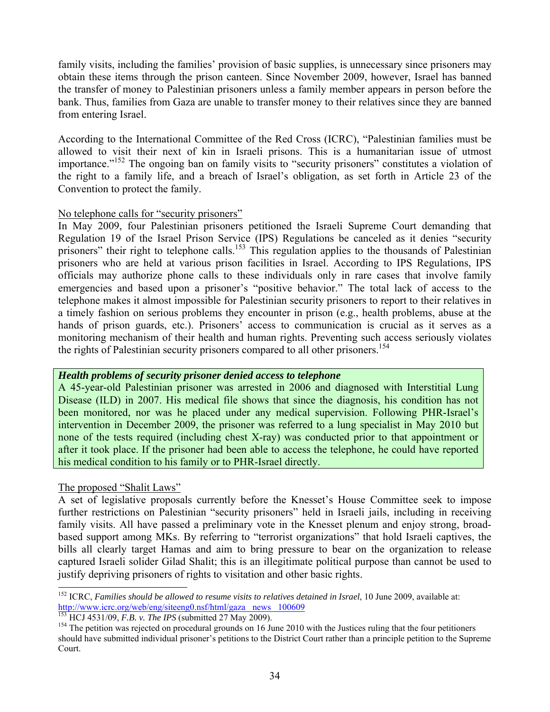family visits, including the families' provision of basic supplies, is unnecessary since prisoners may obtain these items through the prison canteen. Since November 2009, however, Israel has banned the transfer of money to Palestinian prisoners unless a family member appears in person before the bank. Thus, families from Gaza are unable to transfer money to their relatives since they are banned from entering Israel.

According to the International Committee of the Red Cross (ICRC), "Palestinian families must be allowed to visit their next of kin in Israeli prisons. This is a humanitarian issue of utmost importance."<sup>152</sup> The ongoing ban on family visits to "security prisoners" constitutes a violation of the right to a family life, and a breach of Israel's obligation, as set forth in Article 23 of the Convention to protect the family.

#### No telephone calls for "security prisoners"

In May 2009, four Palestinian prisoners petitioned the Israeli Supreme Court demanding that Regulation 19 of the Israel Prison Service (IPS) Regulations be canceled as it denies "security prisoners" their right to telephone calls.<sup>153</sup> This regulation applies to the thousands of Palestinian prisoners who are held at various prison facilities in Israel. According to IPS Regulations, IPS officials may authorize phone calls to these individuals only in rare cases that involve family emergencies and based upon a prisoner's "positive behavior." The total lack of access to the telephone makes it almost impossible for Palestinian security prisoners to report to their relatives in a timely fashion on serious problems they encounter in prison (e.g., health problems, abuse at the hands of prison guards, etc.). Prisoners' access to communication is crucial as it serves as a monitoring mechanism of their health and human rights. Preventing such access seriously violates the rights of Palestinian security prisoners compared to all other prisoners.<sup>154</sup>

#### *Health problems of security prisoner denied access to telephone*

A 45-year-old Palestinian prisoner was arrested in 2006 and diagnosed with Interstitial Lung Disease (ILD) in 2007. His medical file shows that since the diagnosis, his condition has not been monitored, nor was he placed under any medical supervision. Following PHR-Israel's intervention in December 2009, the prisoner was referred to a lung specialist in May 2010 but none of the tests required (including chest X-ray) was conducted prior to that appointment or after it took place. If the prisoner had been able to access the telephone, he could have reported his medical condition to his family or to PHR-Israel directly.

## The proposed "Shalit Laws"

l

A set of legislative proposals currently before the Knesset's House Committee seek to impose further restrictions on Palestinian "security prisoners" held in Israeli jails, including in receiving family visits. All have passed a preliminary vote in the Knesset plenum and enjoy strong, broadbased support among MKs. By referring to "terrorist organizations" that hold Israeli captives, the bills all clearly target Hamas and aim to bring pressure to bear on the organization to release captured Israeli solider Gilad Shalit; this is an illegitimate political purpose than cannot be used to justify depriving prisoners of rights to visitation and other basic rights.

<sup>&</sup>lt;sup>152</sup> ICRC, *Families should be allowed to resume visits to relatives detained in Israel*, 10 June 2009, available at: http://www.icrc.org/web/eng/siteeng0.nsf/html/gaza news 100609<br>
<sup>153</sup> HCJ 4531/09, *F.B. v. The IPS* (submitted 27 May 2009).<br>
<sup>154</sup> The petition was rejected on procedural grounds on 16 June 2010 with the Justices ruling

should have submitted individual prisoner's petitions to the District Court rather than a principle petition to the Supreme Court.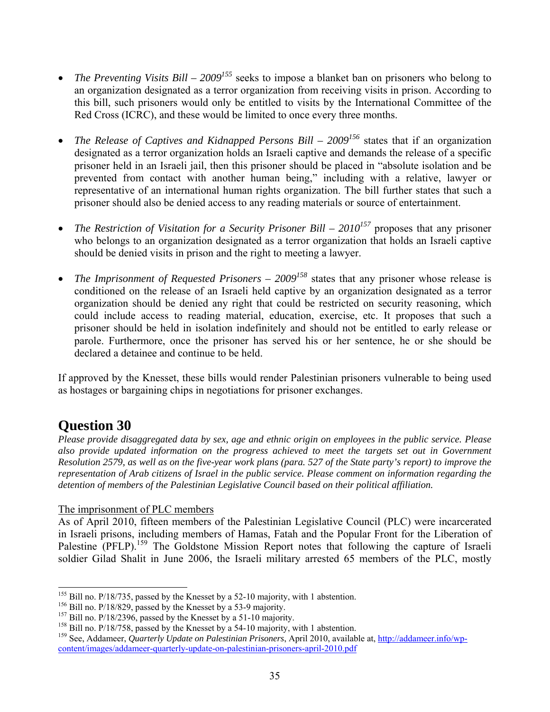- *The Preventing Visits Bill 2009<sup>155</sup>* seeks to impose a blanket ban on prisoners who belong to an organization designated as a terror organization from receiving visits in prison. According to this bill, such prisoners would only be entitled to visits by the International Committee of the Red Cross (ICRC), and these would be limited to once every three months.
- *The Release of Captives and Kidnapped Persons Bill 2009<sup>156</sup>* states that if an organization designated as a terror organization holds an Israeli captive and demands the release of a specific prisoner held in an Israeli jail, then this prisoner should be placed in "absolute isolation and be prevented from contact with another human being," including with a relative, lawyer or representative of an international human rights organization. The bill further states that such a prisoner should also be denied access to any reading materials or source of entertainment.
- *The Restriction of Visitation for a Security Prisoner Bill*  $2010^{157}$  *proposes that any prisoner* who belongs to an organization designated as a terror organization that holds an Israeli captive should be denied visits in prison and the right to meeting a lawyer.
- *The Imprisonment of Requested Prisoners 2009<sup>158</sup>* states that any prisoner whose release is conditioned on the release of an Israeli held captive by an organization designated as a terror organization should be denied any right that could be restricted on security reasoning, which could include access to reading material, education, exercise, etc. It proposes that such a prisoner should be held in isolation indefinitely and should not be entitled to early release or parole. Furthermore, once the prisoner has served his or her sentence, he or she should be declared a detainee and continue to be held.

If approved by the Knesset, these bills would render Palestinian prisoners vulnerable to being used as hostages or bargaining chips in negotiations for prisoner exchanges.

# **Question 30**

*Please provide disaggregated data by sex, age and ethnic origin on employees in the public service. Please also provide updated information on the progress achieved to meet the targets set out in Government Resolution 2579, as well as on the five-year work plans (para. 527 of the State party's report) to improve the representation of Arab citizens of Israel in the public service. Please comment on information regarding the detention of members of the Palestinian Legislative Council based on their political affiliation.*

# The imprisonment of PLC members

As of April 2010, fifteen members of the Palestinian Legislative Council (PLC) were incarcerated in Israeli prisons, including members of Hamas, Fatah and the Popular Front for the Liberation of Palestine (PFLP).<sup>159</sup> The Goldstone Mission Report notes that following the capture of Israeli soldier Gilad Shalit in June 2006, the Israeli military arrested 65 members of the PLC, mostly

l

<sup>&</sup>lt;sup>155</sup> Bill no. P/18/735, passed by the Knesset by a 52-10 majority, with 1 abstention.<br><sup>156</sup> Bill no. P/18/829, passed by the Knesset by a 53-9 majority.<br><sup>157</sup> Bill no. P/18/2396, passed by the Knesset by a 51-10 majority content/images/addameer-quarterly-update-on-palestinian-prisoners-april-2010.pdf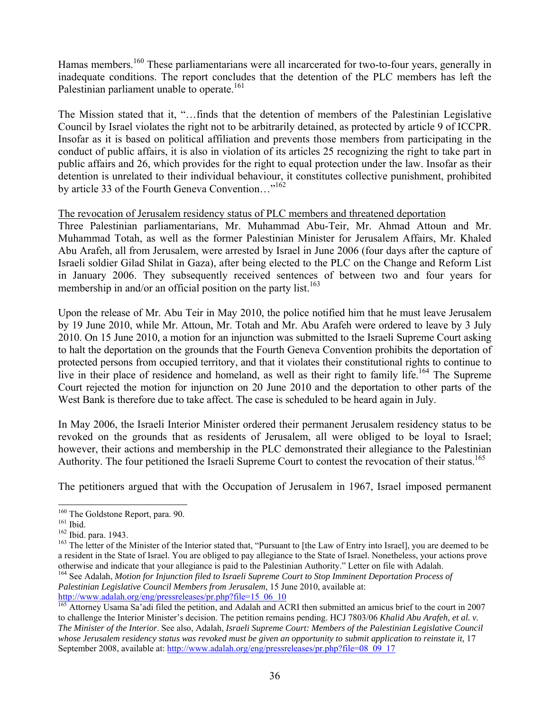Hamas members.<sup>160</sup> These parliamentarians were all incarcerated for two-to-four years, generally in inadequate conditions. The report concludes that the detention of the PLC members has left the Palestinian parliament unable to operate.<sup>161</sup>

The Mission stated that it, "…finds that the detention of members of the Palestinian Legislative Council by Israel violates the right not to be arbitrarily detained, as protected by article 9 of ICCPR. Insofar as it is based on political affiliation and prevents those members from participating in the conduct of public affairs, it is also in violation of its articles 25 recognizing the right to take part in public affairs and 26, which provides for the right to equal protection under the law. Insofar as their detention is unrelated to their individual behaviour, it constitutes collective punishment, prohibited by article 33 of the Fourth Geneva Convention..."<sup>162</sup>

## The revocation of Jerusalem residency status of PLC members and threatened deportation

Three Palestinian parliamentarians, Mr. Muhammad Abu-Teir, Mr. Ahmad Attoun and Mr. Muhammad Totah, as well as the former Palestinian Minister for Jerusalem Affairs, Mr. Khaled Abu Arafeh, all from Jerusalem, were arrested by Israel in June 2006 (four days after the capture of Israeli soldier Gilad Shilat in Gaza), after being elected to the PLC on the Change and Reform List in January 2006. They subsequently received sentences of between two and four years for membership in and/or an official position on the party list.<sup>163</sup>

Upon the release of Mr. Abu Teir in May 2010, the police notified him that he must leave Jerusalem by 19 June 2010, while Mr. Attoun, Mr. Totah and Mr. Abu Arafeh were ordered to leave by 3 July 2010. On 15 June 2010, a motion for an injunction was submitted to the Israeli Supreme Court asking to halt the deportation on the grounds that the Fourth Geneva Convention prohibits the deportation of protected persons from occupied territory, and that it violates their constitutional rights to continue to live in their place of residence and homeland, as well as their right to family life.<sup>164</sup> The Supreme Court rejected the motion for injunction on 20 June 2010 and the deportation to other parts of the West Bank is therefore due to take affect. The case is scheduled to be heard again in July.

In May 2006, the Israeli Interior Minister ordered their permanent Jerusalem residency status to be revoked on the grounds that as residents of Jerusalem, all were obliged to be loyal to Israel; however, their actions and membership in the PLC demonstrated their allegiance to the Palestinian Authority. The four petitioned the Israeli Supreme Court to contest the revocation of their status.<sup>165</sup>

The petitioners argued that with the Occupation of Jerusalem in 1967, Israel imposed permanent

164 See Adalah, *Motion for Injunction filed to Israeli Supreme Court to Stop Imminent Deportation Process of Palestinian Legislative Council Members from Jerusalem*, 15 June 2010, available at:<br>http://www.adalah.org/eng/pressreleases/pr.php?file=15 06 10

<sup>&</sup>lt;sup>160</sup> The Goldstone Report, para. 90.

<sup>&</sup>lt;sup>161</sup> Ibid.<br><sup>162</sup> Ibid. para. 1943.<br><sup>163</sup> The letter of the Minister of the Interior stated that, "Pursuant to [the Law of Entry into Israel], you are deemed to be a resident in the State of Israel. You are obliged to pay allegiance to the State of Israel. Nonetheless, your actions prove otherwise and indicate that your allegiance is paid to the Palestinian Authority." Letter on file with Adalah.

 $^{165}$  Attorney Usama Sa'adi filed the petition, and Adalah and ACRI then submitted an amicus brief to the court in 2007 to challenge the Interior Minister's decision. The petition remains pending. HCJ 7803/06 *Khalid Abu Arafeh, et al. v. The Minister of the Interior*. See also, Adalah, *Israeli Supreme Court: Members of the Palestinian Legislative Council whose Jerusalem residency status was revoked must be given an opportunity to submit application to reinstate it*, 17 September 2008, available at: http://www.adalah.org/eng/pressreleases/pr.php?file=08\_09\_17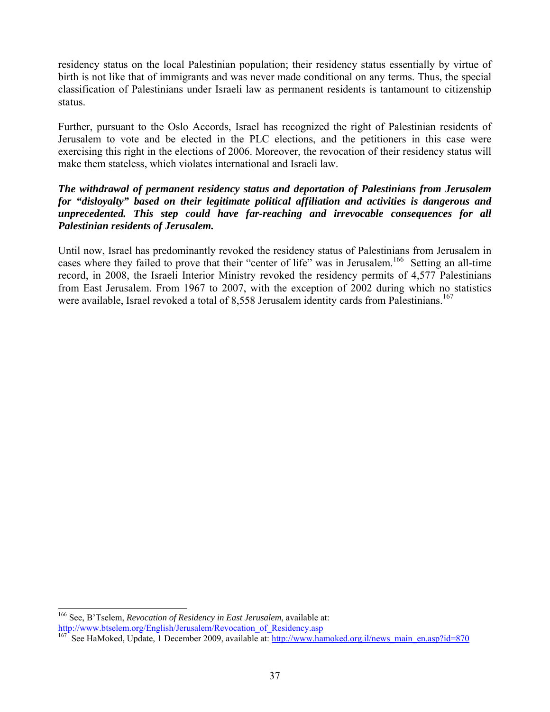residency status on the local Palestinian population; their residency status essentially by virtue of birth is not like that of immigrants and was never made conditional on any terms. Thus, the special classification of Palestinians under Israeli law as permanent residents is tantamount to citizenship status.

Further, pursuant to the Oslo Accords, Israel has recognized the right of Palestinian residents of Jerusalem to vote and be elected in the PLC elections, and the petitioners in this case were exercising this right in the elections of 2006. Moreover, the revocation of their residency status will make them stateless, which violates international and Israeli law.

# *The withdrawal of permanent residency status and deportation of Palestinians from Jerusalem for "disloyalty" based on their legitimate political affiliation and activities is dangerous and unprecedented. This step could have far-reaching and irrevocable consequences for all Palestinian residents of Jerusalem.*

Until now, Israel has predominantly revoked the residency status of Palestinians from Jerusalem in cases where they failed to prove that their "center of life" was in Jerusalem.<sup>166</sup> Setting an all-time record, in 2008, the Israeli Interior Ministry revoked the residency permits of 4,577 Palestinians from East Jerusalem. From 1967 to 2007, with the exception of 2002 during which no statistics were available, Israel revoked a total of 8,558 Jerusalem identity cards from Palestinians.<sup>167</sup>

<sup>166</sup> See, B'Tselem, *Revocation of Residency in East Jerusalem*, available at: http://www.btselem.org/English/Jerusalem/Revocation\_of\_Residency.asp

<sup>167</sup> See HaMoked, Update, 1 December 2009, available at: http://www.hamoked.org.il/news\_main\_en.asp?id=870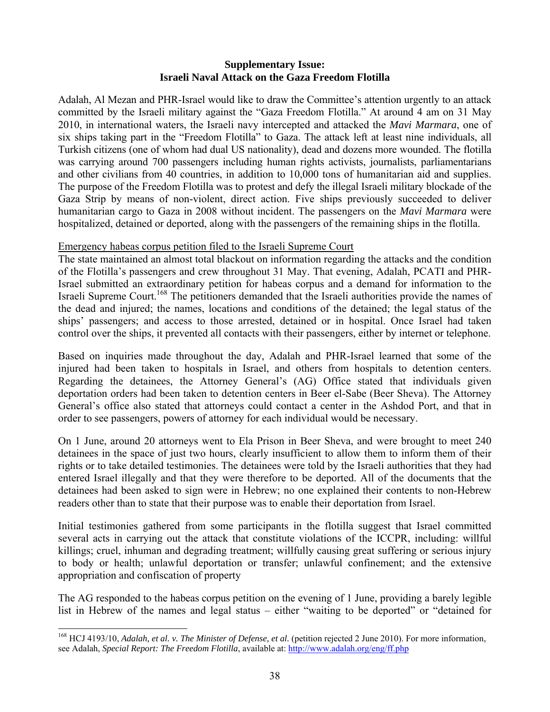# **Supplementary Issue: Israeli Naval Attack on the Gaza Freedom Flotilla**

Adalah, Al Mezan and PHR-Israel would like to draw the Committee's attention urgently to an attack committed by the Israeli military against the "Gaza Freedom Flotilla." At around 4 am on 31 May 2010, in international waters, the Israeli navy intercepted and attacked the *Mavi Marmara*, one of six ships taking part in the "Freedom Flotilla" to Gaza. The attack left at least nine individuals, all Turkish citizens (one of whom had dual US nationality), dead and dozens more wounded. The flotilla was carrying around 700 passengers including human rights activists, journalists, parliamentarians and other civilians from 40 countries, in addition to 10,000 tons of humanitarian aid and supplies. The purpose of the Freedom Flotilla was to protest and defy the illegal Israeli military blockade of the Gaza Strip by means of non-violent, direct action. Five ships previously succeeded to deliver humanitarian cargo to Gaza in 2008 without incident. The passengers on the *Mavi Marmara* were hospitalized, detained or deported, along with the passengers of the remaining ships in the flotilla.

# Emergency habeas corpus petition filed to the Israeli Supreme Court

The state maintained an almost total blackout on information regarding the attacks and the condition of the Flotilla's passengers and crew throughout 31 May. That evening, Adalah, PCATI and PHR-Israel submitted an extraordinary petition for habeas corpus and a demand for information to the Israeli Supreme Court.<sup>168</sup> The petitioners demanded that the Israeli authorities provide the names of the dead and injured; the names, locations and conditions of the detained; the legal status of the ships' passengers; and access to those arrested, detained or in hospital. Once Israel had taken control over the ships, it prevented all contacts with their passengers, either by internet or telephone.

Based on inquiries made throughout the day, Adalah and PHR-Israel learned that some of the injured had been taken to hospitals in Israel, and others from hospitals to detention centers. Regarding the detainees, the Attorney General's (AG) Office stated that individuals given deportation orders had been taken to detention centers in Beer el-Sabe (Beer Sheva). The Attorney General's office also stated that attorneys could contact a center in the Ashdod Port, and that in order to see passengers, powers of attorney for each individual would be necessary.

On 1 June, around 20 attorneys went to Ela Prison in Beer Sheva, and were brought to meet 240 detainees in the space of just two hours, clearly insufficient to allow them to inform them of their rights or to take detailed testimonies. The detainees were told by the Israeli authorities that they had entered Israel illegally and that they were therefore to be deported. All of the documents that the detainees had been asked to sign were in Hebrew; no one explained their contents to non-Hebrew readers other than to state that their purpose was to enable their deportation from Israel.

Initial testimonies gathered from some participants in the flotilla suggest that Israel committed several acts in carrying out the attack that constitute violations of the ICCPR, including: willful killings; cruel, inhuman and degrading treatment; willfully causing great suffering or serious injury to body or health; unlawful deportation or transfer; unlawful confinement; and the extensive appropriation and confiscation of property

The AG responded to the habeas corpus petition on the evening of 1 June, providing a barely legible list in Hebrew of the names and legal status – either "waiting to be deported" or "detained for

<sup>168</sup> HCJ 4193/10, *Adalah, et al. v. The Minister of Defense, et al.* (petition rejected 2 June 2010). For more information, see Adalah, *Special Report: The Freedom Flotilla*, available at: http://www.adalah.org/eng/ff.php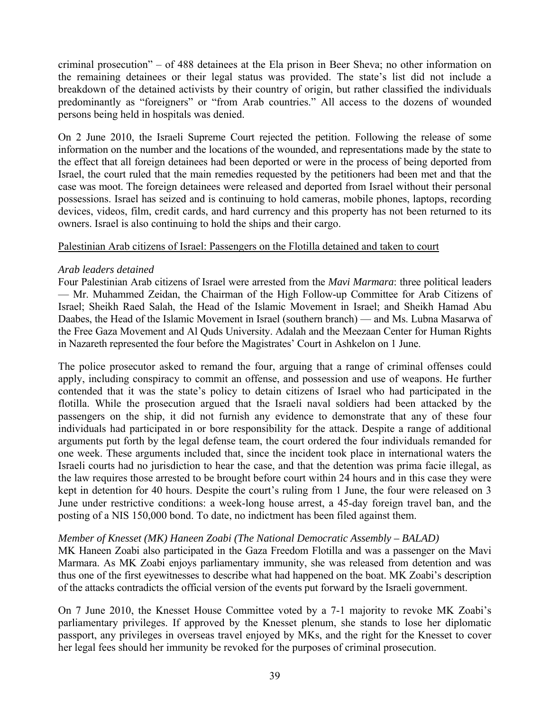criminal prosecution" – of 488 detainees at the Ela prison in Beer Sheva; no other information on the remaining detainees or their legal status was provided. The state's list did not include a breakdown of the detained activists by their country of origin, but rather classified the individuals predominantly as "foreigners" or "from Arab countries." All access to the dozens of wounded persons being held in hospitals was denied.

On 2 June 2010, the Israeli Supreme Court rejected the petition. Following the release of some information on the number and the locations of the wounded, and representations made by the state to the effect that all foreign detainees had been deported or were in the process of being deported from Israel, the court ruled that the main remedies requested by the petitioners had been met and that the case was moot. The foreign detainees were released and deported from Israel without their personal possessions. Israel has seized and is continuing to hold cameras, mobile phones, laptops, recording devices, videos, film, credit cards, and hard currency and this property has not been returned to its owners. Israel is also continuing to hold the ships and their cargo.

# Palestinian Arab citizens of Israel: Passengers on the Flotilla detained and taken to court

# *Arab leaders detained*

Four Palestinian Arab citizens of Israel were arrested from the *Mavi Marmara*: three political leaders — Mr. Muhammed Zeidan, the Chairman of the High Follow-up Committee for Arab Citizens of Israel; Sheikh Raed Salah, the Head of the Islamic Movement in Israel; and Sheikh Hamad Abu Daabes, the Head of the Islamic Movement in Israel (southern branch) — and Ms. Lubna Masarwa of the Free Gaza Movement and Al Quds University. Adalah and the Meezaan Center for Human Rights in Nazareth represented the four before the Magistrates' Court in Ashkelon on 1 June.

The police prosecutor asked to remand the four, arguing that a range of criminal offenses could apply, including conspiracy to commit an offense, and possession and use of weapons. He further contended that it was the state's policy to detain citizens of Israel who had participated in the flotilla. While the prosecution argued that the Israeli naval soldiers had been attacked by the passengers on the ship, it did not furnish any evidence to demonstrate that any of these four individuals had participated in or bore responsibility for the attack. Despite a range of additional arguments put forth by the legal defense team, the court ordered the four individuals remanded for one week. These arguments included that, since the incident took place in international waters the Israeli courts had no jurisdiction to hear the case, and that the detention was prima facie illegal, as the law requires those arrested to be brought before court within 24 hours and in this case they were kept in detention for 40 hours. Despite the court's ruling from 1 June, the four were released on 3 June under restrictive conditions: a week-long house arrest, a 45-day foreign travel ban, and the posting of a NIS 150,000 bond. To date, no indictment has been filed against them.

# *Member of Knesset (MK) Haneen Zoabi (The National Democratic Assembly – BALAD)*

MK Haneen Zoabi also participated in the Gaza Freedom Flotilla and was a passenger on the Mavi Marmara. As MK Zoabi enjoys parliamentary immunity, she was released from detention and was thus one of the first eyewitnesses to describe what had happened on the boat. MK Zoabi's description of the attacks contradicts the official version of the events put forward by the Israeli government.

On 7 June 2010, the Knesset House Committee voted by a 7-1 majority to revoke MK Zoabi's parliamentary privileges. If approved by the Knesset plenum, she stands to lose her diplomatic passport, any privileges in overseas travel enjoyed by MKs, and the right for the Knesset to cover her legal fees should her immunity be revoked for the purposes of criminal prosecution.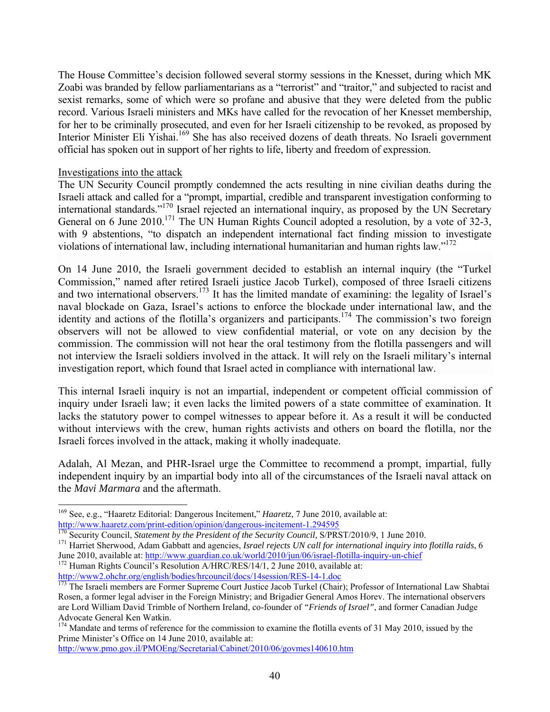The House Committee's decision followed several stormy sessions in the Knesset, during which MK Zoabi was branded by fellow parliamentarians as a "terrorist" and "traitor," and subjected to racist and sexist remarks, some of which were so profane and abusive that they were deleted from the public record. Various Israeli ministers and MKs have called for the revocation of her Knesset membership, for her to be criminally prosecuted, and even for her Israeli citizenship to be revoked, as proposed by Interior Minister Eli Yishai.<sup>169</sup> She has also received dozens of death threats. No Israeli government official has spoken out in support of her rights to life, liberty and freedom of expression.

## Investigations into the attack

l

The UN Security Council promptly condemned the acts resulting in nine civilian deaths during the Israeli attack and called for a "prompt, impartial, credible and transparent investigation conforming to international standards."170 Israel rejected an international inquiry, as proposed by the UN Secretary General on 6 June 2010.<sup>171</sup> The UN Human Rights Council adopted a resolution, by a vote of 32-3, with 9 abstentions, "to dispatch an independent international fact finding mission to investigate violations of international law, including international humanitarian and human rights law." $172$ 

On 14 June 2010, the Israeli government decided to establish an internal inquiry (the "Turkel Commission," named after retired Israeli justice Jacob Turkel), composed of three Israeli citizens and two international observers.<sup>173</sup> It has the limited mandate of examining: the legality of Israel's naval blockade on Gaza, Israel's actions to enforce the blockade under international law, and the identity and actions of the flotilla's organizers and participants.<sup>174</sup> The commission's two foreign observers will not be allowed to view confidential material, or vote on any decision by the commission. The commission will not hear the oral testimony from the flotilla passengers and will not interview the Israeli soldiers involved in the attack. It will rely on the Israeli military's internal investigation report, which found that Israel acted in compliance with international law.

This internal Israeli inquiry is not an impartial, independent or competent official commission of inquiry under Israeli law; it even lacks the limited powers of a state committee of examination. It lacks the statutory power to compel witnesses to appear before it. As a result it will be conducted without interviews with the crew, human rights activists and others on board the flotilla, nor the Israeli forces involved in the attack, making it wholly inadequate.

Adalah, Al Mezan, and PHR-Israel urge the Committee to recommend a prompt, impartial, fully independent inquiry by an impartial body into all of the circumstances of the Israeli naval attack on the *Mavi Marmara* and the aftermath.

http://www.pmo.gov.il/PMOEng/Secretarial/Cabinet/2010/06/govmes140610.htm

<sup>169</sup> See, e.g., "Haaretz Editorial: Dangerous Incitement," *Haaretz*, 7 June 2010, available at:

http://www.haaretz.com/print-edition/opinion/dangerous-incitement-1.294595<br>
<sup>170</sup> Security Council, *Statement by the President of the Security Council*, S/PRST/2010/9, 1 June 2010.<br>
<sup>171</sup> Harriet Sherwood, Adam Gabbatt an

Incentration at the matrice and matrice at  $\frac{1}{\sqrt{12}}$  Human Rights Council's Resolution A/HRC/RES/14/1, 2 June 2010, available at:

http://www2.ohchr.org/english/bodies/hrcouncil/docs/14session/RES-14-1.doc<br><sup>173</sup> The Israeli members are Former Supreme Court Justice Jacob Turkel (Chair); Professor of International Law Shabtai Rosen, a former legal adviser in the Foreign Ministry; and Brigadier General Amos Horev. The international observers are Lord William David Trimble of Northern Ireland, co-founder of *"Friends of Israel"*, and former Canadian Judge Advocate General Ken Watkin.

<sup>&</sup>lt;sup>174</sup> Mandate and terms of reference for the commission to examine the flotilla events of 31 May 2010, issued by the Prime Minister's Office on 14 June 2010, available at: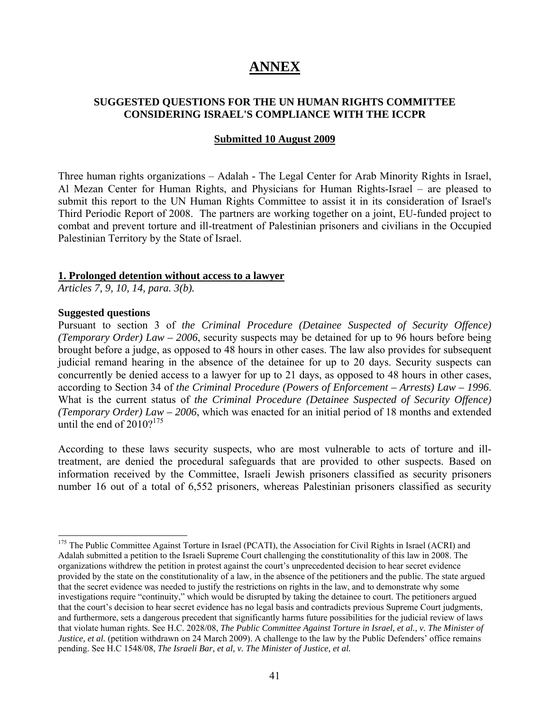# **ANNEX**

# **SUGGESTED QUESTIONS FOR THE UN HUMAN RIGHTS COMMITTEE CONSIDERING ISRAEL'S COMPLIANCE WITH THE ICCPR**

#### **Submitted 10 August 2009**

Three human rights organizations – Adalah - The Legal Center for Arab Minority Rights in Israel, Al Mezan Center for Human Rights, and Physicians for Human Rights-Israel – are pleased to submit this report to the UN Human Rights Committee to assist it in its consideration of Israel's Third Periodic Report of 2008. The partners are working together on a joint, EU-funded project to combat and prevent torture and ill-treatment of Palestinian prisoners and civilians in the Occupied Palestinian Territory by the State of Israel.

#### **1. Prolonged detention without access to a lawyer**

*Articles 7, 9, 10, 14, para. 3(b).* 

#### **Suggested questions**

l

Pursuant to section 3 of *the Criminal Procedure (Detainee Suspected of Security Offence) (Temporary Order) Law – 2006*, security suspects may be detained for up to 96 hours before being brought before a judge, as opposed to 48 hours in other cases. The law also provides for subsequent judicial remand hearing in the absence of the detainee for up to 20 days. Security suspects can concurrently be denied access to a lawyer for up to 21 days, as opposed to 48 hours in other cases, according to Section 34 of *the Criminal Procedure (Powers of Enforcement – Arrests) Law – 1996*. What is the current status of *the Criminal Procedure (Detainee Suspected of Security Offence) (Temporary Order) Law – 2006*, which was enacted for an initial period of 18 months and extended until the end of  $2010$ ?<sup>175</sup>

According to these laws security suspects, who are most vulnerable to acts of torture and illtreatment, are denied the procedural safeguards that are provided to other suspects. Based on information received by the Committee, Israeli Jewish prisoners classified as security prisoners number 16 out of a total of 6,552 prisoners, whereas Palestinian prisoners classified as security

<sup>&</sup>lt;sup>175</sup> The Public Committee Against Torture in Israel (PCATI), the Association for Civil Rights in Israel (ACRI) and Adalah submitted a petition to the Israeli Supreme Court challenging the constitutionality of this law in 2008. The organizations withdrew the petition in protest against the court's unprecedented decision to hear secret evidence provided by the state on the constitutionality of a law, in the absence of the petitioners and the public. The state argued that the secret evidence was needed to justify the restrictions on rights in the law, and to demonstrate why some investigations require "continuity," which would be disrupted by taking the detainee to court. The petitioners argued that the court's decision to hear secret evidence has no legal basis and contradicts previous Supreme Court judgments, and furthermore, sets a dangerous precedent that significantly harms future possibilities for the judicial review of laws that violate human rights. See H.C. 2028/08, *The Public Committee Against Torture in Israel, et al., v. The Minister of Justice, et al.* (petition withdrawn on 24 March 2009). A challenge to the law by the Public Defenders' office remains pending. See H.C 1548/08, *The Israeli Bar, et al, v. The Minister of Justice, et al.*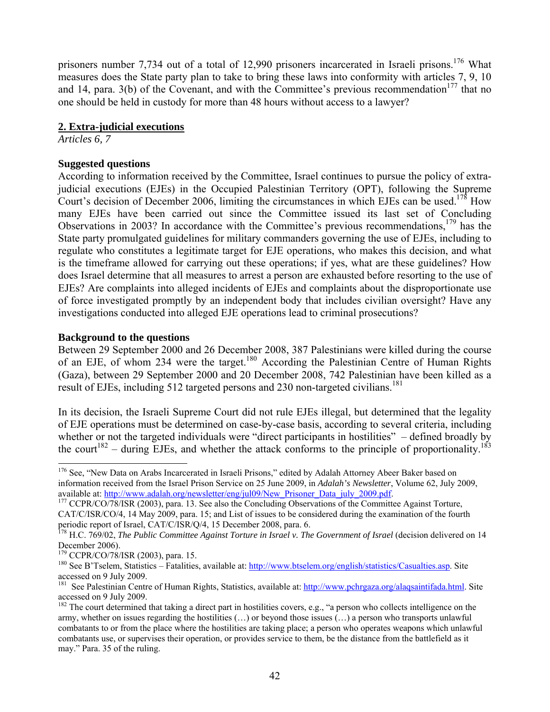prisoners number 7,734 out of a total of 12,990 prisoners incarcerated in Israeli prisons.<sup>176</sup> What measures does the State party plan to take to bring these laws into conformity with articles 7, 9, 10 and 14, para.  $3(b)$  of the Covenant, and with the Committee's previous recommendation<sup>177</sup> that no one should be held in custody for more than 48 hours without access to a lawyer?

# **2. Extra-judicial executions**

*Articles 6, 7* 

# **Suggested questions**

According to information received by the Committee, Israel continues to pursue the policy of extrajudicial executions (EJEs) in the Occupied Palestinian Territory (OPT), following the Supreme Court's decision of December 2006, limiting the circumstances in which EJEs can be used.<sup>178</sup> How many EJEs have been carried out since the Committee issued its last set of Concluding Observations in 2003? In accordance with the Committee's previous recommendations,<sup>179</sup> has the State party promulgated guidelines for military commanders governing the use of EJEs, including to regulate who constitutes a legitimate target for EJE operations, who makes this decision, and what is the timeframe allowed for carrying out these operations; if yes, what are these guidelines? How does Israel determine that all measures to arrest a person are exhausted before resorting to the use of EJEs? Are complaints into alleged incidents of EJEs and complaints about the disproportionate use of force investigated promptly by an independent body that includes civilian oversight? Have any investigations conducted into alleged EJE operations lead to criminal prosecutions?

# **Background to the questions**

Between 29 September 2000 and 26 December 2008, 387 Palestinians were killed during the course of an EJE, of whom 234 were the target.<sup>180</sup> According the Palestinian Centre of Human Rights (Gaza), between 29 September 2000 and 20 December 2008, 742 Palestinian have been killed as a result of EJEs, including 512 targeted persons and 230 non-targeted civilians.<sup>181</sup>

In its decision, the Israeli Supreme Court did not rule EJEs illegal, but determined that the legality of EJE operations must be determined on case-by-case basis, according to several criteria, including whether or not the targeted individuals were "direct participants in hostilities" – defined broadly by the court<sup>182</sup> – during EJEs, and whether the attack conforms to the principle of proportionality.<sup>183</sup>

<sup>&</sup>lt;sup>176</sup> See, "New Data on Arabs Incarcerated in Israeli Prisons," edited by Adalah Attorney Abeer Baker based on information received from the Israel Prison Service on 25 June 2009, in *Adalah's Newsletter*, Volume 62, July 2009, available at: http://www.adalah.org/newsletter/eng/jul09/New\_Prisoner\_Data\_july\_2009.pdf. 177 CCPR/CO/78/ISR (2003), para. 13. See also the Concluding Observations of the Committee Against Torture,

CAT/C/ISR/CO/4, 14 May 2009, para. 15; and List of issues to be considered during the examination of the fourth periodic report of Israel, CAT/C/ISR/Q/4, 15 December 2008, para. 6.

<sup>&</sup>lt;sup>178</sup> H.C. 769/02, *The Public Committee Against Torture in Israel v. The Government of Israel* (decision delivered on 14 December 2006).<br><sup>179</sup> CCPR/CO/78/ISR (2003), para. 15.

 $180$  See B'Tselem, Statistics – Fatalities, available at: http://www.btselem.org/english/statistics/Casualties.asp. Site accessed on 9 July 2009.

<sup>&</sup>lt;sup>181</sup> See Palestinian Centre of Human Rights, Statistics, available at: http://www.pchrgaza.org/alaqsaintifada.html. Site accessed on 9 July 2009.

 $182$  The court determined that taking a direct part in hostilities covers, e.g., "a person who collects intelligence on the army, whether on issues regarding the hostilities (…) or beyond those issues (…) a person who transports unlawful combatants to or from the place where the hostilities are taking place; a person who operates weapons which unlawful combatants use, or supervises their operation, or provides service to them, be the distance from the battlefield as it may." Para. 35 of the ruling.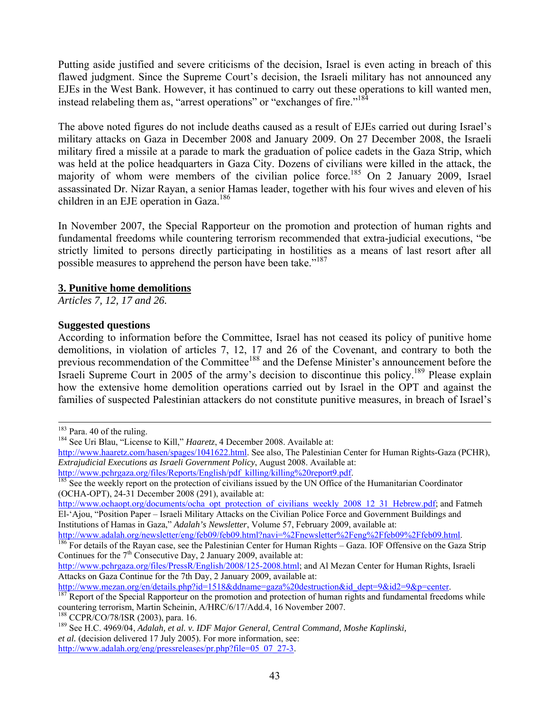Putting aside justified and severe criticisms of the decision, Israel is even acting in breach of this flawed judgment. Since the Supreme Court's decision, the Israeli military has not announced any EJEs in the West Bank. However, it has continued to carry out these operations to kill wanted men, instead relabeling them as, "arrest operations" or "exchanges of fire."<sup>184</sup>

The above noted figures do not include deaths caused as a result of EJEs carried out during Israel's military attacks on Gaza in December 2008 and January 2009. On 27 December 2008, the Israeli military fired a missile at a parade to mark the graduation of police cadets in the Gaza Strip, which was held at the police headquarters in Gaza City. Dozens of civilians were killed in the attack, the majority of whom were members of the civilian police force.<sup>185</sup> On 2 January 2009, Israel assassinated Dr. Nizar Rayan, a senior Hamas leader, together with his four wives and eleven of his children in an EJE operation in Gaza.<sup>186</sup>

In November 2007, the Special Rapporteur on the promotion and protection of human rights and fundamental freedoms while countering terrorism recommended that extra-judicial executions, "be strictly limited to persons directly participating in hostilities as a means of last resort after all possible measures to apprehend the person have been take."<sup>187</sup>

## **3. Punitive home demolitions**

*Articles 7, 12, 17 and 26.* 

# **Suggested questions**

According to information before the Committee, Israel has not ceased its policy of punitive home demolitions, in violation of articles 7, 12, 17 and 26 of the Covenant, and contrary to both the previous recommendation of the Committee<sup>188</sup> and the Defense Minister's announcement before the Israeli Supreme Court in 2005 of the army's decision to discontinue this policy.<sup>189</sup> Please explain how the extensive home demolition operations carried out by Israel in the OPT and against the families of suspected Palestinian attackers do not constitute punitive measures, in breach of Israel's

http://www.ochaopt.org/documents/ocha\_opt\_protection\_of\_civilians\_weekly\_2008\_12\_31\_Hebrew.pdf; and Fatmeh El-'Ajou, "Position Paper – Israeli Military Attacks on the Civilian Police Force and Government Buildings and Institutions of Hamas in Gaza," *Adalah's Newsletter*, Volume 57, February 2009, available at:

<sup>&</sup>lt;sup>183</sup> Para. 40 of the ruling.<br><sup>184</sup> See Uri Blau, "License to Kill," *Haaretz*, 4 December 2008. Available at:

http://www.haaretz.com/hasen/spages/1041622.html</u>. See also, The Palestinian Center for Human Rights-Gaza (PCHR), *Extrajudicial Executions as Israeli Government Policy*, August 2008. Available at:

http://www.pchrgaza.org/files/Reports/English/pdf\_killing/killing%20report9.pdf.<br><sup>185</sup> See the weekly report on the protection of civilians issued by the UN Office of the Humanitarian Coordinator (OCHA-OPT), 24-31 December 2008 (291), available at:

 $h^{186}$  For details of the Rayan case, see the Palestinian Center for Human Rights – Gaza. IOF Offensive on the Gaza Strip Continues for the  $7<sup>th</sup>$  Consecutive Day, 2 January 2009, available at:

http://www.pchrgaza.org/files/PressR/English/2008/125-2008.html; and Al Mezan Center for Human Rights, Israeli Attacks on Gaza Continue for the 7th Day, 2 January 2009, available at:

http://www.mezan.org/en/details.php?id=1518&ddname=gaza%20destruction&id\_dept=9&id2=9&p=center.<br><sup>187</sup> Report of the Special Rapporteur on the promotion and protection of human rights and fundamental freedoms while countering terrorism, Martin Scheinin, A/HRC/6/17/Add.4, 16 November 2007.<br><sup>188</sup> CCPR/CO/78/ISR (2003), para. 16.

<sup>&</sup>lt;sup>189</sup> See H.C. 4969/04, *Adalah, et al. v. IDF Major General, Central Command, Moshe Kaplinski, et al.* (decision delivered 17 July 2005). For more information, see: http://www.adalah.org/eng/pressreleases/pr.php?file=05\_07\_27-3.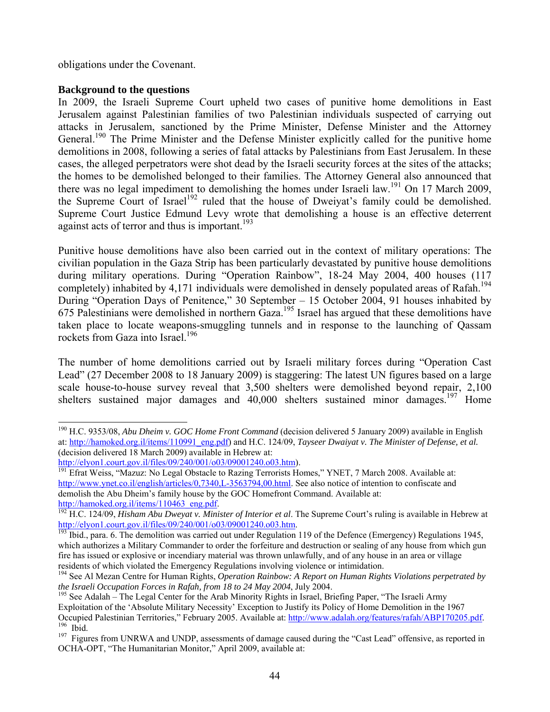obligations under the Covenant.

## **Background to the questions**

In 2009, the Israeli Supreme Court upheld two cases of punitive home demolitions in East Jerusalem against Palestinian families of two Palestinian individuals suspected of carrying out attacks in Jerusalem, sanctioned by the Prime Minister, Defense Minister and the Attorney General.<sup>190</sup> The Prime Minister and the Defense Minister explicitly called for the punitive home demolitions in 2008, following a series of fatal attacks by Palestinians from East Jerusalem. In these cases, the alleged perpetrators were shot dead by the Israeli security forces at the sites of the attacks; the homes to be demolished belonged to their families. The Attorney General also announced that there was no legal impediment to demolishing the homes under Israeli law.<sup>191</sup> On 17 March 2009, the Supreme Court of Israel<sup>192</sup> ruled that the house of Dweiyat's family could be demolished. Supreme Court Justice Edmund Levy wrote that demolishing a house is an effective deterrent against acts of terror and thus is important.<sup>193</sup>

Punitive house demolitions have also been carried out in the context of military operations: The civilian population in the Gaza Strip has been particularly devastated by punitive house demolitions during military operations. During "Operation Rainbow", 18-24 May 2004, 400 houses (117 completely) inhabited by 4,171 individuals were demolished in densely populated areas of Rafah.<sup>194</sup> During "Operation Days of Penitence," 30 September – 15 October 2004, 91 houses inhabited by 675 Palestinians were demolished in northern Gaza.<sup>195</sup> Israel has argued that these demolitions have taken place to locate weapons-smuggling tunnels and in response to the launching of Qassam rockets from Gaza into Israel.<sup>196</sup>

The number of home demolitions carried out by Israeli military forces during "Operation Cast Lead" (27 December 2008 to 18 January 2009) is staggering: The latest UN figures based on a large scale house-to-house survey reveal that 3,500 shelters were demolished beyond repair, 2,100 shelters sustained major damages and 40,000 shelters sustained minor damages.<sup>197</sup> Home

l 190 H.C. 9353/08, *Abu Dheim v. GOC Home Front Command* (decision delivered 5 January 2009) available in English at: http://hamoked.org.il/items/110991\_eng.pdf) and H.C. 124/09, *Tayseer Dwaiyat v. The Minister of Defense, et al.* (decision delivered 18 March 2009) available in Hebrew at:

http://elyon1.court.gov.il/files/09/240/001/o03/09001240.o03.htm).<br><sup>191</sup> Efrat Weiss, "Mazuz: No Legal Obstacle to Razing Terrorists Homes," YNET, 7 March 2008. Available at: http://www.ynet.co.il/english/articles/0,7340,L-3563794,00.html. See also notice of intention to confiscate and demolish the Abu Dheim's family house by the GOC Homefront Command. Available at:

http://hamoked.org.il/items/110463\_eng.pdf.<br><sup>192</sup> H.C. 124/09, *Hisham Abu Dweyat v. Minister of Interior et al*. The Supreme Court's ruling is available in Hebrew at<br>http://elyon1.court.gov.il/files/09/240/001/o03/0900124

<sup>&</sup>lt;sup>193</sup> Ibid., para. 6. The demolition was carried out under Regulation 119 of the Defence (Emergency) Regulations 1945, which authorizes a Military Commander to order the forfeiture and destruction or sealing of any house from which gun fire has issued or explosive or incendiary material was thrown unlawfully, and of any house in an area or village residents of which violated the Emergency Regulations involving violence or intimidation.

<sup>&</sup>lt;sup>194</sup> See Al Mezan Centre for Human Rights, *Operation Rainbow: A Report on Human Rights Violations perpetrated by*<br>*the Israeli Occupation Forces in Rafah, from 18 to 24 May 2004*, July 2004.

<sup>&</sup>lt;sup>195</sup> See Adalah – The Legal Center for the Arab Minority Rights in Israel, Briefing Paper, "The Israeli Army Exploitation of the 'Absolute Military Necessity' Exception to Justify its Policy of Home Demolition in the 1967 Occupied Palestinian Territories," February 2005. Available at: http://www.adalah.org/features/rafah/ABP170205.pdf.<br><sup>196</sup> Ibid.<br><sup>197</sup> Figures from UNRWA and UNDP, assessments of damage caused during the "Cast Lead" offensi

OCHA-OPT, "The Humanitarian Monitor," April 2009, available at: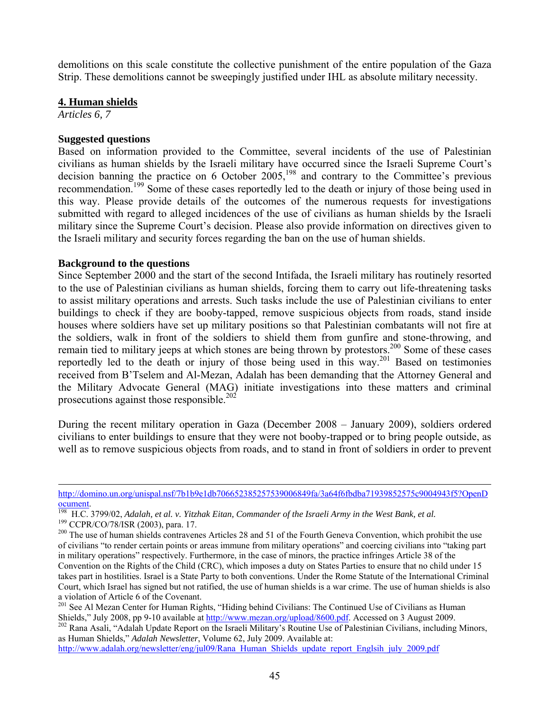demolitions on this scale constitute the collective punishment of the entire population of the Gaza Strip. These demolitions cannot be sweepingly justified under IHL as absolute military necessity.

## **4. Human shields**

*Articles 6, 7* 

-

#### **Suggested questions**

Based on information provided to the Committee, several incidents of the use of Palestinian civilians as human shields by the Israeli military have occurred since the Israeli Supreme Court's decision banning the practice on 6 October  $2005$ ,<sup>198</sup> and contrary to the Committee's previous recommendation.<sup>199</sup> Some of these cases reportedly led to the death or injury of those being used in this way. Please provide details of the outcomes of the numerous requests for investigations submitted with regard to alleged incidences of the use of civilians as human shields by the Israeli military since the Supreme Court's decision. Please also provide information on directives given to the Israeli military and security forces regarding the ban on the use of human shields.

#### **Background to the questions**

Since September 2000 and the start of the second Intifada, the Israeli military has routinely resorted to the use of Palestinian civilians as human shields, forcing them to carry out life-threatening tasks to assist military operations and arrests. Such tasks include the use of Palestinian civilians to enter buildings to check if they are booby-tapped, remove suspicious objects from roads, stand inside houses where soldiers have set up military positions so that Palestinian combatants will not fire at the soldiers, walk in front of the soldiers to shield them from gunfire and stone-throwing, and remain tied to military jeeps at which stones are being thrown by protestors.<sup>200</sup> Some of these cases reportedly led to the death or injury of those being used in this way.<sup>201</sup> Based on testimonies received from B'Tselem and Al-Mezan, Adalah has been demanding that the Attorney General and the Military Advocate General (MAG) initiate investigations into these matters and criminal prosecutions against those responsible.<sup>202</sup>

During the recent military operation in Gaza (December 2008 – January 2009), soldiers ordered civilians to enter buildings to ensure that they were not booby-trapped or to bring people outside, as well as to remove suspicious objects from roads, and to stand in front of soldiers in order to prevent

<sup>202</sup> Rana Asali, "Adalah Update Report on the Israeli Military's Routine Use of Palestinian Civilians, including Minors, as Human Shields," *Adalah Newsletter*, Volume 62, July 2009. Available at:

http://www.adalah.org/newsletter/eng/jul09/Rana\_Human\_Shields\_update\_report\_Englsih\_july\_2009.pdf

http://domino.un.org/unispal.nsf/7b1b9e1db706652385257539006849fa/3a64f6fbdba71939852575c9004943f5?OpenD

<sup>&</sup>lt;sup>198</sup> H.C. 3799/02, Adalah, et al. v. Yitzhak Eitan, Commander of the Israeli Army in the West Bank, et al.<br><sup>199</sup> CCPR/CO/78/ISR (2003), para. 17.<br><sup>200</sup> The use of human shields contravenes Articles 28 and 51 of the Fourth

of civilians "to render certain points or areas immune from military operations" and coercing civilians into "taking part in military operations" respectively. Furthermore, in the case of minors, the practice infringes Article 38 of the Convention on the Rights of the Child (CRC), which imposes a duty on States Parties to ensure that no child under 15 takes part in hostilities. Israel is a State Party to both conventions. Under the Rome Statute of the International Criminal Court, which Israel has signed but not ratified, the use of human shields is a war crime. The use of human shields is also a violation of Article 6 of the Covenant.

<sup>&</sup>lt;sup>201</sup> See Al Mezan Center for Human Rights, "Hiding behind Civilians: The Continued Use of Civilians as Human Shields," July 2008, pp 9-10 available at  $\frac{http://www.mezan.org/upload/8600.pdf}{http://www.mezan.org/upload/8600.pdf}$ . Accessed on 3 August 2009.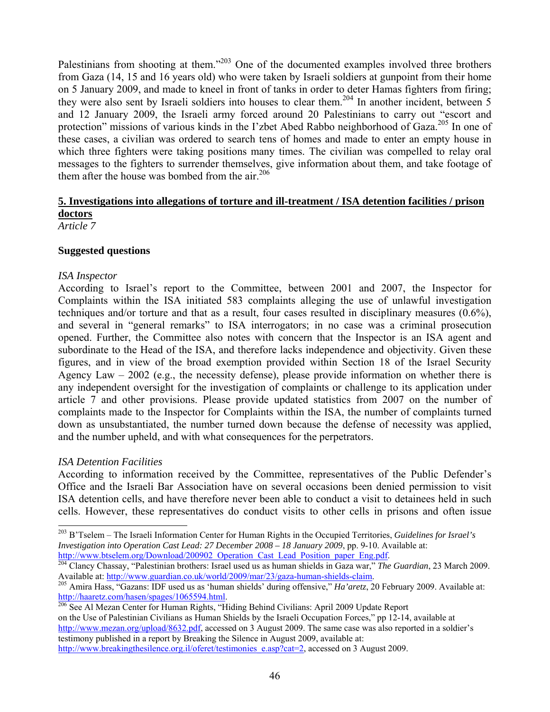Palestinians from shooting at them."<sup>203</sup> One of the documented examples involved three brothers from Gaza (14, 15 and 16 years old) who were taken by Israeli soldiers at gunpoint from their home on 5 January 2009, and made to kneel in front of tanks in order to deter Hamas fighters from firing; they were also sent by Israeli soldiers into houses to clear them.<sup>204</sup> In another incident, between  $\overline{5}$ and 12 January 2009, the Israeli army forced around 20 Palestinians to carry out "escort and protection" missions of various kinds in the I'zbet Abed Rabbo neighborhood of Gaza.<sup>205</sup> In one of these cases, a civilian was ordered to search tens of homes and made to enter an empty house in which three fighters were taking positions many times. The civilian was compelled to relay oral messages to the fighters to surrender themselves, give information about them, and take footage of them after the house was bombed from the air.<sup>206</sup>

# **5. Investigations into allegations of torture and ill-treatment / ISA detention facilities / prison doctors**

*Article 7* 

## **Suggested questions**

## *ISA Inspector*

According to Israel's report to the Committee, between 2001 and 2007, the Inspector for Complaints within the ISA initiated 583 complaints alleging the use of unlawful investigation techniques and/or torture and that as a result, four cases resulted in disciplinary measures (0.6%), and several in "general remarks" to ISA interrogators; in no case was a criminal prosecution opened. Further, the Committee also notes with concern that the Inspector is an ISA agent and subordinate to the Head of the ISA, and therefore lacks independence and objectivity. Given these figures, and in view of the broad exemption provided within Section 18 of the Israel Security Agency Law  $-2002$  (e.g., the necessity defense), please provide information on whether there is any independent oversight for the investigation of complaints or challenge to its application under article 7 and other provisions. Please provide updated statistics from 2007 on the number of complaints made to the Inspector for Complaints within the ISA, the number of complaints turned down as unsubstantiated, the number turned down because the defense of necessity was applied, and the number upheld, and with what consequences for the perpetrators.

## *ISA Detention Facilities*

l

According to information received by the Committee, representatives of the Public Defender's Office and the Israeli Bar Association have on several occasions been denied permission to visit ISA detention cells, and have therefore never been able to conduct a visit to detainees held in such cells. However, these representatives do conduct visits to other cells in prisons and often issue

<sup>203</sup> B'Tselem – The Israeli Information Center for Human Rights in the Occupied Territories, *Guidelines for Israel's Investigation into Operation Cast Lead: 27 December 2008 – 18 January 2009*, pp. 9-10. Available at:<br>http://www.btselem.org/Download/200902 Operation Cast Lead Position paper Eng.pdf.

http://www.btselem.org/Download/200902\_Operation\_Cast\_Lead\_Position\_paper\_Eng.pdf. 204 Clancy Chassay, "Palestinian brothers: Israel used us as human shields in Gaza war," *The Guardian*, 23 March 2009.

Available at: http://www.guardian.co.uk/world/2009/mar/23/gaza-human-shields-claim.<br><sup>205</sup> Amira Hass, "Gazans: IDF used us as 'human shields' during offensive," *Ha'aretz*, 20 February 2009. Available at:<br>http://haaretz.co

<sup>&</sup>lt;sup>206</sup> See Al Mezan Center for Human Rights, "Hiding Behind Civilians: April 2009 Update Report on the Use of Palestinian Civilians as Human Shields by the Israeli Occupation Forces," pp 12-14, available at http://www.mezan.org/upload/8632.pdf, accessed on 3 August 2009. The same case was also reported in a soldier's testimony published in a report by Breaking the Silence in August 2009, available at: http://www.breakingthesilence.org.il/oferet/testimonies\_e.asp?cat=2, accessed on 3 August 2009.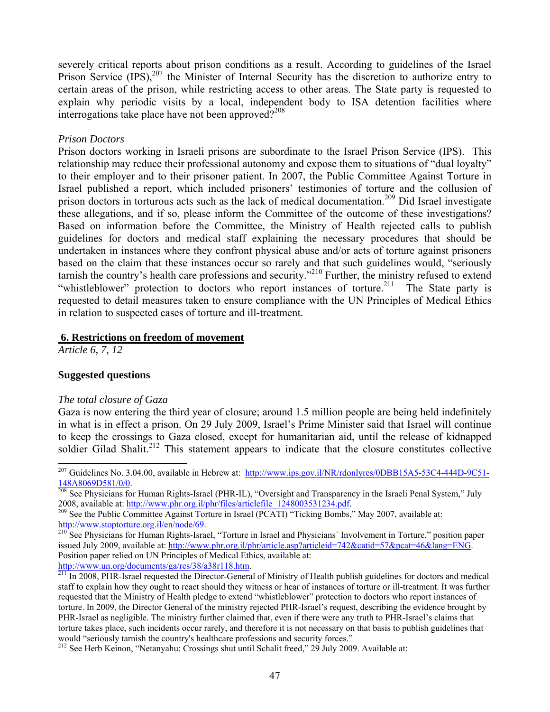severely critical reports about prison conditions as a result. According to guidelines of the Israel Prison Service  $(IPS)$ ,<sup>207</sup> the Minister of Internal Security has the discretion to authorize entry to certain areas of the prison, while restricting access to other areas. The State party is requested to explain why periodic visits by a local, independent body to ISA detention facilities where interrogations take place have not been approved? $208$ 

#### *Prison Doctors*

Prison doctors working in Israeli prisons are subordinate to the Israel Prison Service (IPS). This relationship may reduce their professional autonomy and expose them to situations of "dual loyalty" to their employer and to their prisoner patient. In 2007, the Public Committee Against Torture in Israel published a report, which included prisoners' testimonies of torture and the collusion of prison doctors in torturous acts such as the lack of medical documentation.209 Did Israel investigate these allegations, and if so, please inform the Committee of the outcome of these investigations? Based on information before the Committee, the Ministry of Health rejected calls to publish guidelines for doctors and medical staff explaining the necessary procedures that should be undertaken in instances where they confront physical abuse and/or acts of torture against prisoners based on the claim that these instances occur so rarely and that such guidelines would, "seriously tarnish the country's health care professions and security."210 Further, the ministry refused to extend "whistleblower" protection to doctors who report instances of torture.<sup>211</sup> The State party is requested to detail measures taken to ensure compliance with the UN Principles of Medical Ethics in relation to suspected cases of torture and ill-treatment.

#### **6. Restrictions on freedom of movement**

*Article 6, 7, 12* 

l

## **Suggested questions**

#### *The total closure of Gaza*

Gaza is now entering the third year of closure; around 1.5 million people are being held indefinitely in what is in effect a prison. On 29 July 2009, Israel's Prime Minister said that Israel will continue to keep the crossings to Gaza closed, except for humanitarian aid, until the release of kidnapped soldier Gilad Shalit.<sup>212</sup> This statement appears to indicate that the closure constitutes collective

<sup>&</sup>lt;sup>207</sup> Guidelines No. 3.04.00, available in Hebrew at: http://www.ips.gov.il/NR/rdonlyres/0DBB15A5-53C4-444D-9C51-

<sup>148</sup>A8069D581/0/0.<br><sup>208</sup> See Physicians for Human Rights-Israel (PHR-IL), "Oversight and Transparency in the Israeli Penal System," July<br>2008, available at: http://www.phr.org.il/phr/files/articlefile 1248003531234.pdf.

<sup>&</sup>lt;sup>209</sup> See the Public Committee Against Torture in Israel (PCATI) "Ticking Bombs," May 2007, available at:

http://www.stoptorture.org.il/en/node/69.<br><sup>210</sup> See Physicians for Human Rights-Israel, "Torture in Israel and Physicians' Involvement in Torture," position paper issued July 2009, available at: http://www.phr.org.il/phr/article.asp?articleid=742&catid=57&pcat=46&lang=ENG. Position paper relied on UN Principles of Medical Ethics, available at:

http://www.un.org/documents/ga/res/38/a38r118.htm.<br><sup>211</sup> In 2008, PHR-Israel requested the Director-General of Ministry of Health publish guidelines for doctors and medical staff to explain how they ought to react should they witness or hear of instances of torture or ill-treatment. It was further requested that the Ministry of Health pledge to extend "whistleblower" protection to doctors who report instances of torture. In 2009, the Director General of the ministry rejected PHR-Israel's request, describing the evidence brought by PHR-Israel as negligible. The ministry further claimed that, even if there were any truth to PHR-Israel's claims that torture takes place, such incidents occur rarely, and therefore it is not necessary on that basis to publish guidelines that would "seriously tarnish the country's healthcare professions and security forces." 212 See Herb Keinon, "Netanyahu: Crossings shut until Schalit freed," 29 July 2009. Available at: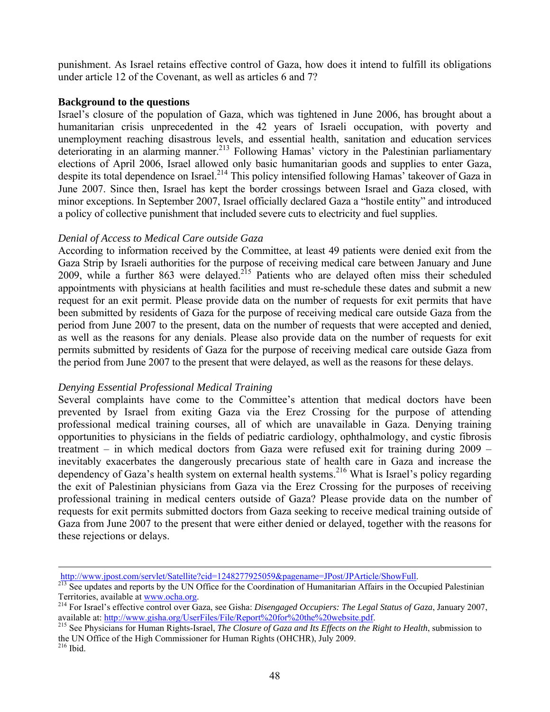punishment. As Israel retains effective control of Gaza, how does it intend to fulfill its obligations under article 12 of the Covenant, as well as articles 6 and 7?

## **Background to the questions**

Israel's closure of the population of Gaza, which was tightened in June 2006, has brought about a humanitarian crisis unprecedented in the 42 years of Israeli occupation, with poverty and unemployment reaching disastrous levels, and essential health, sanitation and education services deteriorating in an alarming manner.<sup>213</sup> Following Hamas' victory in the Palestinian parliamentary elections of April 2006, Israel allowed only basic humanitarian goods and supplies to enter Gaza, despite its total dependence on Israel.<sup>214</sup> This policy intensified following Hamas' takeover of Gaza in June 2007. Since then, Israel has kept the border crossings between Israel and Gaza closed, with minor exceptions. In September 2007, Israel officially declared Gaza a "hostile entity" and introduced a policy of collective punishment that included severe cuts to electricity and fuel supplies.

# *Denial of Access to Medical Care outside Gaza*

According to information received by the Committee, at least 49 patients were denied exit from the Gaza Strip by Israeli authorities for the purpose of receiving medical care between January and June 2009, while a further 863 were delayed.<sup>215</sup> Patients who are delayed often miss their scheduled appointments with physicians at health facilities and must re-schedule these dates and submit a new request for an exit permit. Please provide data on the number of requests for exit permits that have been submitted by residents of Gaza for the purpose of receiving medical care outside Gaza from the period from June 2007 to the present, data on the number of requests that were accepted and denied, as well as the reasons for any denials. Please also provide data on the number of requests for exit permits submitted by residents of Gaza for the purpose of receiving medical care outside Gaza from the period from June 2007 to the present that were delayed, as well as the reasons for these delays.

## *Denying Essential Professional Medical Training*

Several complaints have come to the Committee's attention that medical doctors have been prevented by Israel from exiting Gaza via the Erez Crossing for the purpose of attending professional medical training courses, all of which are unavailable in Gaza. Denying training opportunities to physicians in the fields of pediatric cardiology, ophthalmology, and cystic fibrosis treatment – in which medical doctors from Gaza were refused exit for training during 2009 – inevitably exacerbates the dangerously precarious state of health care in Gaza and increase the dependency of Gaza's health system on external health systems.<sup>216</sup> What is Israel's policy regarding the exit of Palestinian physicians from Gaza via the Erez Crossing for the purposes of receiving professional training in medical centers outside of Gaza? Please provide data on the number of requests for exit permits submitted doctors from Gaza seeking to receive medical training outside of Gaza from June 2007 to the present that were either denied or delayed, together with the reasons for these rejections or delays.

<sup>1</sup> 

http://www.jpost.com/servlet/Satellite?cid=1248277925059&pagename=JPost/JPArticle/ShowFull.<br><sup>213</sup> See updates and reports by the UN Office for the Coordination of Humanitarian Affairs in the Occupied Palestinian

Territories, available at <u>www.ocha.org</u>.<br><sup>214</sup> For Israel's effective control over Gaza, see Gisha: *Disengaged Occupiers: The Legal Status of Gaza*, January 2007, available at: http://www.gisha.org/UserFiles/File/Report%

<sup>&</sup>lt;sup>215</sup> See Physicians for Human Rights-Israel, *The Closure of Gaza and Its Effects on the Right to Health*, submission to the UN Office of the High Commissioner for Human Rights (OHCHR), July 2009.<br><sup>216</sup> Ibid.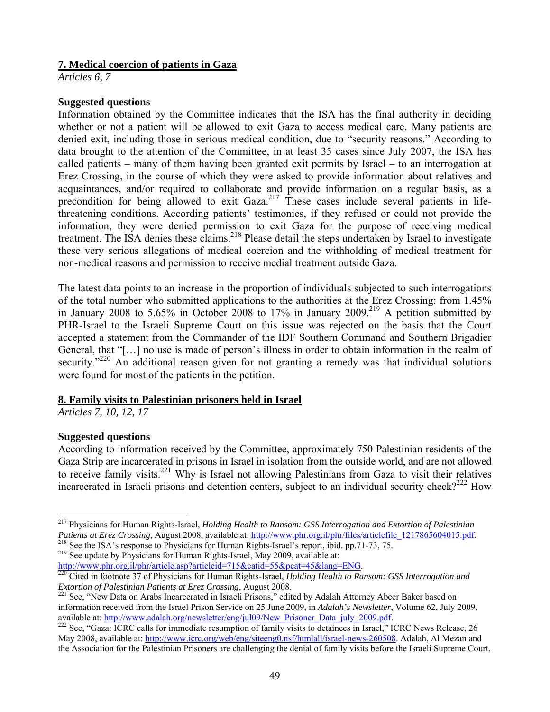# **7. Medical coercion of patients in Gaza**

*Articles 6, 7* 

# **Suggested questions**

Information obtained by the Committee indicates that the ISA has the final authority in deciding whether or not a patient will be allowed to exit Gaza to access medical care. Many patients are denied exit, including those in serious medical condition, due to "security reasons." According to data brought to the attention of the Committee, in at least 35 cases since July 2007, the ISA has called patients – many of them having been granted exit permits by Israel – to an interrogation at Erez Crossing, in the course of which they were asked to provide information about relatives and acquaintances, and/or required to collaborate and provide information on a regular basis, as a precondition for being allowed to exit Gaza.<sup>217</sup> These cases include several patients in lifethreatening conditions. According patients' testimonies, if they refused or could not provide the information, they were denied permission to exit Gaza for the purpose of receiving medical treatment. The ISA denies these claims.<sup>218</sup> Please detail the steps undertaken by Israel to investigate these very serious allegations of medical coercion and the withholding of medical treatment for non-medical reasons and permission to receive medial treatment outside Gaza.

The latest data points to an increase in the proportion of individuals subjected to such interrogations of the total number who submitted applications to the authorities at the Erez Crossing: from 1.45% in January 2008 to 5.65% in October 2008 to 17% in January 2009.<sup>219</sup> A petition submitted by PHR-Israel to the Israeli Supreme Court on this issue was rejected on the basis that the Court accepted a statement from the Commander of the IDF Southern Command and Southern Brigadier General, that "[…] no use is made of person's illness in order to obtain information in the realm of security."<sup>220</sup> An additional reason given for not granting a remedy was that individual solutions were found for most of the patients in the petition.

## **8. Family visits to Palestinian prisoners held in Israel**

*Articles 7, 10, 12, 17* 

# **Suggested questions**

According to information received by the Committee, approximately 750 Palestinian residents of the Gaza Strip are incarcerated in prisons in Israel in isolation from the outside world, and are not allowed to receive family visits.<sup>221</sup> Why is Israel not allowing Palestinians from Gaza to visit their relatives incarcerated in Israeli prisons and detention centers, subject to an individual security check?<sup>222</sup> How

l 217 Physicians for Human Rights-Israel, *Holding Health to Ransom: GSS Interrogation and Extortion of Palestinian*  Patients at Erez Crossing, August 2008, available at: http://www.phr.org.il/phr/files/articlefile\_1217865604015.pdf.<br><sup>218</sup> See the ISA's response to Physicians for Human Rights-Israel's report, ibid. pp.71-73, 75.<br><sup>219</sup> Se

http://www.phr.org.il/phr/article.asp?articleid=715&catid=55&pcat=45&lang=ENG.<br><sup>220</sup> Cited in footnote 37 of Physicians for Human Rights-Israel, *Holding Health to Ransom: GSS Interrogation and*<br>*Extortion of Palestinian P* 

<sup>&</sup>lt;sup>221</sup> See, "New Data on Arabs Incarcerated in Israeli Prisons," edited by Adalah Attorney Abeer Baker based on information received from the Israel Prison Service on 25 June 2009, in *Adalah's Newsletter*, Volume 62, July 2009,

<sup>&</sup>lt;sup>222</sup> See, "Gaza: ICRC calls for immediate resumption of family visits to detainees in Israel," ICRC News Release, 26 May 2008, available at: http://www.icrc.org/web/eng/siteeng0.nsf/htmlall/israel-news-260508. Adalah, Al Mezan and the Association for the Palestinian Prisoners are challenging the denial of family visits before the Israeli Supreme Court.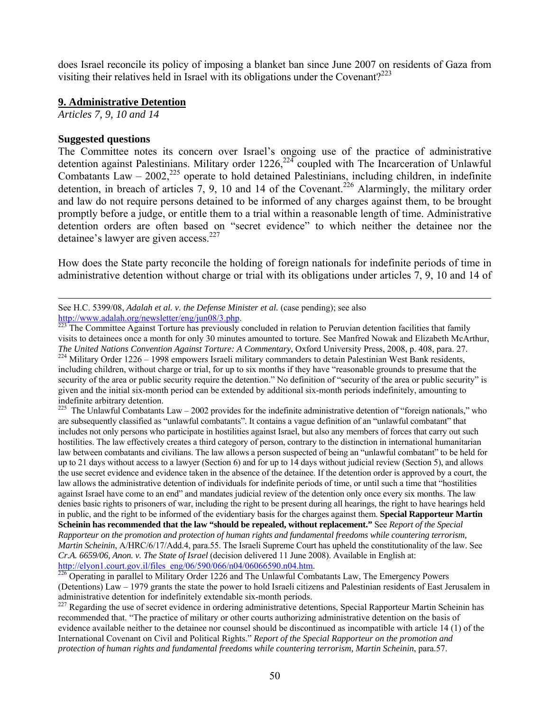does Israel reconcile its policy of imposing a blanket ban since June 2007 on residents of Gaza from visiting their relatives held in Israel with its obligations under the Covenant?<sup>223</sup>

# **9. Administrative Detention**

*Articles 7, 9, 10 and 14* 

# **Suggested questions**

-

The Committee notes its concern over Israel's ongoing use of the practice of administrative detention against Palestinians. Military order  $1226$ <sup>224</sup> coupled with The Incarceration of Unlawful Combatants Law –  $2002$ ,<sup>225</sup> operate to hold detained Palestinians, including children, in indefinite detention, in breach of articles 7, 9, 10 and 14 of the Covenant.<sup>226</sup> Alarmingly, the military order and law do not require persons detained to be informed of any charges against them, to be brought promptly before a judge, or entitle them to a trial within a reasonable length of time. Administrative detention orders are often based on "secret evidence" to which neither the detainee nor the detainee's lawyer are given access.<sup>227</sup>

How does the State party reconcile the holding of foreign nationals for indefinite periods of time in administrative detention without charge or trial with its obligations under articles 7, 9, 10 and 14 of

The United Nations Convention Against Torture: A Commentary, Oxford University Press, 2008, p. 408, para. 27.<br><sup>224</sup> Military Order 1226 – 1998 empowers Israeli military commanders to detain Palestinian West Bank residents, including children, without charge or trial, for up to six months if they have "reasonable grounds to presume that the security of the area or public security require the detention." No definition of "security of the area or public security" is given and the initial six-month period can be extended by additional six-month periods indefinitely, amounting to indefinite arbitrary detention.

The Unlawful Combatants Law – 2002 provides for the indefinite administrative detention of "foreign nationals," who are subsequently classified as "unlawful combatants". It contains a vague definition of an "unlawful combatant" that includes not only persons who participate in hostilities against Israel, but also any members of forces that carry out such hostilities. The law effectively creates a third category of person, contrary to the distinction in international humanitarian law between combatants and civilians. The law allows a person suspected of being an "unlawful combatant" to be held for up to 21 days without access to a lawyer (Section 6) and for up to 14 days without judicial review (Section 5), and allows the use secret evidence and evidence taken in the absence of the detainee. If the detention order is approved by a court, the law allows the administrative detention of individuals for indefinite periods of time, or until such a time that "hostilities against Israel have come to an end" and mandates judicial review of the detention only once every six months. The law denies basic rights to prisoners of war, including the right to be present during all hearings, the right to have hearings held in public, and the right to be informed of the evidentiary basis for the charges against them. **Special Rapporteur Martin Scheinin has recommended that the law "should be repealed, without replacement."** See *Report of the Special Rapporteur on the promotion and protection of human rights and fundamental freedoms while countering terrorism, Martin Scheinin*, A/HRC/6/17/Add.4, para.55. The Israeli Supreme Court has upheld the constitutionality of the law. See *Cr.A. 6659/06, Anon. v. The State of Israel* (decision delivered 11 June 2008). Available in English at: http://elyon1.court.gov.il/files\_eng/06/590/066/n04/06066590.n04.htm.<br><sup>226</sup> Operating in parallel to Military Order 1226 and The Unlawful Combatants Law, The Emergency Powers

(Detentions) Law – 1979 grants the state the power to hold Israeli citizens and Palestinian residents of East Jerusalem in administrative detention for indefinitely extendable six-month periods.

 $^{227}$  Regarding the use of secret evidence in ordering administrative detentions, Special Rapporteur Martin Scheinin has recommended that. "The practice of military or other courts authorizing administrative detention on the basis of evidence available neither to the detainee nor counsel should be discontinued as incompatible with article 14 (1) of the International Covenant on Civil and Political Rights." *Report of the Special Rapporteur on the promotion and protection of human rights and fundamental freedoms while countering terrorism, Martin Scheinin*, para.57.

See H.C. 5399/08, *Adalah et al. v. the Defense Minister et al.* (case pending); see also

http://www.adalah.org/newsletter/eng/jun08/3.php.<br><sup>223</sup> The Committee Against Torture has previously concluded in relation to Peruvian detention facilities that family visits to detainees once a month for only 30 minutes amounted to torture. See Manfred Nowak and Elizabeth McArthur,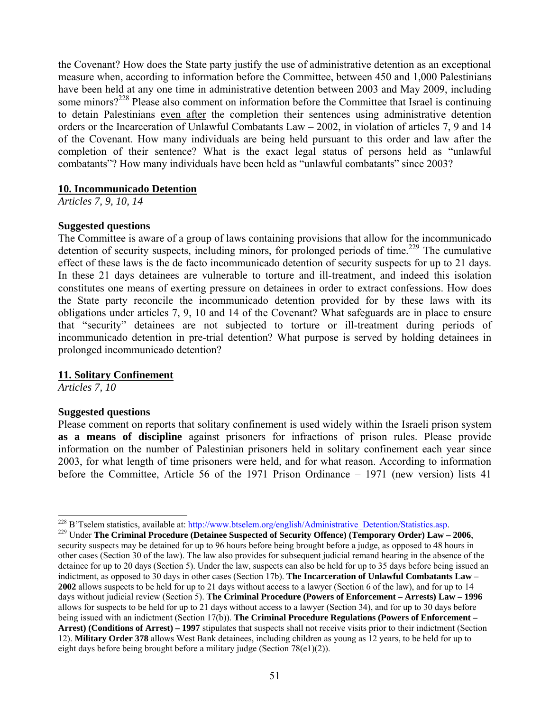the Covenant? How does the State party justify the use of administrative detention as an exceptional measure when, according to information before the Committee, between 450 and 1,000 Palestinians have been held at any one time in administrative detention between 2003 and May 2009, including some minors?<sup>228</sup> Please also comment on information before the Committee that Israel is continuing to detain Palestinians even after the completion their sentences using administrative detention orders or the Incarceration of Unlawful Combatants Law – 2002, in violation of articles 7, 9 and 14 of the Covenant. How many individuals are being held pursuant to this order and law after the completion of their sentence? What is the exact legal status of persons held as "unlawful combatants"? How many individuals have been held as "unlawful combatants" since 2003?

#### **10. Incommunicado Detention**

*Articles 7, 9, 10, 14* 

#### **Suggested questions**

The Committee is aware of a group of laws containing provisions that allow for the incommunicado detention of security suspects, including minors, for prolonged periods of time.<sup>229</sup> The cumulative effect of these laws is the de facto incommunicado detention of security suspects for up to 21 days. In these 21 days detainees are vulnerable to torture and ill-treatment, and indeed this isolation constitutes one means of exerting pressure on detainees in order to extract confessions. How does the State party reconcile the incommunicado detention provided for by these laws with its obligations under articles 7, 9, 10 and 14 of the Covenant? What safeguards are in place to ensure that "security" detainees are not subjected to torture or ill-treatment during periods of incommunicado detention in pre-trial detention? What purpose is served by holding detainees in prolonged incommunicado detention?

## **11. Solitary Confinement**

*Articles 7, 10* 

#### **Suggested questions**

Please comment on reports that solitary confinement is used widely within the Israeli prison system **as a means of discipline** against prisoners for infractions of prison rules. Please provide information on the number of Palestinian prisoners held in solitary confinement each year since 2003, for what length of time prisoners were held, and for what reason. According to information before the Committee, Article 56 of the 1971 Prison Ordinance – 1971 (new version) lists 41

<sup>&</sup>lt;sup>228</sup> B'Tselem statistics, available at: http://www.btselem.org/english/Administrative Detention/Statistics.asp.

<sup>&</sup>lt;sup>229</sup> Under The Criminal Procedure (Detainee Suspected of Security Offence) (Temporary Order) Law – 2006, security suspects may be detained for up to 96 hours before being brought before a judge, as opposed to 48 hours in other cases (Section 30 of the law). The law also provides for subsequent judicial remand hearing in the absence of the detainee for up to 20 days (Section 5). Under the law, suspects can also be held for up to 35 days before being issued an indictment, as opposed to 30 days in other cases (Section 17b). **The Incarceration of Unlawful Combatants Law – 2002** allows suspects to be held for up to 21 days without access to a lawyer (Section 6 of the law), and for up to 14 days without judicial review (Section 5). **The Criminal Procedure (Powers of Enforcement – Arrests) Law – 1996** allows for suspects to be held for up to 21 days without access to a lawyer (Section 34), and for up to 30 days before being issued with an indictment (Section 17(b)). **The Criminal Procedure Regulations (Powers of Enforcement – Arrest) (Conditions of Arrest) – 1997** stipulates that suspects shall not receive visits prior to their indictment (Section 12). **Military Order 378** allows West Bank detainees, including children as young as 12 years, to be held for up to eight days before being brought before a military judge (Section 78(e1)(2)).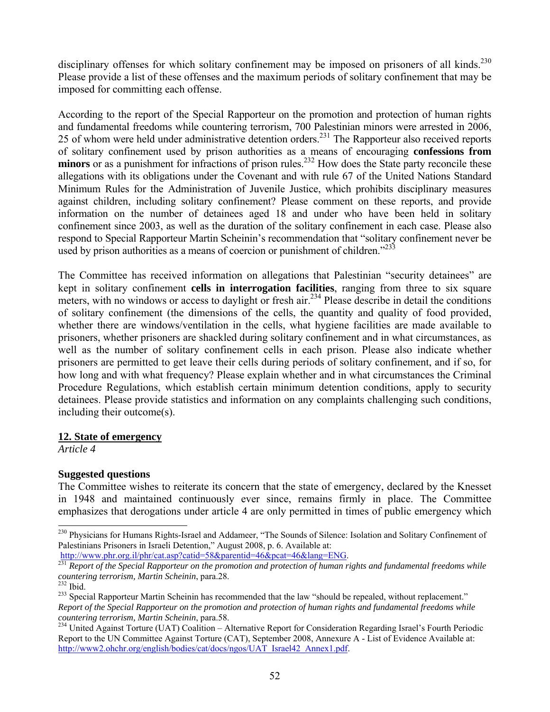disciplinary offenses for which solitary confinement may be imposed on prisoners of all kinds.<sup>230</sup> Please provide a list of these offenses and the maximum periods of solitary confinement that may be imposed for committing each offense.

According to the report of the Special Rapporteur on the promotion and protection of human rights and fundamental freedoms while countering terrorism, 700 Palestinian minors were arrested in 2006, 25 of whom were held under administrative detention orders.<sup>231</sup> The Rapporteur also received reports of solitary confinement used by prison authorities as a means of encouraging **confessions from minors** or as a punishment for infractions of prison rules.<sup>232</sup> How does the State party reconcile these allegations with its obligations under the Covenant and with rule 67 of the United Nations Standard Minimum Rules for the Administration of Juvenile Justice, which prohibits disciplinary measures against children, including solitary confinement? Please comment on these reports, and provide information on the number of detainees aged 18 and under who have been held in solitary confinement since 2003, as well as the duration of the solitary confinement in each case. Please also respond to Special Rapporteur Martin Scheinin's recommendation that "solitary confinement never be used by prison authorities as a means of coercion or punishment of children.<sup>"233</sup>

The Committee has received information on allegations that Palestinian "security detainees" are kept in solitary confinement **cells in interrogation facilities**, ranging from three to six square meters, with no windows or access to daylight or fresh air.<sup>234</sup> Please describe in detail the conditions of solitary confinement (the dimensions of the cells, the quantity and quality of food provided, whether there are windows/ventilation in the cells, what hygiene facilities are made available to prisoners, whether prisoners are shackled during solitary confinement and in what circumstances, as well as the number of solitary confinement cells in each prison. Please also indicate whether prisoners are permitted to get leave their cells during periods of solitary confinement, and if so, for how long and with what frequency? Please explain whether and in what circumstances the Criminal Procedure Regulations, which establish certain minimum detention conditions, apply to security detainees. Please provide statistics and information on any complaints challenging such conditions, including their outcome(s).

## **12. State of emergency**

*Article 4* 

# **Suggested questions**

The Committee wishes to reiterate its concern that the state of emergency, declared by the Knesset in 1948 and maintained continuously ever since, remains firmly in place. The Committee emphasizes that derogations under article 4 are only permitted in times of public emergency which

<sup>&</sup>lt;sup>230</sup> Physicians for Humans Rights-Israel and Addameer, "The Sounds of Silence: Isolation and Solitary Confinement of Palestinians Prisoners in Israeli Detention," August 2008, p. 6. Available at:<br>http://www.phr.org.il/phr/cat.asp?catid=58&parentid=46&pcat=46&lang=ENG.

http://www.phr.org.il.phr/cat.asp/cation=58.ppm/cation=168.ppm<br><sup>231</sup> *Report of the Special Rapporteur on the promotion and protection of human rights and fundamental freedoms while countering terrorism, Martin Scheinin, p* 

<sup>&</sup>lt;sup>233</sup> Special Rapporteur Martin Scheinin has recommended that the law "should be repealed, without replacement." *Report of the Special Rapporteur on the promotion and protection of human rights and fundamental freedoms while countering terrorism, Martin Scheinin, para.58.*<br><sup>234</sup> United Against Torture (UAT) Coalition – Alternative Report for Consideration Regarding Israel's Fourth Periodic

Report to the UN Committee Against Torture (CAT), September 2008, Annexure A - List of Evidence Available at: http://www2.ohchr.org/english/bodies/cat/docs/ngos/UAT\_Israel42\_Annex1.pdf.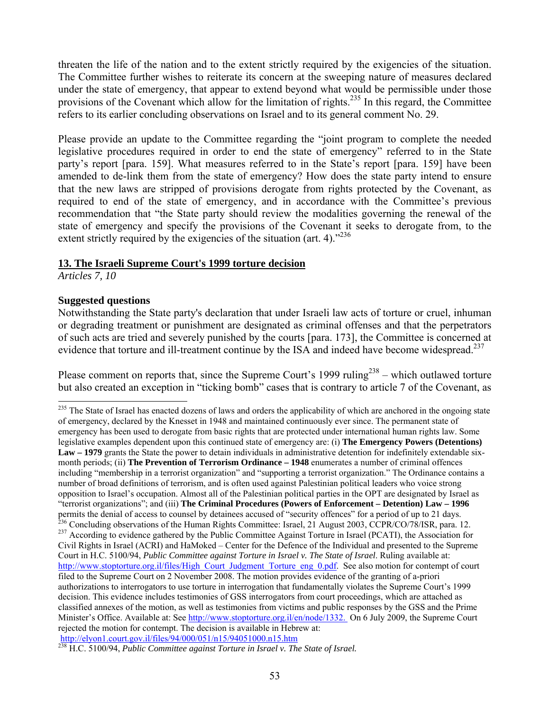threaten the life of the nation and to the extent strictly required by the exigencies of the situation. The Committee further wishes to reiterate its concern at the sweeping nature of measures declared under the state of emergency, that appear to extend beyond what would be permissible under those provisions of the Covenant which allow for the limitation of rights.<sup>235</sup> In this regard, the Committee refers to its earlier concluding observations on Israel and to its general comment No. 29.

Please provide an update to the Committee regarding the "joint program to complete the needed legislative procedures required in order to end the state of emergency" referred to in the State party's report [para. 159]. What measures referred to in the State's report [para. 159] have been amended to de-link them from the state of emergency? How does the state party intend to ensure that the new laws are stripped of provisions derogate from rights protected by the Covenant, as required to end of the state of emergency, and in accordance with the Committee's previous recommendation that "the State party should review the modalities governing the renewal of the state of emergency and specify the provisions of the Covenant it seeks to derogate from, to the extent strictly required by the exigencies of the situation (art. 4)."<sup>236</sup>

## **13. The Israeli Supreme Court's 1999 torture decision**

*Articles 7, 10* 

l

#### **Suggested questions**

Notwithstanding the State party's declaration that under Israeli law acts of torture or cruel, inhuman or degrading treatment or punishment are designated as criminal offenses and that the perpetrators of such acts are tried and severely punished by the courts [para. 173], the Committee is concerned at evidence that torture and ill-treatment continue by the ISA and indeed have become widespread.<sup>237</sup>

Please comment on reports that, since the Supreme Court's 1999 ruling<sup>238</sup> – which outlawed torture but also created an exception in "ticking bomb" cases that is contrary to article 7 of the Covenant, as

<sup>&</sup>lt;sup>235</sup> The State of Israel has enacted dozens of laws and orders the applicability of which are anchored in the ongoing state of emergency, declared by the Knesset in 1948 and maintained continuously ever since. The permanent state of emergency has been used to derogate from basic rights that are protected under international human rights law. Some legislative examples dependent upon this continued state of emergency are: (i) **The Emergency Powers (Detentions) Law – 1979** grants the State the power to detain individuals in administrative detention for indefinitely extendable sixmonth periods; (ii) **The Prevention of Terrorism Ordinance – 1948** enumerates a number of criminal offences including "membership in a terrorist organization" and "supporting a terrorist organization." The Ordinance contains a number of broad definitions of terrorism, and is often used against Palestinian political leaders who voice strong opposition to Israel's occupation. Almost all of the Palestinian political parties in the OPT are designated by Israel as "terrorist organizations"; and (iii) **The Criminal Procedures (Powers of Enforcement – Detention) Law – 1996**  <sup>236</sup> Concluding observations of the Human Rights Committee: Israel, 21 August 2003, CCPR/CO/78/ISR, para. 12.<br><sup>237</sup> According to evidence gathered by the Public Committee Against Torture in Israel (PCATI), the Association Civil Rights in Israel (ACRI) and HaMoked – Center for the Defence of the Individual and presented to the Supreme Court in H.C. 5100/94, *Public Committee against Torture in Israel v. The State of Israel*. Ruling available at: http://www.stoptorture.org.il/files/High\_Court\_Judgment\_Torture\_eng\_0.pdf. See also motion for contempt of court filed to the Supreme Court on 2 November 2008. The motion provides evidence of the granting of a-priori authorizations to interrogators to use torture in interrogation that fundamentally violates the Supreme Court's 1999 decision. This evidence includes testimonies of GSS interrogators from court proceedings, which are attached as classified annexes of the motion, as well as testimonies from victims and public responses by the GSS and the Prime Minister's Office. Available at: See http://www.stoptorture.org.il/en/node/1332. On 6 July 2009, the Supreme Court rejected the motion for contempt. The decision is available in Hebrew at: http://elyon1.court.gov.il/files/94/000/051/n15/94051000.n15.htm

<sup>&</sup>lt;sup>238</sup> H.C. 5100/94, *Public Committee against Torture in Israel v. The State of Israel.*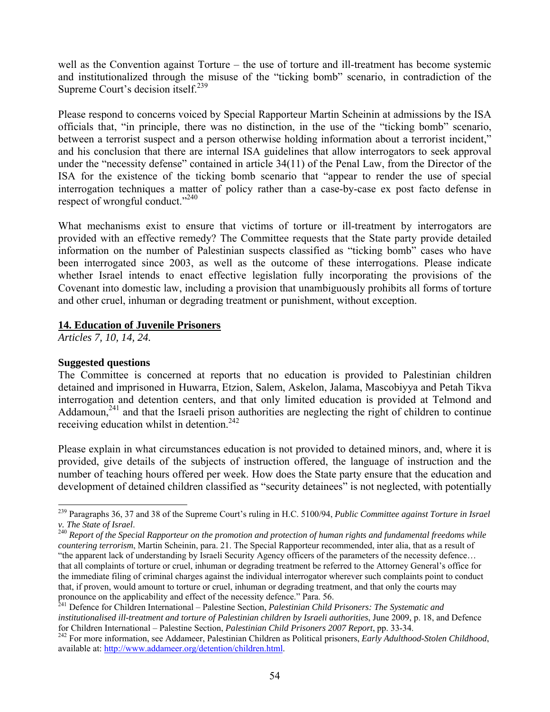well as the Convention against Torture – the use of torture and ill-treatment has become systemic and institutionalized through the misuse of the "ticking bomb" scenario, in contradiction of the Supreme Court's decision itself. $^{239}$ 

Please respond to concerns voiced by Special Rapporteur Martin Scheinin at admissions by the ISA officials that, "in principle, there was no distinction, in the use of the "ticking bomb" scenario, between a terrorist suspect and a person otherwise holding information about a terrorist incident," and his conclusion that there are internal ISA guidelines that allow interrogators to seek approval under the "necessity defense" contained in article 34(11) of the Penal Law, from the Director of the ISA for the existence of the ticking bomb scenario that "appear to render the use of special interrogation techniques a matter of policy rather than a case-by-case ex post facto defense in respect of wrongful conduct."<sup>240</sup>

What mechanisms exist to ensure that victims of torture or ill-treatment by interrogators are provided with an effective remedy? The Committee requests that the State party provide detailed information on the number of Palestinian suspects classified as "ticking bomb" cases who have been interrogated since 2003, as well as the outcome of these interrogations. Please indicate whether Israel intends to enact effective legislation fully incorporating the provisions of the Covenant into domestic law, including a provision that unambiguously prohibits all forms of torture and other cruel, inhuman or degrading treatment or punishment, without exception.

## **14. Education of Juvenile Prisoners**

*Articles 7, 10, 14, 24.* 

## **Suggested questions**

l

The Committee is concerned at reports that no education is provided to Palestinian children detained and imprisoned in Huwarra, Etzion, Salem, Askelon, Jalama, Mascobiyya and Petah Tikva interrogation and detention centers, and that only limited education is provided at Telmond and Addamoun,<sup>241</sup> and that the Israeli prison authorities are neglecting the right of children to continue receiving education whilst in detention.<sup>242</sup>

Please explain in what circumstances education is not provided to detained minors, and, where it is provided, give details of the subjects of instruction offered, the language of instruction and the number of teaching hours offered per week. How does the State party ensure that the education and development of detained children classified as "security detainees" is not neglected, with potentially

<sup>239</sup> Paragraphs 36, 37 and 38 of the Supreme Court's ruling in H.C. 5100/94, *Public Committee against Torture in Israel v. The State of Israel.*<br><sup>240</sup> Report of the Special Rapporteur on the promotion and protection of human rights and fundamental freedoms while

*countering terrorism*, Martin Scheinin, para. 21. The Special Rapporteur recommended, inter alia, that as a result of "the apparent lack of understanding by Israeli Security Agency officers of the parameters of the necessity defence… that all complaints of torture or cruel, inhuman or degrading treatment be referred to the Attorney General's office for the immediate filing of criminal charges against the individual interrogator wherever such complaints point to conduct that, if proven, would amount to torture or cruel, inhuman or degrading treatment, and that only the courts may pronounce on the applicability and effect of the necessity defence." Para. 56.

<sup>241</sup> Defence for Children International – Palestine Section, *Palestinian Child Prisoners: The Systematic and institutionalised ill-treatment and torture of Palestinian children by Israeli authorities*, June 2009, p. 18, and Defence

<sup>&</sup>lt;sup>242</sup> For more information, see Addameer, Palestinian Children as Political prisoners, *Early Adulthood-Stolen Childhood*, available at: http://www.addameer.org/detention/children.html.